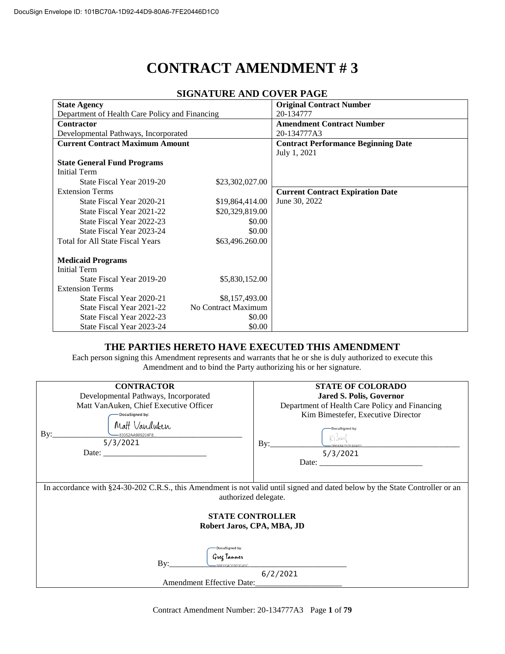# **CONTRACT AMENDMENT # 3**

| <b>State Agency</b>                            |                     | <b>Original Contract Number</b>            |
|------------------------------------------------|---------------------|--------------------------------------------|
| Department of Health Care Policy and Financing |                     | 20-134777                                  |
| <b>Contractor</b>                              |                     | <b>Amendment Contract Number</b>           |
| Developmental Pathways, Incorporated           |                     | 20-134777A3                                |
| <b>Current Contract Maximum Amount</b>         |                     | <b>Contract Performance Beginning Date</b> |
|                                                |                     | July 1, 2021                               |
| <b>State General Fund Programs</b>             |                     |                                            |
| <b>Initial Term</b>                            |                     |                                            |
| State Fiscal Year 2019-20                      | \$23,302,027.00     |                                            |
| <b>Extension Terms</b>                         |                     | <b>Current Contract Expiration Date</b>    |
| State Fiscal Year 2020-21                      | \$19,864,414.00     | June 30, 2022                              |
| State Fiscal Year 2021-22                      | \$20,329,819.00     |                                            |
| State Fiscal Year 2022-23                      | \$0.00              |                                            |
| State Fiscal Year 2023-24                      | \$0.00              |                                            |
| <b>Total for All State Fiscal Years</b>        | \$63,496.260.00     |                                            |
| <b>Medicaid Programs</b>                       |                     |                                            |
| <b>Initial Term</b>                            |                     |                                            |
|                                                |                     |                                            |
| State Fiscal Year 2019-20                      | \$5,830,152.00      |                                            |
| <b>Extension Terms</b>                         |                     |                                            |
| State Fiscal Year 2020-21                      | \$8,157,493.00      |                                            |
| State Fiscal Year 2021-22                      | No Contract Maximum |                                            |
| State Fiscal Year 2022-23                      | \$0.00              |                                            |
| State Fiscal Year 2023-24                      | \$0.00              |                                            |

# **SIGNATURE AND COVER PAGE**

# **THE PARTIES HERETO HAVE EXECUTED THIS AMENDMENT**

Each person signing this Amendment represents and warrants that he or she is duly authorized to execute this Amendment and to bind the Party authorizing his or her signature.

| <b>CONTRACTOR</b><br>Developmental Pathways, Incorporated<br>Matt VanAuken, Chief Executive Officer<br>DocuSigned by:                                | <b>STATE OF COLORADO</b><br><b>Jared S. Polis, Governor</b><br>Department of Health Care Policy and Financing<br>Kim Bimestefer, Executive Director |  |  |
|------------------------------------------------------------------------------------------------------------------------------------------------------|-----------------------------------------------------------------------------------------------------------------------------------------------------|--|--|
| Matt Vanduken<br>$\rm\,By:$<br>-83052AA969204F8<br>5/3/2021                                                                                          | DocuSigned by:<br>$\operatorname{By:}$<br>-0B6A84797EA8493<br>5/3/2021                                                                              |  |  |
| In accordance with §24-30-202 C.R.S., this Amendment is not valid until signed and dated below by the State Controller or an<br>authorized delegate. |                                                                                                                                                     |  |  |
| <b>STATE CONTROLLER</b><br>Robert Jaros, CPA, MBA, JD                                                                                                |                                                                                                                                                     |  |  |
| <b>DocuSigned by:</b><br>Greg Tanner<br>$\rm\,By:$<br>-BBE0F4C030DC45C                                                                               | <u> 1980 - Jan Samuel Barbara, martin a</u>                                                                                                         |  |  |
| 6/2/2021<br><b>Amendment Effective Date:</b>                                                                                                         |                                                                                                                                                     |  |  |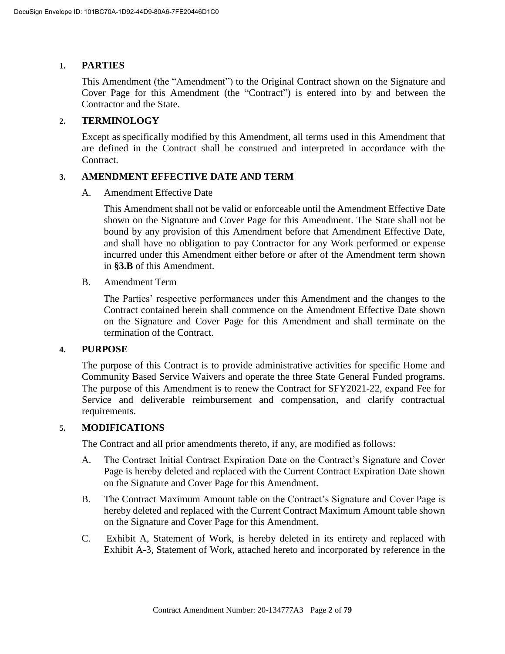# **1. PARTIES**

This Amendment (the "Amendment") to the Original Contract shown on the Signature and Cover Page for this Amendment (the "Contract") is entered into by and between the Contractor and the State.

# **2. TERMINOLOGY**

Except as specifically modified by this Amendment, all terms used in this Amendment that are defined in the Contract shall be construed and interpreted in accordance with the Contract.

# **3. AMENDMENT EFFECTIVE DATE AND TERM**

A. Amendment Effective Date

This Amendment shall not be valid or enforceable until the Amendment Effective Date shown on the Signature and Cover Page for this Amendment. The State shall not be bound by any provision of this Amendment before that Amendment Effective Date, and shall have no obligation to pay Contractor for any Work performed or expense incurred under this Amendment either before or after of the Amendment term shown in **§3.B** of this Amendment.

B. Amendment Term

The Parties' respective performances under this Amendment and the changes to the Contract contained herein shall commence on the Amendment Effective Date shown on the Signature and Cover Page for this Amendment and shall terminate on the termination of the Contract.

# **4. PURPOSE**

The purpose of this Contract is to provide administrative activities for specific Home and Community Based Service Waivers and operate the three State General Funded programs. The purpose of this Amendment is to renew the Contract for SFY2021-22, expand Fee for Service and deliverable reimbursement and compensation, and clarify contractual requirements.

# **5. MODIFICATIONS**

The Contract and all prior amendments thereto, if any, are modified as follows:

- A. The Contract Initial Contract Expiration Date on the Contract's Signature and Cover Page is hereby deleted and replaced with the Current Contract Expiration Date shown on the Signature and Cover Page for this Amendment.
- B. The Contract Maximum Amount table on the Contract's Signature and Cover Page is hereby deleted and replaced with the Current Contract Maximum Amount table shown on the Signature and Cover Page for this Amendment.
- C. Exhibit A, Statement of Work, is hereby deleted in its entirety and replaced with Exhibit A-3, Statement of Work, attached hereto and incorporated by reference in the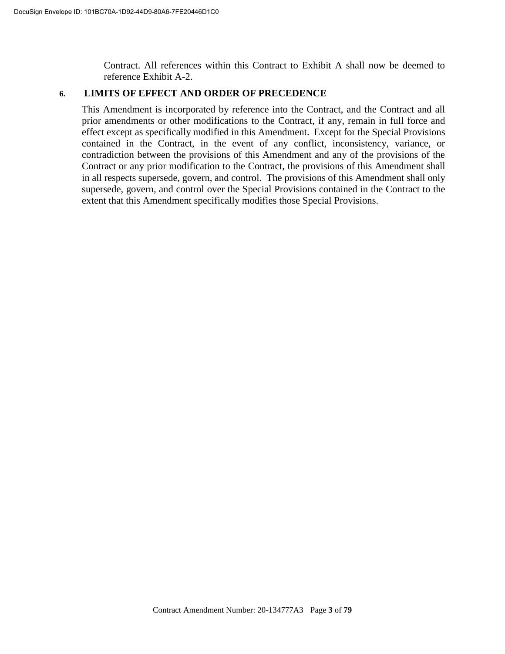Contract. All references within this Contract to Exhibit A shall now be deemed to reference Exhibit A-2.

# **6. LIMITS OF EFFECT AND ORDER OF PRECEDENCE**

This Amendment is incorporated by reference into the Contract, and the Contract and all prior amendments or other modifications to the Contract, if any, remain in full force and effect except as specifically modified in this Amendment. Except for the Special Provisions contained in the Contract, in the event of any conflict, inconsistency, variance, or contradiction between the provisions of this Amendment and any of the provisions of the Contract or any prior modification to the Contract, the provisions of this Amendment shall in all respects supersede, govern, and control. The provisions of this Amendment shall only supersede, govern, and control over the Special Provisions contained in the Contract to the extent that this Amendment specifically modifies those Special Provisions.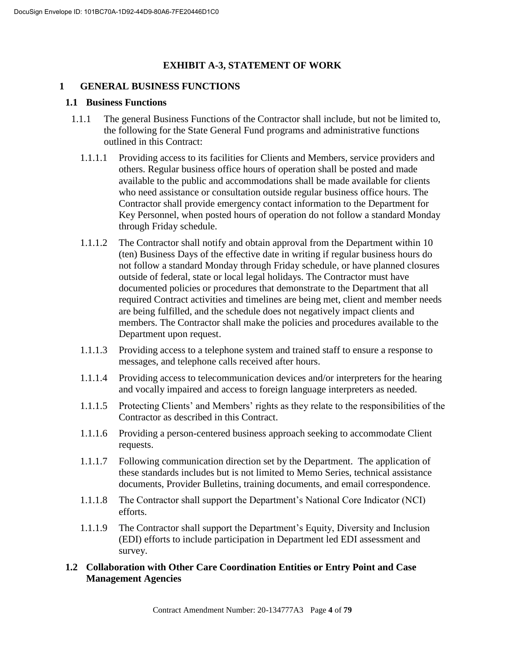# **EXHIBIT A-3, STATEMENT OF WORK**

# **1 GENERAL BUSINESS FUNCTIONS**

# **1.1 Business Functions**

- 1.1.1 The general Business Functions of the Contractor shall include, but not be limited to, the following for the State General Fund programs and administrative functions outlined in this Contract:
	- 1.1.1.1 Providing access to its facilities for Clients and Members, service providers and others. Regular business office hours of operation shall be posted and made available to the public and accommodations shall be made available for clients who need assistance or consultation outside regular business office hours. The Contractor shall provide emergency contact information to the Department for Key Personnel, when posted hours of operation do not follow a standard Monday through Friday schedule.
	- 1.1.1.2 The Contractor shall notify and obtain approval from the Department within 10 (ten) Business Days of the effective date in writing if regular business hours do not follow a standard Monday through Friday schedule, or have planned closures outside of federal, state or local legal holidays. The Contractor must have documented policies or procedures that demonstrate to the Department that all required Contract activities and timelines are being met, client and member needs are being fulfilled, and the schedule does not negatively impact clients and members. The Contractor shall make the policies and procedures available to the Department upon request.
	- 1.1.1.3 Providing access to a telephone system and trained staff to ensure a response to messages, and telephone calls received after hours.
	- 1.1.1.4 Providing access to telecommunication devices and/or interpreters for the hearing and vocally impaired and access to foreign language interpreters as needed.
	- 1.1.1.5 Protecting Clients' and Members' rights as they relate to the responsibilities of the Contractor as described in this Contract.
	- 1.1.1.6 Providing a person-centered business approach seeking to accommodate Client requests.
	- 1.1.1.7 Following communication direction set by the Department. The application of these standards includes but is not limited to Memo Series, technical assistance documents, Provider Bulletins, training documents, and email correspondence.
	- 1.1.1.8 The Contractor shall support the Department's National Core Indicator (NCI) efforts.
	- 1.1.1.9 The Contractor shall support the Department's Equity, Diversity and Inclusion (EDI) efforts to include participation in Department led EDI assessment and survey.

# **1.2 Collaboration with Other Care Coordination Entities or Entry Point and Case Management Agencies**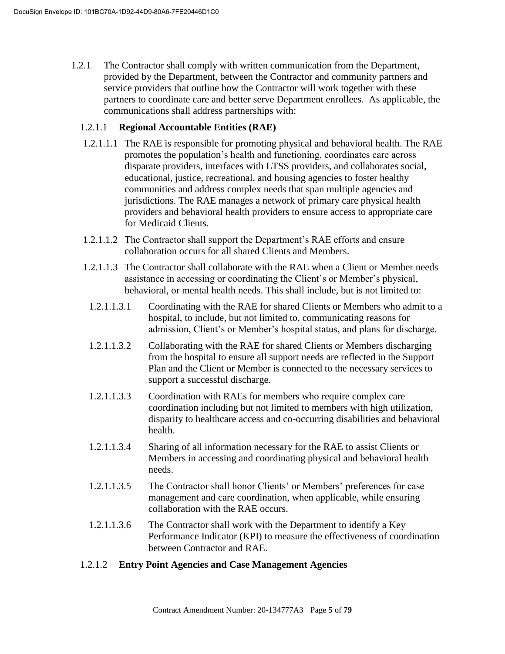1.2.1 The Contractor shall comply with written communication from the Department, provided by the Department, between the Contractor and community partners and service providers that outline how the Contractor will work together with these partners to coordinate care and better serve Department enrollees. As applicable, the communications shall address partnerships with:

# 1.2.1.1 **Regional Accountable Entities (RAE)**

- 1.2.1.1.1 The RAE is responsible for promoting physical and behavioral health. The RAE promotes the population's health and functioning, coordinates care across disparate providers, interfaces with LTSS providers, and collaborates social, educational, justice, recreational, and housing agencies to foster healthy communities and address complex needs that span multiple agencies and jurisdictions. The RAE manages a network of primary care physical health providers and behavioral health providers to ensure access to appropriate care for Medicaid Clients.
- 1.2.1.1.2 The Contractor shall support the Department's RAE efforts and ensure collaboration occurs for all shared Clients and Members.
- 1.2.1.1.3 The Contractor shall collaborate with the RAE when a Client or Member needs assistance in accessing or coordinating the Client's or Member's physical, behavioral, or mental health needs. This shall include, but is not limited to:
	- 1.2.1.1.3.1 Coordinating with the RAE for shared Clients or Members who admit to a hospital, to include, but not limited to, communicating reasons for admission, Client's or Member's hospital status, and plans for discharge.
	- 1.2.1.1.3.2 Collaborating with the RAE for shared Clients or Members discharging from the hospital to ensure all support needs are reflected in the Support Plan and the Client or Member is connected to the necessary services to support a successful discharge.
	- 1.2.1.1.3.3 Coordination with RAEs for members who require complex care coordination including but not limited to members with high utilization, disparity to healthcare access and co-occurring disabilities and behavioral health.
	- 1.2.1.1.3.4 Sharing of all information necessary for the RAE to assist Clients or Members in accessing and coordinating physical and behavioral health needs.
	- 1.2.1.1.3.5 The Contractor shall honor Clients' or Members' preferences for case management and care coordination, when applicable, while ensuring collaboration with the RAE occurs.
	- 1.2.1.1.3.6 The Contractor shall work with the Department to identify a Key Performance Indicator (KPI) to measure the effectiveness of coordination between Contractor and RAE.

# 1.2.1.2 **Entry Point Agencies and Case Management Agencies**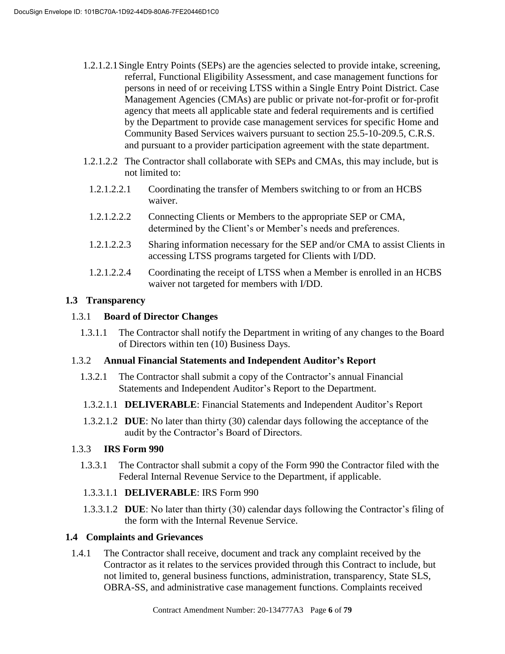- 1.2.1.2.1Single Entry Points (SEPs) are the agencies selected to provide intake, screening, referral, Functional Eligibility Assessment, and case management functions for persons in need of or receiving LTSS within a Single Entry Point District. Case Management Agencies (CMAs) are public or private not-for-profit or for-profit agency that meets all applicable state and federal requirements and is certified by the Department to provide case management services for specific Home and Community Based Services waivers pursuant to section 25.5-10-209.5, C.R.S. and pursuant to a provider participation agreement with the state department.
- 1.2.1.2.2 The Contractor shall collaborate with SEPs and CMAs, this may include, but is not limited to:
	- 1.2.1.2.2.1 Coordinating the transfer of Members switching to or from an HCBS waiver.
	- 1.2.1.2.2.2 Connecting Clients or Members to the appropriate SEP or CMA, determined by the Client's or Member's needs and preferences.
	- 1.2.1.2.2.3 Sharing information necessary for the SEP and/or CMA to assist Clients in accessing LTSS programs targeted for Clients with I/DD.
	- 1.2.1.2.2.4 Coordinating the receipt of LTSS when a Member is enrolled in an HCBS waiver not targeted for members with I/DD.

# **1.3 Transparency**

# 1.3.1 **Board of Director Changes**

1.3.1.1 The Contractor shall notify the Department in writing of any changes to the Board of Directors within ten (10) Business Days.

# 1.3.2 **Annual Financial Statements and Independent Auditor's Report**

- 1.3.2.1 The Contractor shall submit a copy of the Contractor's annual Financial Statements and Independent Auditor's Report to the Department.
- 1.3.2.1.1 **DELIVERABLE**: Financial Statements and Independent Auditor's Report
- 1.3.2.1.2 **DUE**: No later than thirty (30) calendar days following the acceptance of the audit by the Contractor's Board of Directors.

# 1.3.3 **IRS Form 990**

1.3.3.1 The Contractor shall submit a copy of the Form 990 the Contractor filed with the Federal Internal Revenue Service to the Department, if applicable.

# 1.3.3.1.1 **DELIVERABLE**: IRS Form 990

1.3.3.1.2 **DUE**: No later than thirty (30) calendar days following the Contractor's filing of the form with the Internal Revenue Service.

# **1.4 Complaints and Grievances**

1.4.1 The Contractor shall receive, document and track any complaint received by the Contractor as it relates to the services provided through this Contract to include, but not limited to, general business functions, administration, transparency, State SLS, OBRA-SS, and administrative case management functions. Complaints received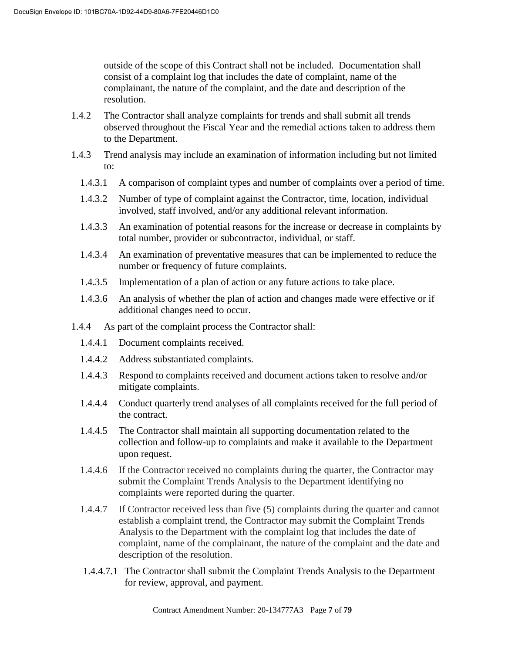outside of the scope of this Contract shall not be included. Documentation shall consist of a complaint log that includes the date of complaint, name of the complainant, the nature of the complaint, and the date and description of the resolution.

- 1.4.2 The Contractor shall analyze complaints for trends and shall submit all trends observed throughout the Fiscal Year and the remedial actions taken to address them to the Department.
- 1.4.3 Trend analysis may include an examination of information including but not limited to:
	- 1.4.3.1 A comparison of complaint types and number of complaints over a period of time.
	- 1.4.3.2 Number of type of complaint against the Contractor, time, location, individual involved, staff involved, and/or any additional relevant information.
	- 1.4.3.3 An examination of potential reasons for the increase or decrease in complaints by total number, provider or subcontractor, individual, or staff.
	- 1.4.3.4 An examination of preventative measures that can be implemented to reduce the number or frequency of future complaints.
	- 1.4.3.5 Implementation of a plan of action or any future actions to take place.
	- 1.4.3.6 An analysis of whether the plan of action and changes made were effective or if additional changes need to occur.
- 1.4.4 As part of the complaint process the Contractor shall:
	- 1.4.4.1 Document complaints received.
	- 1.4.4.2 Address substantiated complaints.
	- 1.4.4.3 Respond to complaints received and document actions taken to resolve and/or mitigate complaints.
	- 1.4.4.4 Conduct quarterly trend analyses of all complaints received for the full period of the contract.
	- 1.4.4.5 The Contractor shall maintain all supporting documentation related to the collection and follow-up to complaints and make it available to the Department upon request.
	- 1.4.4.6 If the Contractor received no complaints during the quarter, the Contractor may submit the Complaint Trends Analysis to the Department identifying no complaints were reported during the quarter.
	- 1.4.4.7 If Contractor received less than five (5) complaints during the quarter and cannot establish a complaint trend, the Contractor may submit the Complaint Trends Analysis to the Department with the complaint log that includes the date of complaint, name of the complainant, the nature of the complaint and the date and description of the resolution.
	- 1.4.4.7.1 The Contractor shall submit the Complaint Trends Analysis to the Department for review, approval, and payment.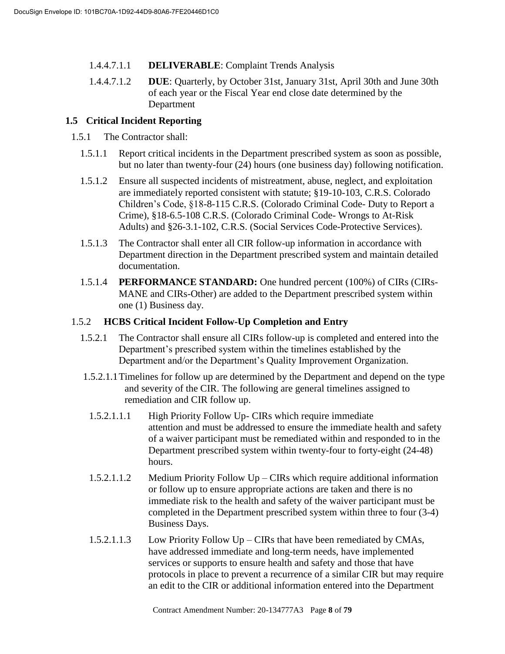- 1.4.4.7.1.1 **DELIVERABLE**: Complaint Trends Analysis
- 1.4.4.7.1.2 **DUE**: Quarterly, by October 31st, January 31st, April 30th and June 30th of each year or the Fiscal Year end close date determined by the Department

# **1.5 Critical Incident Reporting**

1.5.1 The Contractor shall:

- 1.5.1.1 Report critical incidents in the Department prescribed system as soon as possible, but no later than twenty-four (24) hours (one business day) following notification.
- 1.5.1.2 Ensure all suspected incidents of mistreatment, abuse, neglect, and exploitation are immediately reported consistent with statute; §19-10-103, C.R.S. Colorado Children's Code, §18-8-115 C.R.S. (Colorado Criminal Code- Duty to Report a Crime), §18-6.5-108 C.R.S. (Colorado Criminal Code- Wrongs to At-Risk Adults) and §26-3.1-102, C.R.S. (Social Services Code-Protective Services).
- 1.5.1.3 The Contractor shall enter all CIR follow-up information in accordance with Department direction in the Department prescribed system and maintain detailed documentation.
- 1.5.1.4 **PERFORMANCE STANDARD:** One hundred percent (100%) of CIRs (CIRs-MANE and CIRs-Other) are added to the Department prescribed system within one (1) Business day.

# 1.5.2 **HCBS Critical Incident Follow-Up Completion and Entry**

- 1.5.2.1 The Contractor shall ensure all CIRs follow-up is completed and entered into the Department's prescribed system within the timelines established by the Department and/or the Department's Quality Improvement Organization.
- 1.5.2.1.1Timelines for follow up are determined by the Department and depend on the type and severity of the CIR. The following are general timelines assigned to remediation and CIR follow up.
- 1.5.2.1.1.1 High Priority Follow Up- CIRs which require immediate attention and must be addressed to ensure the immediate health and safety of a waiver participant must be remediated within and responded to in the Department prescribed system within twenty-four to forty-eight (24-48) hours.
- 1.5.2.1.1.2 Medium Priority Follow Up CIRs which require additional information or follow up to ensure appropriate actions are taken and there is no immediate risk to the health and safety of the waiver participant must be completed in the Department prescribed system within three to four (3-4) Business Days.
- 1.5.2.1.1.3 Low Priority Follow Up CIRs that have been remediated by CMAs, have addressed immediate and long-term needs, have implemented services or supports to ensure health and safety and those that have protocols in place to prevent a recurrence of a similar CIR but may require an edit to the CIR or additional information entered into the Department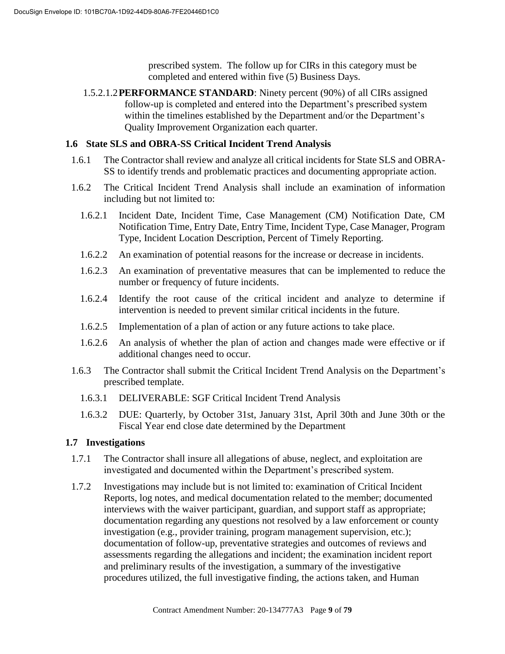prescribed system. The follow up for CIRs in this category must be completed and entered within five (5) Business Days.

1.5.2.1.2**PERFORMANCE STANDARD**: Ninety percent (90%) of all CIRs assigned follow-up is completed and entered into the Department's prescribed system within the timelines established by the Department and/or the Department's Quality Improvement Organization each quarter.

# **1.6 State SLS and OBRA-SS Critical Incident Trend Analysis**

- 1.6.1 The Contractor shall review and analyze all critical incidents for State SLS and OBRA-SS to identify trends and problematic practices and documenting appropriate action.
- 1.6.2 The Critical Incident Trend Analysis shall include an examination of information including but not limited to:
	- 1.6.2.1 Incident Date, Incident Time, Case Management (CM) Notification Date, CM Notification Time, Entry Date, Entry Time, Incident Type, Case Manager, Program Type, Incident Location Description, Percent of Timely Reporting.
	- 1.6.2.2 An examination of potential reasons for the increase or decrease in incidents.
	- 1.6.2.3 An examination of preventative measures that can be implemented to reduce the number or frequency of future incidents.
	- 1.6.2.4 Identify the root cause of the critical incident and analyze to determine if intervention is needed to prevent similar critical incidents in the future.
	- 1.6.2.5 Implementation of a plan of action or any future actions to take place.
	- 1.6.2.6 An analysis of whether the plan of action and changes made were effective or if additional changes need to occur.
- 1.6.3 The Contractor shall submit the Critical Incident Trend Analysis on the Department's prescribed template.
	- 1.6.3.1 DELIVERABLE: SGF Critical Incident Trend Analysis
	- 1.6.3.2 DUE: Quarterly, by October 31st, January 31st, April 30th and June 30th or the Fiscal Year end close date determined by the Department

# **1.7 Investigations**

- 1.7.1 The Contractor shall insure all allegations of abuse, neglect, and exploitation are investigated and documented within the Department's prescribed system.
- 1.7.2 Investigations may include but is not limited to: examination of Critical Incident Reports, log notes, and medical documentation related to the member; documented interviews with the waiver participant, guardian, and support staff as appropriate; documentation regarding any questions not resolved by a law enforcement or county investigation (e.g., provider training, program management supervision, etc.); documentation of follow-up, preventative strategies and outcomes of reviews and assessments regarding the allegations and incident; the examination incident report and preliminary results of the investigation, a summary of the investigative procedures utilized, the full investigative finding, the actions taken, and Human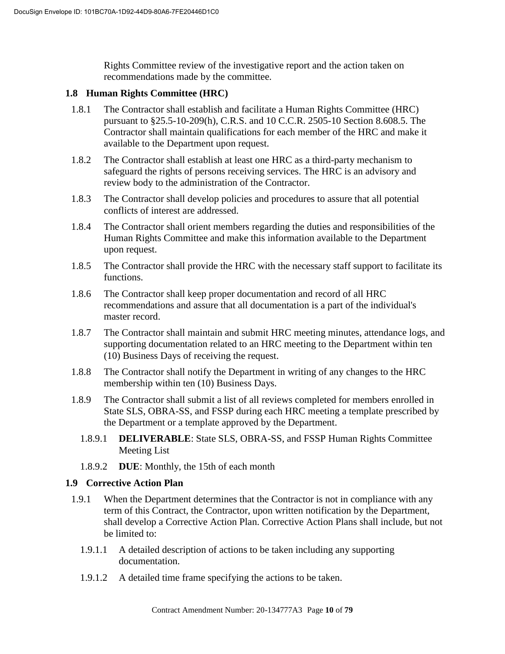Rights Committee review of the investigative report and the action taken on recommendations made by the committee.

# **1.8 Human Rights Committee (HRC)**

- 1.8.1 The Contractor shall establish and facilitate a Human Rights Committee (HRC) pursuant to §25.5-10-209(h), C.R.S. and 10 C.C.R. 2505-10 Section 8.608.5. The Contractor shall maintain qualifications for each member of the HRC and make it available to the Department upon request.
- 1.8.2 The Contractor shall establish at least one HRC as a third-party mechanism to safeguard the rights of persons receiving services. The HRC is an advisory and review body to the administration of the Contractor.
- 1.8.3 The Contractor shall develop policies and procedures to assure that all potential conflicts of interest are addressed.
- 1.8.4 The Contractor shall orient members regarding the duties and responsibilities of the Human Rights Committee and make this information available to the Department upon request.
- 1.8.5 The Contractor shall provide the HRC with the necessary staff support to facilitate its functions.
- 1.8.6 The Contractor shall keep proper documentation and record of all HRC recommendations and assure that all documentation is a part of the individual's master record.
- 1.8.7 The Contractor shall maintain and submit HRC meeting minutes, attendance logs, and supporting documentation related to an HRC meeting to the Department within ten (10) Business Days of receiving the request.
- 1.8.8 The Contractor shall notify the Department in writing of any changes to the HRC membership within ten (10) Business Days.
- 1.8.9 The Contractor shall submit a list of all reviews completed for members enrolled in State SLS, OBRA-SS, and FSSP during each HRC meeting a template prescribed by the Department or a template approved by the Department.
	- 1.8.9.1 **DELIVERABLE**: State SLS, OBRA-SS, and FSSP Human Rights Committee Meeting List
	- 1.8.9.2 **DUE**: Monthly, the 15th of each month

# **1.9 Corrective Action Plan**

- 1.9.1 When the Department determines that the Contractor is not in compliance with any term of this Contract, the Contractor, upon written notification by the Department, shall develop a Corrective Action Plan. Corrective Action Plans shall include, but not be limited to:
	- 1.9.1.1 A detailed description of actions to be taken including any supporting documentation.
	- 1.9.1.2 A detailed time frame specifying the actions to be taken.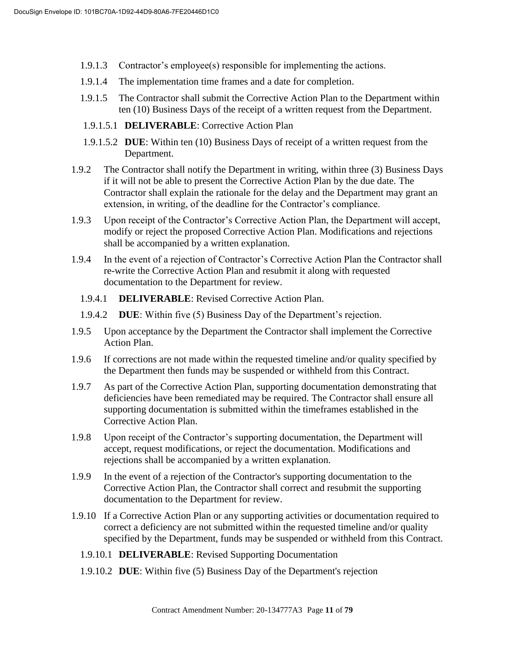- 1.9.1.3 Contractor's employee(s) responsible for implementing the actions.
- 1.9.1.4 The implementation time frames and a date for completion.
- 1.9.1.5 The Contractor shall submit the Corrective Action Plan to the Department within ten (10) Business Days of the receipt of a written request from the Department.
- 1.9.1.5.1 **DELIVERABLE**: Corrective Action Plan
- 1.9.1.5.2 **DUE**: Within ten (10) Business Days of receipt of a written request from the Department.
- 1.9.2 The Contractor shall notify the Department in writing, within three (3) Business Days if it will not be able to present the Corrective Action Plan by the due date. The Contractor shall explain the rationale for the delay and the Department may grant an extension, in writing, of the deadline for the Contractor's compliance.
- 1.9.3 Upon receipt of the Contractor's Corrective Action Plan, the Department will accept, modify or reject the proposed Corrective Action Plan. Modifications and rejections shall be accompanied by a written explanation.
- 1.9.4 In the event of a rejection of Contractor's Corrective Action Plan the Contractor shall re-write the Corrective Action Plan and resubmit it along with requested documentation to the Department for review.
	- 1.9.4.1 **DELIVERABLE**: Revised Corrective Action Plan.
	- 1.9.4.2 **DUE**: Within five (5) Business Day of the Department's rejection.
- 1.9.5 Upon acceptance by the Department the Contractor shall implement the Corrective Action Plan.
- 1.9.6 If corrections are not made within the requested timeline and/or quality specified by the Department then funds may be suspended or withheld from this Contract.
- 1.9.7 As part of the Corrective Action Plan, supporting documentation demonstrating that deficiencies have been remediated may be required. The Contractor shall ensure all supporting documentation is submitted within the timeframes established in the Corrective Action Plan.
- 1.9.8 Upon receipt of the Contractor's supporting documentation, the Department will accept, request modifications, or reject the documentation. Modifications and rejections shall be accompanied by a written explanation.
- 1.9.9 In the event of a rejection of the Contractor's supporting documentation to the Corrective Action Plan, the Contractor shall correct and resubmit the supporting documentation to the Department for review.
- 1.9.10 If a Corrective Action Plan or any supporting activities or documentation required to correct a deficiency are not submitted within the requested timeline and/or quality specified by the Department, funds may be suspended or withheld from this Contract.
	- 1.9.10.1 **DELIVERABLE**: Revised Supporting Documentation
	- 1.9.10.2 **DUE**: Within five (5) Business Day of the Department's rejection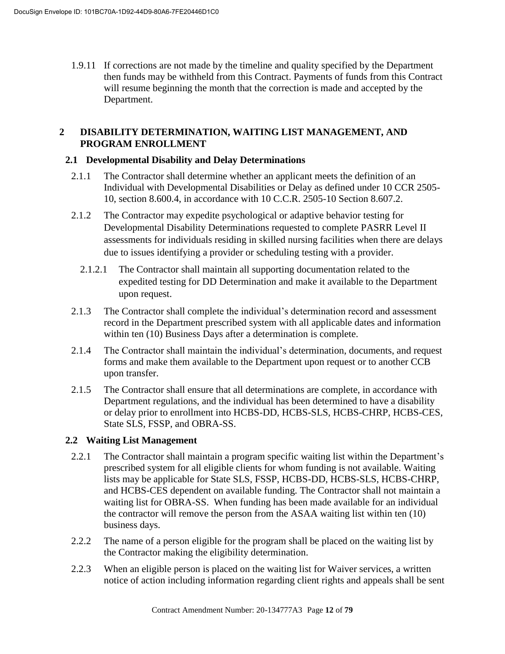1.9.11 If corrections are not made by the timeline and quality specified by the Department then funds may be withheld from this Contract. Payments of funds from this Contract will resume beginning the month that the correction is made and accepted by the Department.

# **2 DISABILITY DETERMINATION, WAITING LIST MANAGEMENT, AND PROGRAM ENROLLMENT**

# **2.1 Developmental Disability and Delay Determinations**

- 2.1.1 The Contractor shall determine whether an applicant meets the definition of an Individual with Developmental Disabilities or Delay as defined under 10 CCR 2505- 10, section 8.600.4, in accordance with 10 C.C.R. 2505-10 Section 8.607.2.
- 2.1.2 The Contractor may expedite psychological or adaptive behavior testing for Developmental Disability Determinations requested to complete PASRR Level II assessments for individuals residing in skilled nursing facilities when there are delays due to issues identifying a provider or scheduling testing with a provider.
	- 2.1.2.1 The Contractor shall maintain all supporting documentation related to the expedited testing for DD Determination and make it available to the Department upon request.
- 2.1.3 The Contractor shall complete the individual's determination record and assessment record in the Department prescribed system with all applicable dates and information within ten (10) Business Days after a determination is complete.
- 2.1.4 The Contractor shall maintain the individual's determination, documents, and request forms and make them available to the Department upon request or to another CCB upon transfer.
- 2.1.5 The Contractor shall ensure that all determinations are complete, in accordance with Department regulations, and the individual has been determined to have a disability or delay prior to enrollment into HCBS-DD, HCBS-SLS, HCBS-CHRP, HCBS-CES, State SLS, FSSP, and OBRA-SS.

# **2.2 Waiting List Management**

- 2.2.1 The Contractor shall maintain a program specific waiting list within the Department's prescribed system for all eligible clients for whom funding is not available. Waiting lists may be applicable for State SLS, FSSP, HCBS-DD, HCBS-SLS, HCBS-CHRP, and HCBS-CES dependent on available funding. The Contractor shall not maintain a waiting list for OBRA-SS. When funding has been made available for an individual the contractor will remove the person from the ASAA waiting list within ten (10) business days.
- 2.2.2 The name of a person eligible for the program shall be placed on the waiting list by the Contractor making the eligibility determination.
- 2.2.3 When an eligible person is placed on the waiting list for Waiver services, a written notice of action including information regarding client rights and appeals shall be sent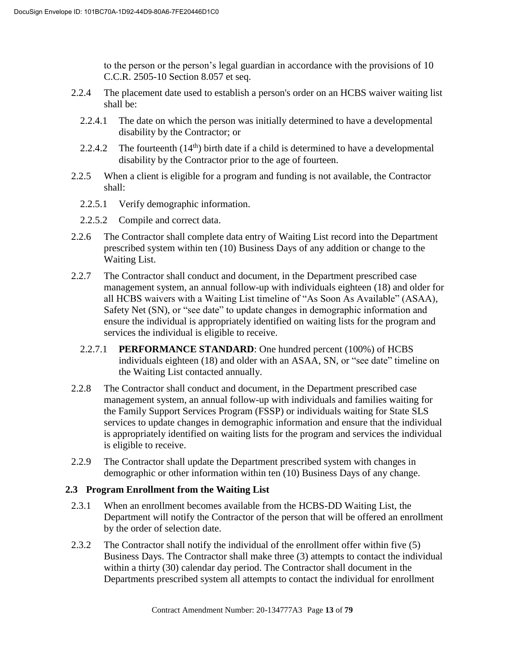to the person or the person's legal guardian in accordance with the provisions of 10 C.C.R. 2505-10 Section 8.057 et seq.

- 2.2.4 The placement date used to establish a person's order on an HCBS waiver waiting list shall be:
	- 2.2.4.1 The date on which the person was initially determined to have a developmental disability by the Contractor; or
	- 2.2.4.2 The fourteenth  $(14<sup>th</sup>)$  birth date if a child is determined to have a developmental disability by the Contractor prior to the age of fourteen.
- 2.2.5 When a client is eligible for a program and funding is not available, the Contractor shall:
	- 2.2.5.1 Verify demographic information.
	- 2.2.5.2 Compile and correct data.
- 2.2.6 The Contractor shall complete data entry of Waiting List record into the Department prescribed system within ten (10) Business Days of any addition or change to the Waiting List.
- 2.2.7 The Contractor shall conduct and document, in the Department prescribed case management system, an annual follow-up with individuals eighteen (18) and older for all HCBS waivers with a Waiting List timeline of "As Soon As Available" (ASAA), Safety Net (SN), or "see date" to update changes in demographic information and ensure the individual is appropriately identified on waiting lists for the program and services the individual is eligible to receive.
	- 2.2.7.1 **PERFORMANCE STANDARD**: One hundred percent (100%) of HCBS individuals eighteen (18) and older with an ASAA, SN, or "see date" timeline on the Waiting List contacted annually.
- 2.2.8 The Contractor shall conduct and document, in the Department prescribed case management system, an annual follow-up with individuals and families waiting for the Family Support Services Program (FSSP) or individuals waiting for State SLS services to update changes in demographic information and ensure that the individual is appropriately identified on waiting lists for the program and services the individual is eligible to receive.
- 2.2.9 The Contractor shall update the Department prescribed system with changes in demographic or other information within ten (10) Business Days of any change.

# **2.3 Program Enrollment from the Waiting List**

- 2.3.1 When an enrollment becomes available from the HCBS-DD Waiting List, the Department will notify the Contractor of the person that will be offered an enrollment by the order of selection date.
- 2.3.2 The Contractor shall notify the individual of the enrollment offer within five (5) Business Days. The Contractor shall make three (3) attempts to contact the individual within a thirty (30) calendar day period. The Contractor shall document in the Departments prescribed system all attempts to contact the individual for enrollment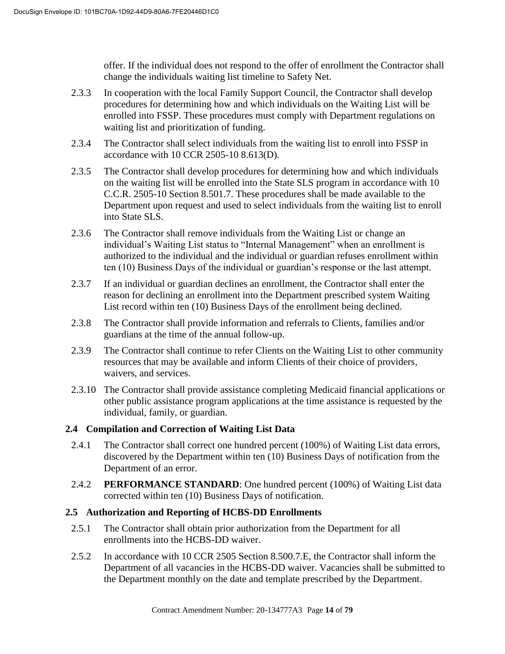offer. If the individual does not respond to the offer of enrollment the Contractor shall change the individuals waiting list timeline to Safety Net.

- 2.3.3 In cooperation with the local Family Support Council, the Contractor shall develop procedures for determining how and which individuals on the Waiting List will be enrolled into FSSP. These procedures must comply with Department regulations on waiting list and prioritization of funding.
- 2.3.4 The Contractor shall select individuals from the waiting list to enroll into FSSP in accordance with 10 CCR 2505-10 8.613(D).
- 2.3.5 The Contractor shall develop procedures for determining how and which individuals on the waiting list will be enrolled into the State SLS program in accordance with 10 C.C.R. 2505-10 Section 8.501.7. These procedures shall be made available to the Department upon request and used to select individuals from the waiting list to enroll into State SLS.
- 2.3.6 The Contractor shall remove individuals from the Waiting List or change an individual's Waiting List status to "Internal Management" when an enrollment is authorized to the individual and the individual or guardian refuses enrollment within ten (10) Business Days of the individual or guardian's response or the last attempt.
- 2.3.7 If an individual or guardian declines an enrollment, the Contractor shall enter the reason for declining an enrollment into the Department prescribed system Waiting List record within ten (10) Business Days of the enrollment being declined.
- 2.3.8 The Contractor shall provide information and referrals to Clients, families and/or guardians at the time of the annual follow-up.
- 2.3.9 The Contractor shall continue to refer Clients on the Waiting List to other community resources that may be available and inform Clients of their choice of providers, waivers, and services.
- 2.3.10 The Contractor shall provide assistance completing Medicaid financial applications or other public assistance program applications at the time assistance is requested by the individual, family, or guardian.

# **2.4 Compilation and Correction of Waiting List Data**

- 2.4.1 The Contractor shall correct one hundred percent (100%) of Waiting List data errors, discovered by the Department within ten (10) Business Days of notification from the Department of an error.
- 2.4.2 **PERFORMANCE STANDARD**: One hundred percent (100%) of Waiting List data corrected within ten (10) Business Days of notification.

# **2.5 Authorization and Reporting of HCBS-DD Enrollments**

- 2.5.1 The Contractor shall obtain prior authorization from the Department for all enrollments into the HCBS-DD waiver.
- 2.5.2 In accordance with 10 CCR 2505 Section 8.500.7.E, the Contractor shall inform the Department of all vacancies in the HCBS-DD waiver. Vacancies shall be submitted to the Department monthly on the date and template prescribed by the Department.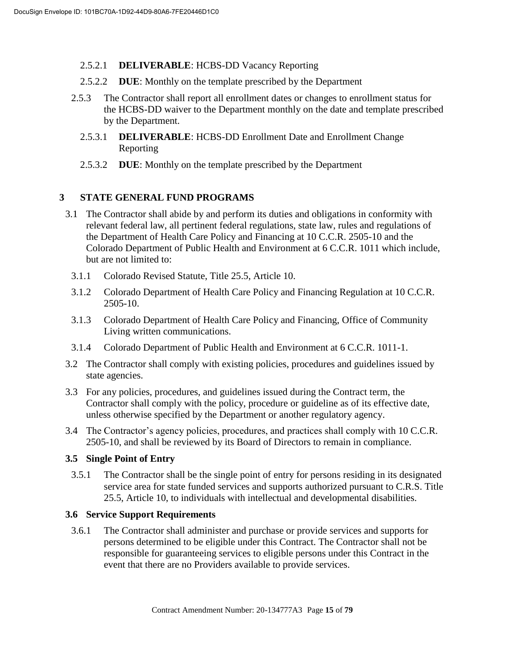- 2.5.2.1 **DELIVERABLE**: HCBS-DD Vacancy Reporting
- 2.5.2.2 **DUE**: Monthly on the template prescribed by the Department
- 2.5.3 The Contractor shall report all enrollment dates or changes to enrollment status for the HCBS-DD waiver to the Department monthly on the date and template prescribed by the Department.
	- 2.5.3.1 **DELIVERABLE**: HCBS-DD Enrollment Date and Enrollment Change Reporting
	- 2.5.3.2 **DUE**: Monthly on the template prescribed by the Department

# **3 STATE GENERAL FUND PROGRAMS**

- 3.1 The Contractor shall abide by and perform its duties and obligations in conformity with relevant federal law, all pertinent federal regulations, state law, rules and regulations of the Department of Health Care Policy and Financing at 10 C.C.R. 2505-10 and the Colorado Department of Public Health and Environment at 6 C.C.R. 1011 which include, but are not limited to:
	- 3.1.1 Colorado Revised Statute, Title 25.5, Article 10.
	- 3.1.2 Colorado Department of Health Care Policy and Financing Regulation at 10 C.C.R. 2505-10.
	- 3.1.3 Colorado Department of Health Care Policy and Financing, Office of Community Living written communications.
	- 3.1.4 Colorado Department of Public Health and Environment at 6 C.C.R. 1011-1.
- 3.2 The Contractor shall comply with existing policies, procedures and guidelines issued by state agencies.
- 3.3 For any policies, procedures, and guidelines issued during the Contract term, the Contractor shall comply with the policy, procedure or guideline as of its effective date, unless otherwise specified by the Department or another regulatory agency.
- 3.4 The Contractor's agency policies, procedures, and practices shall comply with 10 C.C.R. 2505-10, and shall be reviewed by its Board of Directors to remain in compliance.

# **3.5 Single Point of Entry**

3.5.1 The Contractor shall be the single point of entry for persons residing in its designated service area for state funded services and supports authorized pursuant to C.R.S. Title 25.5, Article 10, to individuals with intellectual and developmental disabilities.

# **3.6 Service Support Requirements**

3.6.1 The Contractor shall administer and purchase or provide services and supports for persons determined to be eligible under this Contract. The Contractor shall not be responsible for guaranteeing services to eligible persons under this Contract in the event that there are no Providers available to provide services.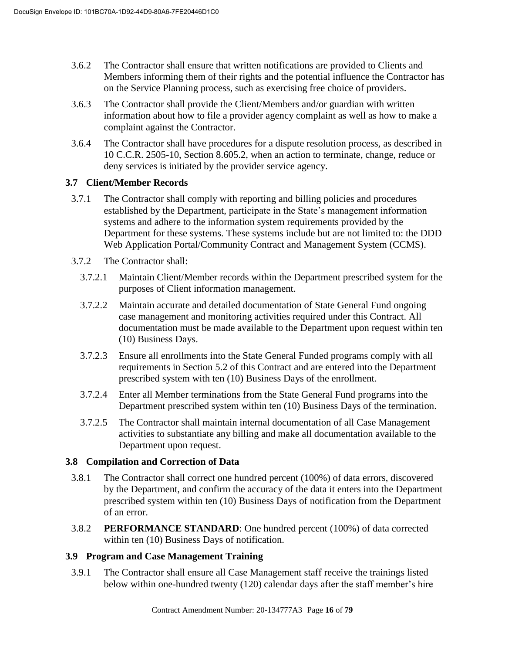- 3.6.2 The Contractor shall ensure that written notifications are provided to Clients and Members informing them of their rights and the potential influence the Contractor has on the Service Planning process, such as exercising free choice of providers.
- 3.6.3 The Contractor shall provide the Client/Members and/or guardian with written information about how to file a provider agency complaint as well as how to make a complaint against the Contractor.
- 3.6.4 The Contractor shall have procedures for a dispute resolution process, as described in 10 C.C.R. 2505-10, Section 8.605.2, when an action to terminate, change, reduce or deny services is initiated by the provider service agency.

# **3.7 Client/Member Records**

- 3.7.1 The Contractor shall comply with reporting and billing policies and procedures established by the Department, participate in the State's management information systems and adhere to the information system requirements provided by the Department for these systems. These systems include but are not limited to: the DDD Web Application Portal/Community Contract and Management System (CCMS).
- 3.7.2 The Contractor shall:
	- 3.7.2.1 Maintain Client/Member records within the Department prescribed system for the purposes of Client information management.
	- 3.7.2.2 Maintain accurate and detailed documentation of State General Fund ongoing case management and monitoring activities required under this Contract. All documentation must be made available to the Department upon request within ten (10) Business Days.
	- 3.7.2.3 Ensure all enrollments into the State General Funded programs comply with all requirements in Section 5.2 of this Contract and are entered into the Department prescribed system with ten (10) Business Days of the enrollment.
	- 3.7.2.4 Enter all Member terminations from the State General Fund programs into the Department prescribed system within ten (10) Business Days of the termination.
	- 3.7.2.5 The Contractor shall maintain internal documentation of all Case Management activities to substantiate any billing and make all documentation available to the Department upon request.

# **3.8 Compilation and Correction of Data**

- 3.8.1 The Contractor shall correct one hundred percent (100%) of data errors, discovered by the Department, and confirm the accuracy of the data it enters into the Department prescribed system within ten (10) Business Days of notification from the Department of an error.
- 3.8.2 **PERFORMANCE STANDARD**: One hundred percent (100%) of data corrected within ten (10) Business Days of notification.

# **3.9 Program and Case Management Training**

3.9.1 The Contractor shall ensure all Case Management staff receive the trainings listed below within one-hundred twenty (120) calendar days after the staff member's hire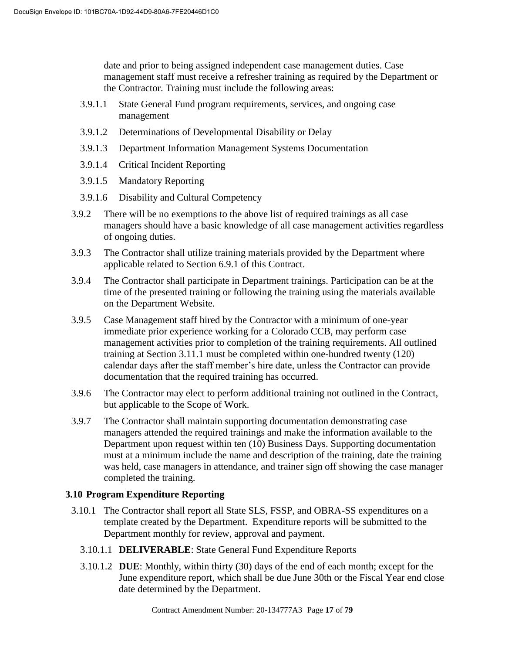date and prior to being assigned independent case management duties. Case management staff must receive a refresher training as required by the Department or the Contractor. Training must include the following areas:

- 3.9.1.1 State General Fund program requirements, services, and ongoing case management
- 3.9.1.2 Determinations of Developmental Disability or Delay
- 3.9.1.3 Department Information Management Systems Documentation
- 3.9.1.4 Critical Incident Reporting
- 3.9.1.5 Mandatory Reporting
- 3.9.1.6 Disability and Cultural Competency
- 3.9.2 There will be no exemptions to the above list of required trainings as all case managers should have a basic knowledge of all case management activities regardless of ongoing duties.
- 3.9.3 The Contractor shall utilize training materials provided by the Department where applicable related to Section 6.9.1 of this Contract.
- 3.9.4 The Contractor shall participate in Department trainings. Participation can be at the time of the presented training or following the training using the materials available on the Department Website.
- 3.9.5 Case Management staff hired by the Contractor with a minimum of one-year immediate prior experience working for a Colorado CCB, may perform case management activities prior to completion of the training requirements. All outlined training at Section 3.11.1 must be completed within one-hundred twenty (120) calendar days after the staff member's hire date, unless the Contractor can provide documentation that the required training has occurred.
- 3.9.6 The Contractor may elect to perform additional training not outlined in the Contract, but applicable to the Scope of Work.
- 3.9.7 The Contractor shall maintain supporting documentation demonstrating case managers attended the required trainings and make the information available to the Department upon request within ten (10) Business Days. Supporting documentation must at a minimum include the name and description of the training, date the training was held, case managers in attendance, and trainer sign off showing the case manager completed the training.

# **3.10 Program Expenditure Reporting**

- 3.10.1 The Contractor shall report all State SLS, FSSP, and OBRA-SS expenditures on a template created by the Department. Expenditure reports will be submitted to the Department monthly for review, approval and payment.
	- 3.10.1.1 **DELIVERABLE**: State General Fund Expenditure Reports
	- 3.10.1.2 **DUE**: Monthly, within thirty (30) days of the end of each month; except for the June expenditure report, which shall be due June 30th or the Fiscal Year end close date determined by the Department.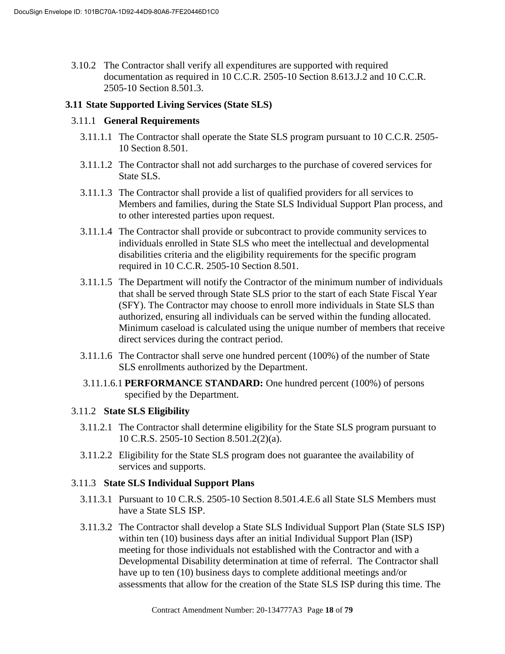3.10.2 The Contractor shall verify all expenditures are supported with required documentation as required in 10 C.C.R. 2505-10 Section 8.613.J.2 and 10 C.C.R. 2505-10 Section 8.501.3.

## **3.11 State Supported Living Services (State SLS)**

#### 3.11.1 **General Requirements**

- 3.11.1.1 The Contractor shall operate the State SLS program pursuant to 10 C.C.R. 2505- 10 Section 8.501.
- 3.11.1.2 The Contractor shall not add surcharges to the purchase of covered services for State SLS.
- 3.11.1.3 The Contractor shall provide a list of qualified providers for all services to Members and families, during the State SLS Individual Support Plan process, and to other interested parties upon request.
- 3.11.1.4 The Contractor shall provide or subcontract to provide community services to individuals enrolled in State SLS who meet the intellectual and developmental disabilities criteria and the eligibility requirements for the specific program required in 10 C.C.R. 2505-10 Section 8.501.
- 3.11.1.5 The Department will notify the Contractor of the minimum number of individuals that shall be served through State SLS prior to the start of each State Fiscal Year (SFY). The Contractor may choose to enroll more individuals in State SLS than authorized, ensuring all individuals can be served within the funding allocated. Minimum caseload is calculated using the unique number of members that receive direct services during the contract period.
- 3.11.1.6 The Contractor shall serve one hundred percent (100%) of the number of State SLS enrollments authorized by the Department.
- 3.11.1.6.1 **PERFORMANCE STANDARD:** One hundred percent (100%) of persons specified by the Department.

# 3.11.2 **State SLS Eligibility**

- 3.11.2.1 The Contractor shall determine eligibility for the State SLS program pursuant to 10 C.R.S. 2505-10 Section 8.501.2(2)(a).
- 3.11.2.2 Eligibility for the State SLS program does not guarantee the availability of services and supports.

#### 3.11.3 **State SLS Individual Support Plans**

- 3.11.3.1 Pursuant to 10 C.R.S. 2505-10 Section 8.501.4.E.6 all State SLS Members must have a State SLS ISP.
- 3.11.3.2 The Contractor shall develop a State SLS Individual Support Plan (State SLS ISP) within ten (10) business days after an initial Individual Support Plan (ISP) meeting for those individuals not established with the Contractor and with a Developmental Disability determination at time of referral. The Contractor shall have up to ten (10) business days to complete additional meetings and/or assessments that allow for the creation of the State SLS ISP during this time. The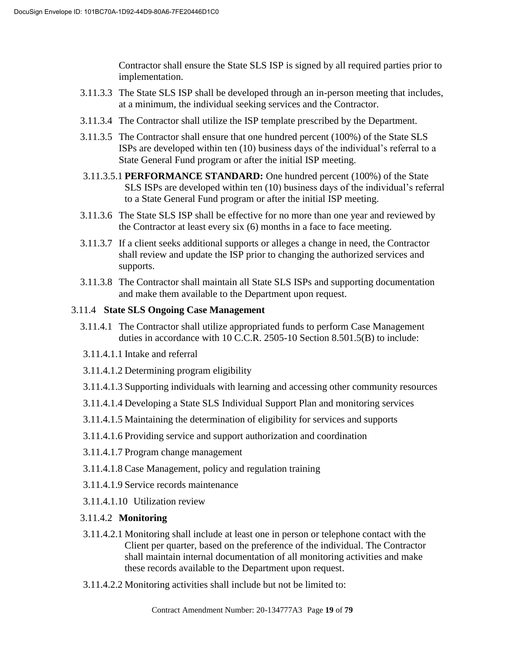Contractor shall ensure the State SLS ISP is signed by all required parties prior to implementation.

- 3.11.3.3 The State SLS ISP shall be developed through an in-person meeting that includes, at a minimum, the individual seeking services and the Contractor.
- 3.11.3.4 The Contractor shall utilize the ISP template prescribed by the Department.
- 3.11.3.5 The Contractor shall ensure that one hundred percent (100%) of the State SLS ISPs are developed within ten (10) business days of the individual's referral to a State General Fund program or after the initial ISP meeting.
- 3.11.3.5.1 **PERFORMANCE STANDARD:** One hundred percent (100%) of the State SLS ISPs are developed within ten (10) business days of the individual's referral to a State General Fund program or after the initial ISP meeting.
- 3.11.3.6 The State SLS ISP shall be effective for no more than one year and reviewed by the Contractor at least every six (6) months in a face to face meeting.
- 3.11.3.7 If a client seeks additional supports or alleges a change in need, the Contractor shall review and update the ISP prior to changing the authorized services and supports.
- 3.11.3.8 The Contractor shall maintain all State SLS ISPs and supporting documentation and make them available to the Department upon request.

# 3.11.4 **State SLS Ongoing Case Management**

- 3.11.4.1 The Contractor shall utilize appropriated funds to perform Case Management duties in accordance with 10 C.C.R. 2505-10 Section 8.501.5(B) to include:
- 3.11.4.1.1 Intake and referral
- 3.11.4.1.2 Determining program eligibility
- 3.11.4.1.3 Supporting individuals with learning and accessing other community resources
- 3.11.4.1.4 Developing a State SLS Individual Support Plan and monitoring services
- 3.11.4.1.5 Maintaining the determination of eligibility for services and supports
- 3.11.4.1.6 Providing service and support authorization and coordination
- 3.11.4.1.7 Program change management
- 3.11.4.1.8 Case Management, policy and regulation training
- 3.11.4.1.9 Service records maintenance
- 3.11.4.1.10 Utilization review

# 3.11.4.2 **Monitoring**

- 3.11.4.2.1 Monitoring shall include at least one in person or telephone contact with the Client per quarter, based on the preference of the individual. The Contractor shall maintain internal documentation of all monitoring activities and make these records available to the Department upon request.
- 3.11.4.2.2 Monitoring activities shall include but not be limited to: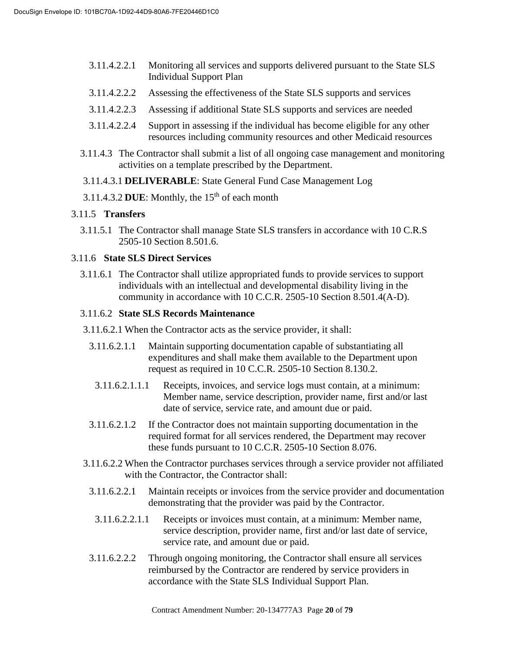- 3.11.4.2.2.1 Monitoring all services and supports delivered pursuant to the State SLS Individual Support Plan
- 3.11.4.2.2.2 Assessing the effectiveness of the State SLS supports and services
- 3.11.4.2.2.3 Assessing if additional State SLS supports and services are needed
- 3.11.4.2.2.4 Support in assessing if the individual has become eligible for any other resources including community resources and other Medicaid resources
- 3.11.4.3 The Contractor shall submit a list of all ongoing case management and monitoring activities on a template prescribed by the Department.
- 3.11.4.3.1 **DELIVERABLE**: State General Fund Case Management Log
- 3.11.4.3.2 DUE: Monthly, the  $15<sup>th</sup>$  of each month

#### 3.11.5 **Transfers**

3.11.5.1 The Contractor shall manage State SLS transfers in accordance with 10 C.R.S 2505-10 Section 8.501.6.

#### 3.11.6 **State SLS Direct Services**

3.11.6.1 The Contractor shall utilize appropriated funds to provide services to support individuals with an intellectual and developmental disability living in the community in accordance with 10 C.C.R. 2505-10 Section 8.501.4(A-D).

#### 3.11.6.2 **State SLS Records Maintenance**

- 3.11.6.2.1 When the Contractor acts as the service provider, it shall:
	- 3.11.6.2.1.1 Maintain supporting documentation capable of substantiating all expenditures and shall make them available to the Department upon request as required in 10 C.C.R. 2505-10 Section 8.130.2.
	- 3.11.6.2.1.1.1 Receipts, invoices, and service logs must contain, at a minimum: Member name, service description, provider name, first and/or last date of service, service rate, and amount due or paid.
	- 3.11.6.2.1.2 If the Contractor does not maintain supporting documentation in the required format for all services rendered, the Department may recover these funds pursuant to 10 C.C.R. 2505-10 Section 8.076.
- 3.11.6.2.2 When the Contractor purchases services through a service provider not affiliated with the Contractor, the Contractor shall:
	- 3.11.6.2.2.1 Maintain receipts or invoices from the service provider and documentation demonstrating that the provider was paid by the Contractor.
	- 3.11.6.2.2.1.1 Receipts or invoices must contain, at a minimum: Member name, service description, provider name, first and/or last date of service, service rate, and amount due or paid.
	- 3.11.6.2.2.2 Through ongoing monitoring, the Contractor shall ensure all services reimbursed by the Contractor are rendered by service providers in accordance with the State SLS Individual Support Plan.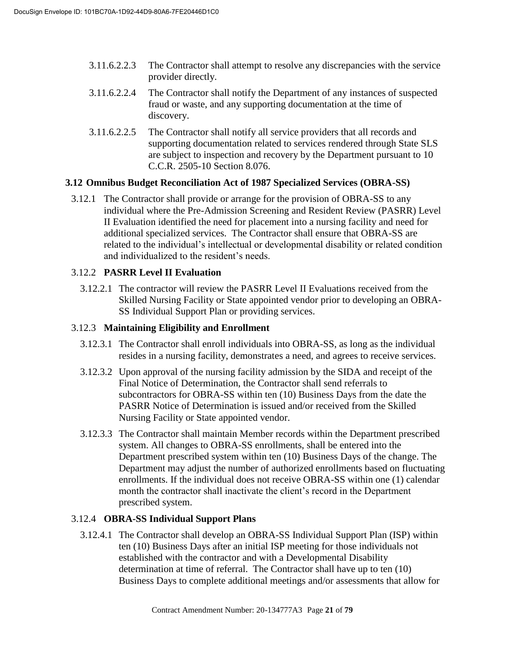- 3.11.6.2.2.3 The Contractor shall attempt to resolve any discrepancies with the service provider directly.
- 3.11.6.2.2.4 The Contractor shall notify the Department of any instances of suspected fraud or waste, and any supporting documentation at the time of discovery.
- 3.11.6.2.2.5 The Contractor shall notify all service providers that all records and supporting documentation related to services rendered through State SLS are subject to inspection and recovery by the Department pursuant to 10 C.C.R. 2505-10 Section 8.076.

# **3.12 Omnibus Budget Reconciliation Act of 1987 Specialized Services (OBRA-SS)**

3.12.1 The Contractor shall provide or arrange for the provision of OBRA-SS to any individual where the Pre-Admission Screening and Resident Review (PASRR) Level II Evaluation identified the need for placement into a nursing facility and need for additional specialized services. The Contractor shall ensure that OBRA-SS are related to the individual's intellectual or developmental disability or related condition and individualized to the resident's needs.

# 3.12.2 **PASRR Level II Evaluation**

3.12.2.1 The contractor will review the PASRR Level II Evaluations received from the Skilled Nursing Facility or State appointed vendor prior to developing an OBRA-SS Individual Support Plan or providing services.

# 3.12.3 **Maintaining Eligibility and Enrollment**

- 3.12.3.1 The Contractor shall enroll individuals into OBRA-SS, as long as the individual resides in a nursing facility, demonstrates a need, and agrees to receive services.
- 3.12.3.2 Upon approval of the nursing facility admission by the SIDA and receipt of the Final Notice of Determination, the Contractor shall send referrals to subcontractors for OBRA-SS within ten (10) Business Days from the date the PASRR Notice of Determination is issued and/or received from the Skilled Nursing Facility or State appointed vendor.
- 3.12.3.3 The Contractor shall maintain Member records within the Department prescribed system. All changes to OBRA-SS enrollments, shall be entered into the Department prescribed system within ten (10) Business Days of the change. The Department may adjust the number of authorized enrollments based on fluctuating enrollments. If the individual does not receive OBRA-SS within one (1) calendar month the contractor shall inactivate the client's record in the Department prescribed system.

# 3.12.4 **OBRA-SS Individual Support Plans**

3.12.4.1 The Contractor shall develop an OBRA-SS Individual Support Plan (ISP) within ten (10) Business Days after an initial ISP meeting for those individuals not established with the contractor and with a Developmental Disability determination at time of referral. The Contractor shall have up to ten (10) Business Days to complete additional meetings and/or assessments that allow for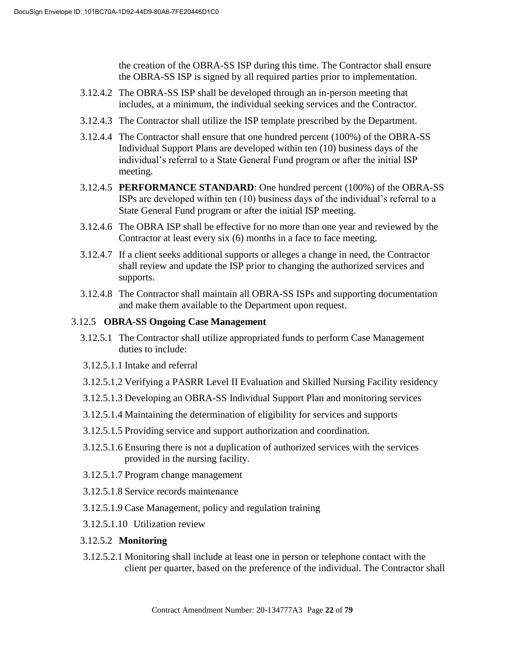the creation of the OBRA-SS ISP during this time. The Contractor shall ensure the OBRA-SS ISP is signed by all required parties prior to implementation.

- 3.12.4.2 The OBRA-SS ISP shall be developed through an in-person meeting that includes, at a minimum, the individual seeking services and the Contractor.
- 3.12.4.3 The Contractor shall utilize the ISP template prescribed by the Department.
- 3.12.4.4 The Contractor shall ensure that one hundred percent (100%) of the OBRA-SS Individual Support Plans are developed within ten (10) business days of the individual's referral to a State General Fund program or after the initial ISP meeting.
- 3.12.4.5 **PERFORMANCE STANDARD**: One hundred percent (100%) of the OBRA-SS ISPs are developed within ten (10) business days of the individual's referral to a State General Fund program or after the initial ISP meeting.
- 3.12.4.6 The OBRA ISP shall be effective for no more than one year and reviewed by the Contractor at least every six (6) months in a face to face meeting.
- 3.12.4.7 If a client seeks additional supports or alleges a change in need, the Contractor shall review and update the ISP prior to changing the authorized services and supports.
- 3.12.4.8 The Contractor shall maintain all OBRA-SS ISPs and supporting documentation and make them available to the Department upon request.

# 3.12.5 **OBRA-SS Ongoing Case Management**

- 3.12.5.1 The Contractor shall utilize appropriated funds to perform Case Management duties to include:
- 3.12.5.1.1 Intake and referral
- 3.12.5.1.2 Verifying a PASRR Level II Evaluation and Skilled Nursing Facility residency
- 3.12.5.1.3 Developing an OBRA-SS Individual Support Plan and monitoring services
- 3.12.5.1.4 Maintaining the determination of eligibility for services and supports
- 3.12.5.1.5 Providing service and support authorization and coordination.
- 3.12.5.1.6 Ensuring there is not a duplication of authorized services with the services provided in the nursing facility.
- 3.12.5.1.7 Program change management
- 3.12.5.1.8 Service records maintenance
- 3.12.5.1.9 Case Management, policy and regulation training
- 3.12.5.1.10 Utilization review
- 3.12.5.2 **Monitoring**
- 3.12.5.2.1 Monitoring shall include at least one in person or telephone contact with the client per quarter, based on the preference of the individual. The Contractor shall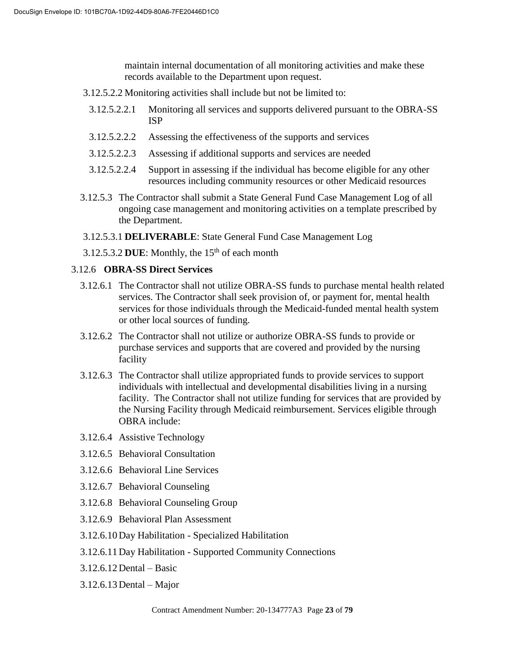maintain internal documentation of all monitoring activities and make these records available to the Department upon request.

- 3.12.5.2.2 Monitoring activities shall include but not be limited to:
	- 3.12.5.2.2.1 Monitoring all services and supports delivered pursuant to the OBRA-SS ISP
	- 3.12.5.2.2.2 Assessing the effectiveness of the supports and services
	- 3.12.5.2.2.3 Assessing if additional supports and services are needed
	- 3.12.5.2.2.4 Support in assessing if the individual has become eligible for any other resources including community resources or other Medicaid resources
- 3.12.5.3 The Contractor shall submit a State General Fund Case Management Log of all ongoing case management and monitoring activities on a template prescribed by the Department.
- 3.12.5.3.1 **DELIVERABLE**: State General Fund Case Management Log
- 3.12.5.3.2 DUE: Monthly, the  $15<sup>th</sup>$  of each month

# 3.12.6 **OBRA-SS Direct Services**

- 3.12.6.1 The Contractor shall not utilize OBRA-SS funds to purchase mental health related services. The Contractor shall seek provision of, or payment for, mental health services for those individuals through the Medicaid-funded mental health system or other local sources of funding.
- 3.12.6.2 The Contractor shall not utilize or authorize OBRA-SS funds to provide or purchase services and supports that are covered and provided by the nursing facility
- 3.12.6.3 The Contractor shall utilize appropriated funds to provide services to support individuals with intellectual and developmental disabilities living in a nursing facility. The Contractor shall not utilize funding for services that are provided by the Nursing Facility through Medicaid reimbursement. Services eligible through OBRA include:
- 3.12.6.4 Assistive Technology
- 3.12.6.5 Behavioral Consultation
- 3.12.6.6 Behavioral Line Services
- 3.12.6.7 Behavioral Counseling
- 3.12.6.8 Behavioral Counseling Group
- 3.12.6.9 Behavioral Plan Assessment
- 3.12.6.10 Day Habilitation Specialized Habilitation
- 3.12.6.11 Day Habilitation Supported Community Connections
- 3.12.6.12 Dental Basic
- 3.12.6.13 Dental Major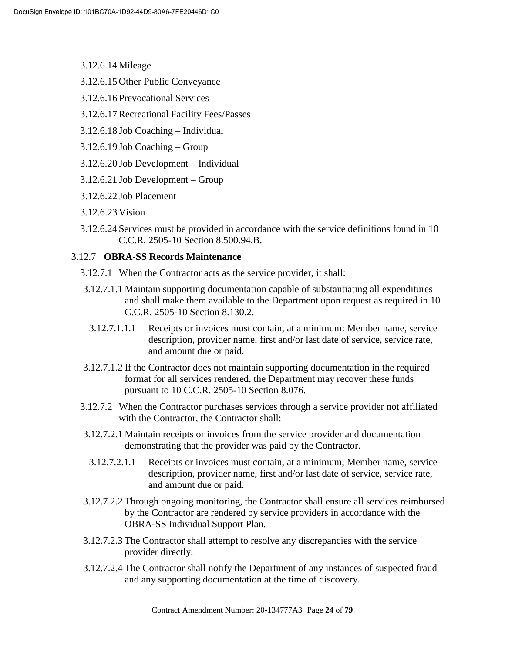- 3.12.6.14 Mileage
- 3.12.6.15 Other Public Conveyance
- 3.12.6.16 Prevocational Services
- 3.12.6.17Recreational Facility Fees/Passes
- 3.12.6.18 Job Coaching Individual
- 3.12.6.19 Job Coaching Group
- 3.12.6.20 Job Development Individual
- 3.12.6.21 Job Development Group
- 3.12.6.22 Job Placement
- 3.12.6.23 Vision
- 3.12.6.24 Services must be provided in accordance with the service definitions found in 10 C.C.R. 2505-10 Section 8.500.94.B.

# 3.12.7 **OBRA-SS Records Maintenance**

- 3.12.7.1 When the Contractor acts as the service provider, it shall:
- 3.12.7.1.1 Maintain supporting documentation capable of substantiating all expenditures and shall make them available to the Department upon request as required in 10 C.C.R. 2505-10 Section 8.130.2.
	- 3.12.7.1.1.1 Receipts or invoices must contain, at a minimum: Member name, service description, provider name, first and/or last date of service, service rate, and amount due or paid.
- 3.12.7.1.2 If the Contractor does not maintain supporting documentation in the required format for all services rendered, the Department may recover these funds pursuant to 10 C.C.R. 2505-10 Section 8.076.
- 3.12.7.2 When the Contractor purchases services through a service provider not affiliated with the Contractor, the Contractor shall:
- 3.12.7.2.1 Maintain receipts or invoices from the service provider and documentation demonstrating that the provider was paid by the Contractor.
	- 3.12.7.2.1.1 Receipts or invoices must contain, at a minimum, Member name, service description, provider name, first and/or last date of service, service rate, and amount due or paid.
- 3.12.7.2.2 Through ongoing monitoring, the Contractor shall ensure all services reimbursed by the Contractor are rendered by service providers in accordance with the OBRA-SS Individual Support Plan.
- 3.12.7.2.3 The Contractor shall attempt to resolve any discrepancies with the service provider directly.
- 3.12.7.2.4 The Contractor shall notify the Department of any instances of suspected fraud and any supporting documentation at the time of discovery.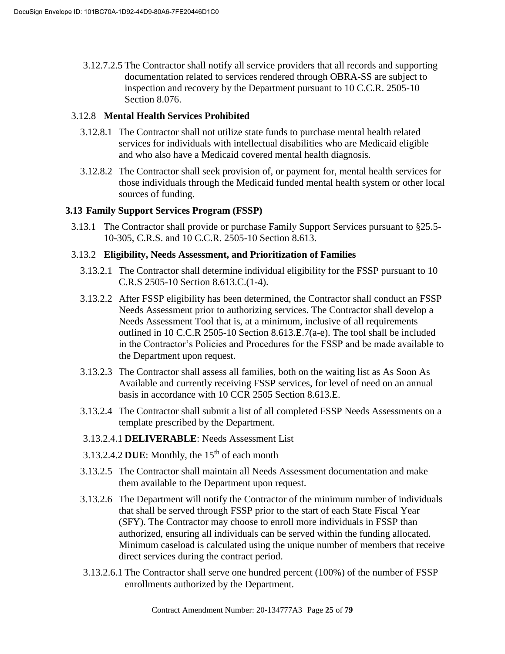3.12.7.2.5 The Contractor shall notify all service providers that all records and supporting documentation related to services rendered through OBRA-SS are subject to inspection and recovery by the Department pursuant to 10 C.C.R. 2505-10 Section 8.076.

# 3.12.8 **Mental Health Services Prohibited**

- 3.12.8.1 The Contractor shall not utilize state funds to purchase mental health related services for individuals with intellectual disabilities who are Medicaid eligible and who also have a Medicaid covered mental health diagnosis.
- 3.12.8.2 The Contractor shall seek provision of, or payment for, mental health services for those individuals through the Medicaid funded mental health system or other local sources of funding.

# **3.13 Family Support Services Program (FSSP)**

3.13.1 The Contractor shall provide or purchase Family Support Services pursuant to §25.5- 10-305, C.R.S. and 10 C.C.R. 2505-10 Section 8.613.

# 3.13.2 **Eligibility, Needs Assessment, and Prioritization of Families**

- 3.13.2.1 The Contractor shall determine individual eligibility for the FSSP pursuant to 10 C.R.S 2505-10 Section 8.613.C.(1-4).
- 3.13.2.2 After FSSP eligibility has been determined, the Contractor shall conduct an FSSP Needs Assessment prior to authorizing services. The Contractor shall develop a Needs Assessment Tool that is, at a minimum, inclusive of all requirements outlined in 10 C.C.R 2505-10 Section 8.613.E.7(a-e). The tool shall be included in the Contractor's Policies and Procedures for the FSSP and be made available to the Department upon request.
- 3.13.2.3 The Contractor shall assess all families, both on the waiting list as As Soon As Available and currently receiving FSSP services, for level of need on an annual basis in accordance with 10 CCR 2505 Section 8.613.E.
- 3.13.2.4 The Contractor shall submit a list of all completed FSSP Needs Assessments on a template prescribed by the Department.
- 3.13.2.4.1 **DELIVERABLE**: Needs Assessment List
- 3.13.2.4.2 DUE: Monthly, the  $15<sup>th</sup>$  of each month
- 3.13.2.5 The Contractor shall maintain all Needs Assessment documentation and make them available to the Department upon request.
- 3.13.2.6 The Department will notify the Contractor of the minimum number of individuals that shall be served through FSSP prior to the start of each State Fiscal Year (SFY). The Contractor may choose to enroll more individuals in FSSP than authorized, ensuring all individuals can be served within the funding allocated. Minimum caseload is calculated using the unique number of members that receive direct services during the contract period.
- 3.13.2.6.1 The Contractor shall serve one hundred percent (100%) of the number of FSSP enrollments authorized by the Department.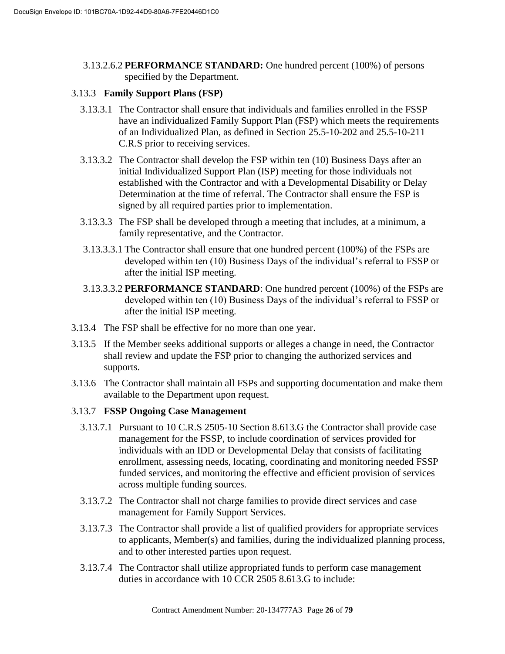3.13.2.6.2 **PERFORMANCE STANDARD:** One hundred percent (100%) of persons specified by the Department.

# 3.13.3 **Family Support Plans (FSP)**

- 3.13.3.1 The Contractor shall ensure that individuals and families enrolled in the FSSP have an individualized Family Support Plan (FSP) which meets the requirements of an Individualized Plan, as defined in Section 25.5-10-202 and 25.5-10-211 C.R.S prior to receiving services.
- 3.13.3.2 The Contractor shall develop the FSP within ten (10) Business Days after an initial Individualized Support Plan (ISP) meeting for those individuals not established with the Contractor and with a Developmental Disability or Delay Determination at the time of referral. The Contractor shall ensure the FSP is signed by all required parties prior to implementation.
- 3.13.3.3 The FSP shall be developed through a meeting that includes, at a minimum, a family representative, and the Contractor.
- 3.13.3.3.1 The Contractor shall ensure that one hundred percent (100%) of the FSPs are developed within ten (10) Business Days of the individual's referral to FSSP or after the initial ISP meeting.
- 3.13.3.3.2 **PERFORMANCE STANDARD**: One hundred percent (100%) of the FSPs are developed within ten (10) Business Days of the individual's referral to FSSP or after the initial ISP meeting.
- 3.13.4 The FSP shall be effective for no more than one year.
- 3.13.5 If the Member seeks additional supports or alleges a change in need, the Contractor shall review and update the FSP prior to changing the authorized services and supports.
- 3.13.6 The Contractor shall maintain all FSPs and supporting documentation and make them available to the Department upon request.

# 3.13.7 **FSSP Ongoing Case Management**

- 3.13.7.1 Pursuant to 10 C.R.S 2505-10 Section 8.613.G the Contractor shall provide case management for the FSSP, to include coordination of services provided for individuals with an IDD or Developmental Delay that consists of facilitating enrollment, assessing needs, locating, coordinating and monitoring needed FSSP funded services, and monitoring the effective and efficient provision of services across multiple funding sources.
- 3.13.7.2 The Contractor shall not charge families to provide direct services and case management for Family Support Services.
- 3.13.7.3 The Contractor shall provide a list of qualified providers for appropriate services to applicants, Member(s) and families, during the individualized planning process, and to other interested parties upon request.
- 3.13.7.4 The Contractor shall utilize appropriated funds to perform case management duties in accordance with 10 CCR 2505 8.613.G to include: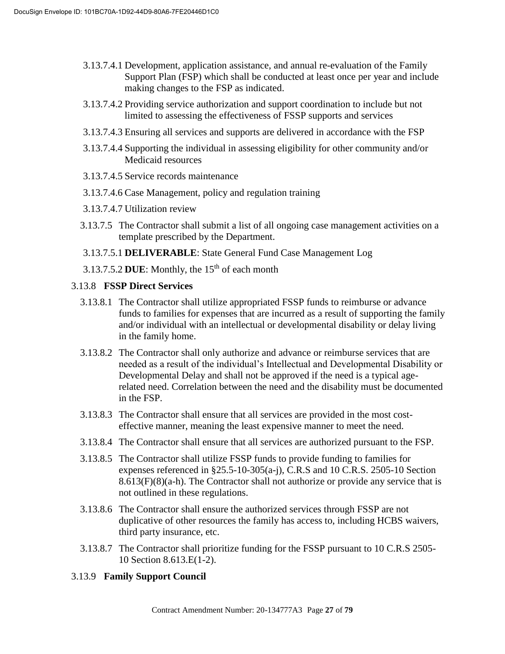- 3.13.7.4.1 Development, application assistance, and annual re-evaluation of the Family Support Plan (FSP) which shall be conducted at least once per year and include making changes to the FSP as indicated.
- 3.13.7.4.2 Providing service authorization and support coordination to include but not limited to assessing the effectiveness of FSSP supports and services
- 3.13.7.4.3 Ensuring all services and supports are delivered in accordance with the FSP
- 3.13.7.4.4 Supporting the individual in assessing eligibility for other community and/or Medicaid resources
- 3.13.7.4.5 Service records maintenance
- 3.13.7.4.6 Case Management, policy and regulation training
- 3.13.7.4.7 Utilization review
- 3.13.7.5 The Contractor shall submit a list of all ongoing case management activities on a template prescribed by the Department.
- 3.13.7.5.1 **DELIVERABLE**: State General Fund Case Management Log
- 3.13.7.5.2 DUE: Monthly, the  $15<sup>th</sup>$  of each month

# 3.13.8 **FSSP Direct Services**

- 3.13.8.1 The Contractor shall utilize appropriated FSSP funds to reimburse or advance funds to families for expenses that are incurred as a result of supporting the family and/or individual with an intellectual or developmental disability or delay living in the family home.
- 3.13.8.2 The Contractor shall only authorize and advance or reimburse services that are needed as a result of the individual's Intellectual and Developmental Disability or Developmental Delay and shall not be approved if the need is a typical agerelated need. Correlation between the need and the disability must be documented in the FSP.
- 3.13.8.3 The Contractor shall ensure that all services are provided in the most costeffective manner, meaning the least expensive manner to meet the need.
- 3.13.8.4 The Contractor shall ensure that all services are authorized pursuant to the FSP.
- 3.13.8.5 The Contractor shall utilize FSSP funds to provide funding to families for expenses referenced in §25.5-10-305(a-j), C.R.S and 10 C.R.S. 2505-10 Section  $8.613(F)(8)(a-h)$ . The Contractor shall not authorize or provide any service that is not outlined in these regulations.
- 3.13.8.6 The Contractor shall ensure the authorized services through FSSP are not duplicative of other resources the family has access to, including HCBS waivers, third party insurance, etc.
- 3.13.8.7 The Contractor shall prioritize funding for the FSSP pursuant to 10 C.R.S 2505- 10 Section 8.613.E(1-2).

# 3.13.9 **Family Support Council**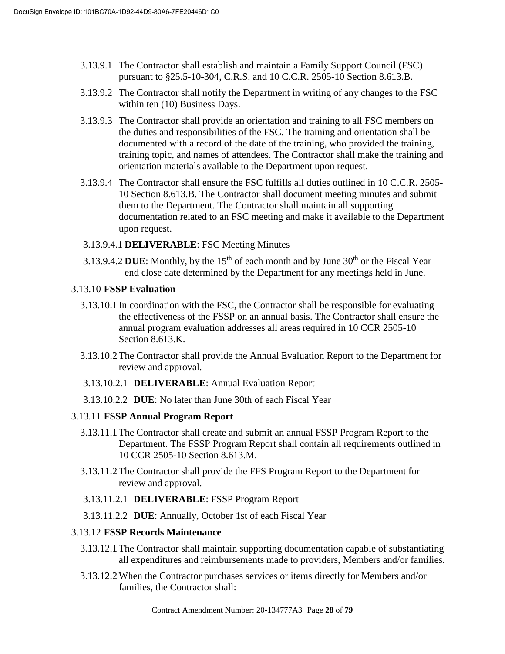- 3.13.9.1 The Contractor shall establish and maintain a Family Support Council (FSC) pursuant to §25.5-10-304, C.R.S. and 10 C.C.R. 2505-10 Section 8.613.B.
- 3.13.9.2 The Contractor shall notify the Department in writing of any changes to the FSC within ten (10) Business Days.
- 3.13.9.3 The Contractor shall provide an orientation and training to all FSC members on the duties and responsibilities of the FSC. The training and orientation shall be documented with a record of the date of the training, who provided the training, training topic, and names of attendees. The Contractor shall make the training and orientation materials available to the Department upon request.
- 3.13.9.4 The Contractor shall ensure the FSC fulfills all duties outlined in 10 C.C.R. 2505- 10 Section 8.613.B. The Contractor shall document meeting minutes and submit them to the Department. The Contractor shall maintain all supporting documentation related to an FSC meeting and make it available to the Department upon request.
- 3.13.9.4.1 **DELIVERABLE**: FSC Meeting Minutes
- 3.13.9.4.2 **DUE**: Monthly, by the  $15<sup>th</sup>$  of each month and by June  $30<sup>th</sup>$  or the Fiscal Year end close date determined by the Department for any meetings held in June.

# 3.13.10 **FSSP Evaluation**

- 3.13.10.1 In coordination with the FSC, the Contractor shall be responsible for evaluating the effectiveness of the FSSP on an annual basis. The Contractor shall ensure the annual program evaluation addresses all areas required in 10 CCR 2505-10 Section 8.613.K.
- 3.13.10.2The Contractor shall provide the Annual Evaluation Report to the Department for review and approval.
- 3.13.10.2.1 **DELIVERABLE**: Annual Evaluation Report
- 3.13.10.2.2 **DUE**: No later than June 30th of each Fiscal Year

# 3.13.11 **FSSP Annual Program Report**

- 3.13.11.1The Contractor shall create and submit an annual FSSP Program Report to the Department. The FSSP Program Report shall contain all requirements outlined in 10 CCR 2505-10 Section 8.613.M.
- 3.13.11.2The Contractor shall provide the FFS Program Report to the Department for review and approval.

# 3.13.11.2.1 **DELIVERABLE**: FSSP Program Report

3.13.11.2.2 **DUE**: Annually, October 1st of each Fiscal Year

# 3.13.12 **FSSP Records Maintenance**

- 3.13.12.1The Contractor shall maintain supporting documentation capable of substantiating all expenditures and reimbursements made to providers, Members and/or families.
- 3.13.12.2When the Contractor purchases services or items directly for Members and/or families, the Contractor shall: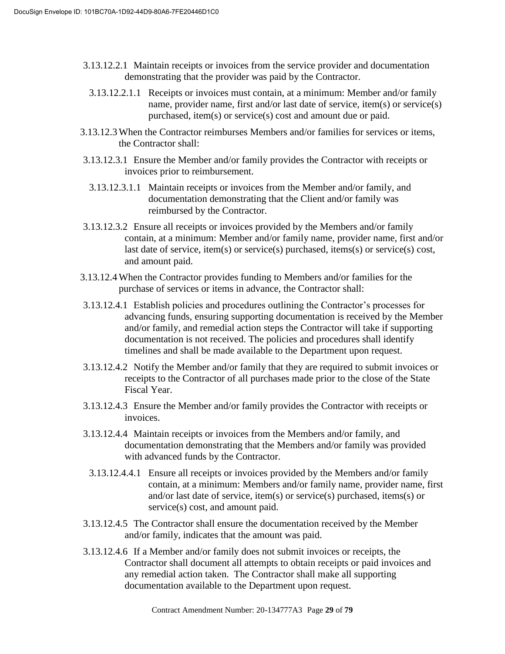- 3.13.12.2.1 Maintain receipts or invoices from the service provider and documentation demonstrating that the provider was paid by the Contractor.
	- 3.13.12.2.1.1 Receipts or invoices must contain, at a minimum: Member and/or family name, provider name, first and/or last date of service, item(s) or service(s) purchased, item(s) or service(s) cost and amount due or paid.
- 3.13.12.3When the Contractor reimburses Members and/or families for services or items, the Contractor shall:
- 3.13.12.3.1 Ensure the Member and/or family provides the Contractor with receipts or invoices prior to reimbursement.
	- 3.13.12.3.1.1 Maintain receipts or invoices from the Member and/or family, and documentation demonstrating that the Client and/or family was reimbursed by the Contractor.
- 3.13.12.3.2 Ensure all receipts or invoices provided by the Members and/or family contain, at a minimum: Member and/or family name, provider name, first and/or last date of service, item(s) or service(s) purchased, items(s) or service(s) cost, and amount paid.
- 3.13.12.4When the Contractor provides funding to Members and/or families for the purchase of services or items in advance, the Contractor shall:
- 3.13.12.4.1 Establish policies and procedures outlining the Contractor's processes for advancing funds, ensuring supporting documentation is received by the Member and/or family, and remedial action steps the Contractor will take if supporting documentation is not received. The policies and procedures shall identify timelines and shall be made available to the Department upon request.
- 3.13.12.4.2 Notify the Member and/or family that they are required to submit invoices or receipts to the Contractor of all purchases made prior to the close of the State Fiscal Year.
- 3.13.12.4.3 Ensure the Member and/or family provides the Contractor with receipts or invoices.
- 3.13.12.4.4 Maintain receipts or invoices from the Members and/or family, and documentation demonstrating that the Members and/or family was provided with advanced funds by the Contractor.
- 3.13.12.4.4.1 Ensure all receipts or invoices provided by the Members and/or family contain, at a minimum: Members and/or family name, provider name, first and/or last date of service, item(s) or service(s) purchased, items(s) or service(s) cost, and amount paid.
- 3.13.12.4.5 The Contractor shall ensure the documentation received by the Member and/or family, indicates that the amount was paid.
- 3.13.12.4.6 If a Member and/or family does not submit invoices or receipts, the Contractor shall document all attempts to obtain receipts or paid invoices and any remedial action taken. The Contractor shall make all supporting documentation available to the Department upon request.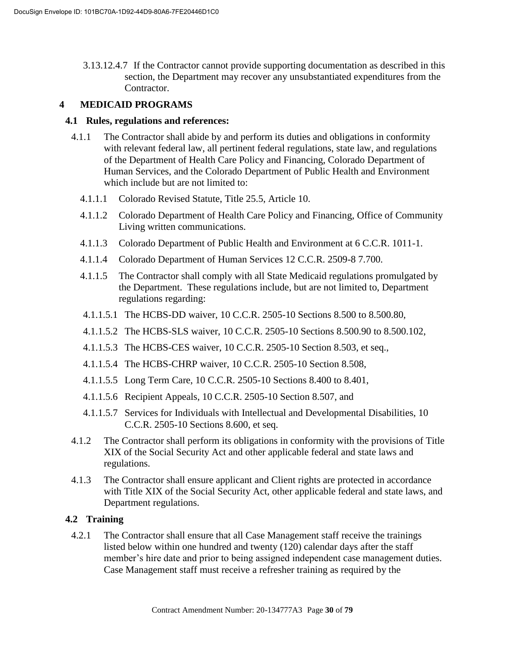3.13.12.4.7 If the Contractor cannot provide supporting documentation as described in this section, the Department may recover any unsubstantiated expenditures from the Contractor.

# **4 MEDICAID PROGRAMS**

## **4.1 Rules, regulations and references:**

- 4.1.1 The Contractor shall abide by and perform its duties and obligations in conformity with relevant federal law, all pertinent federal regulations, state law, and regulations of the Department of Health Care Policy and Financing, Colorado Department of Human Services, and the Colorado Department of Public Health and Environment which include but are not limited to:
	- 4.1.1.1 Colorado Revised Statute, Title 25.5, Article 10.
	- 4.1.1.2 Colorado Department of Health Care Policy and Financing, Office of Community Living written communications.
	- 4.1.1.3 Colorado Department of Public Health and Environment at 6 C.C.R. 1011-1.
	- 4.1.1.4 Colorado Department of Human Services 12 C.C.R. 2509-8 7.700.
	- 4.1.1.5 The Contractor shall comply with all State Medicaid regulations promulgated by the Department. These regulations include, but are not limited to, Department regulations regarding:
	- 4.1.1.5.1 The HCBS-DD waiver, 10 C.C.R. 2505-10 Sections 8.500 to 8.500.80,
	- 4.1.1.5.2 The HCBS-SLS waiver, 10 C.C.R. 2505-10 Sections 8.500.90 to 8.500.102,
	- 4.1.1.5.3 The HCBS-CES waiver, 10 C.C.R. 2505-10 Section 8.503, et seq.,
	- 4.1.1.5.4 The HCBS-CHRP waiver, 10 C.C.R. 2505-10 Section 8.508,
	- 4.1.1.5.5 Long Term Care, 10 C.C.R. 2505-10 Sections 8.400 to 8.401,
	- 4.1.1.5.6 Recipient Appeals, 10 C.C.R. 2505-10 Section 8.507, and
	- 4.1.1.5.7 Services for Individuals with Intellectual and Developmental Disabilities, 10 C.C.R. 2505-10 Sections 8.600, et seq.
- 4.1.2 The Contractor shall perform its obligations in conformity with the provisions of Title XIX of the Social Security Act and other applicable federal and state laws and regulations.
- 4.1.3 The Contractor shall ensure applicant and Client rights are protected in accordance with Title XIX of the Social Security Act, other applicable federal and state laws, and Department regulations.

# **4.2 Training**

4.2.1 The Contractor shall ensure that all Case Management staff receive the trainings listed below within one hundred and twenty (120) calendar days after the staff member's hire date and prior to being assigned independent case management duties. Case Management staff must receive a refresher training as required by the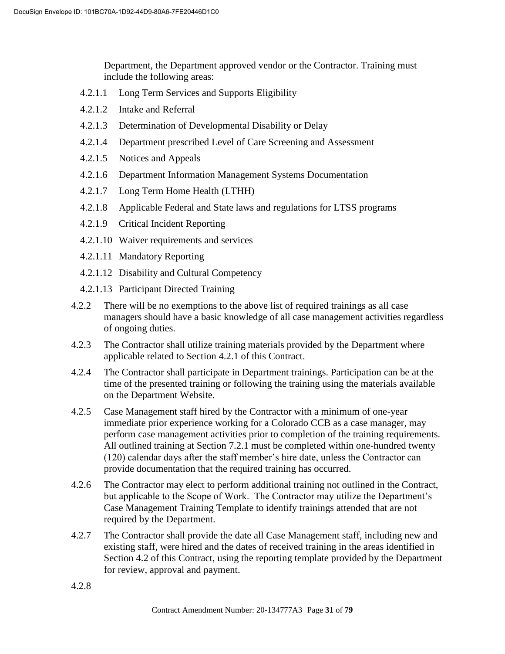Department, the Department approved vendor or the Contractor. Training must include the following areas:

- 4.2.1.1 Long Term Services and Supports Eligibility
- 4.2.1.2 Intake and Referral
- 4.2.1.3 Determination of Developmental Disability or Delay
- 4.2.1.4 Department prescribed Level of Care Screening and Assessment
- 4.2.1.5 Notices and Appeals
- 4.2.1.6 Department Information Management Systems Documentation
- 4.2.1.7 Long Term Home Health (LTHH)
- 4.2.1.8 Applicable Federal and State laws and regulations for LTSS programs
- 4.2.1.9 Critical Incident Reporting
- 4.2.1.10 Waiver requirements and services
- 4.2.1.11 Mandatory Reporting
- 4.2.1.12 Disability and Cultural Competency
- 4.2.1.13 Participant Directed Training
- 4.2.2 There will be no exemptions to the above list of required trainings as all case managers should have a basic knowledge of all case management activities regardless of ongoing duties.
- 4.2.3 The Contractor shall utilize training materials provided by the Department where applicable related to Section 4.2.1 of this Contract.
- 4.2.4 The Contractor shall participate in Department trainings. Participation can be at the time of the presented training or following the training using the materials available on the Department Website.
- 4.2.5 Case Management staff hired by the Contractor with a minimum of one-year immediate prior experience working for a Colorado CCB as a case manager, may perform case management activities prior to completion of the training requirements. All outlined training at Section 7.2.1 must be completed within one-hundred twenty (120) calendar days after the staff member's hire date, unless the Contractor can provide documentation that the required training has occurred.
- 4.2.6 The Contractor may elect to perform additional training not outlined in the Contract, but applicable to the Scope of Work. The Contractor may utilize the Department's Case Management Training Template to identify trainings attended that are not required by the Department.
- 4.2.7 The Contractor shall provide the date all Case Management staff, including new and existing staff, were hired and the dates of received training in the areas identified in Section 4.2 of this Contract, using the reporting template provided by the Department for review, approval and payment.
- 4.2.8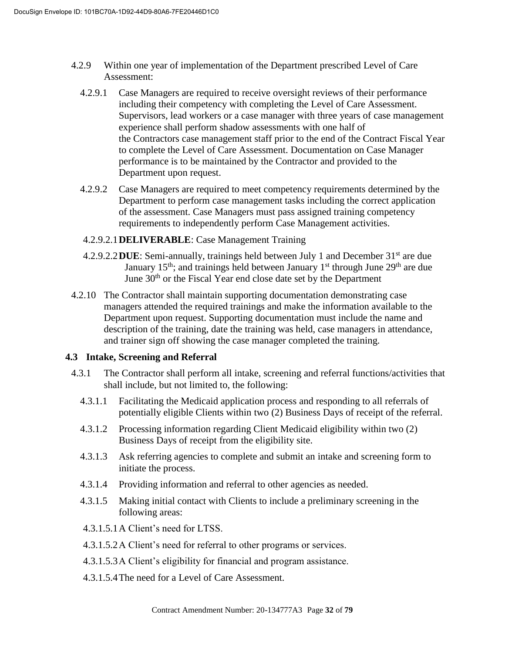- 4.2.9 Within one year of implementation of the Department prescribed Level of Care Assessment:
	- 4.2.9.1 Case Managers are required to receive oversight reviews of their performance including their competency with completing the Level of Care Assessment. Supervisors, lead workers or a case manager with three years of case management experience shall perform shadow assessments with one half of the Contractors case management staff prior to the end of the Contract Fiscal Year to complete the Level of Care Assessment. Documentation on Case Manager performance is to be maintained by the Contractor and provided to the Department upon request.
	- 4.2.9.2 Case Managers are required to meet competency requirements determined by the Department to perform case management tasks including the correct application of the assessment. Case Managers must pass assigned training competency requirements to independently perform Case Management activities.

# 4.2.9.2.1**DELIVERABLE**: Case Management Training

- 4.2.9.2.2**DUE**: Semi-annually, trainings held between July 1 and December 31st are due January 15<sup>th</sup>; and trainings held between January 1<sup>st</sup> through June 29<sup>th</sup> are due June 30<sup>th</sup> or the Fiscal Year end close date set by the Department
- 4.2.10 The Contractor shall maintain supporting documentation demonstrating case managers attended the required trainings and make the information available to the Department upon request. Supporting documentation must include the name and description of the training, date the training was held, case managers in attendance, and trainer sign off showing the case manager completed the training.

# **4.3 Intake, Screening and Referral**

- 4.3.1 The Contractor shall perform all intake, screening and referral functions/activities that shall include, but not limited to, the following:
	- 4.3.1.1 Facilitating the Medicaid application process and responding to all referrals of potentially eligible Clients within two (2) Business Days of receipt of the referral.
	- 4.3.1.2 Processing information regarding Client Medicaid eligibility within two (2) Business Days of receipt from the eligibility site.
	- 4.3.1.3 Ask referring agencies to complete and submit an intake and screening form to initiate the process.
	- 4.3.1.4 Providing information and referral to other agencies as needed.
	- 4.3.1.5 Making initial contact with Clients to include a preliminary screening in the following areas:
	- 4.3.1.5.1A Client's need for LTSS.
	- 4.3.1.5.2A Client's need for referral to other programs or services.
	- 4.3.1.5.3A Client's eligibility for financial and program assistance.
	- 4.3.1.5.4The need for a Level of Care Assessment.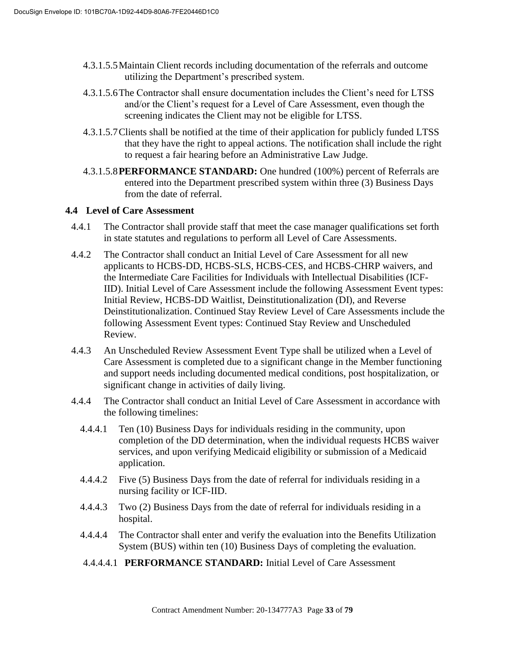- 4.3.1.5.5Maintain Client records including documentation of the referrals and outcome utilizing the Department's prescribed system.
- 4.3.1.5.6The Contractor shall ensure documentation includes the Client's need for LTSS and/or the Client's request for a Level of Care Assessment, even though the screening indicates the Client may not be eligible for LTSS.
- 4.3.1.5.7Clients shall be notified at the time of their application for publicly funded LTSS that they have the right to appeal actions. The notification shall include the right to request a fair hearing before an Administrative Law Judge.
- 4.3.1.5.8**PERFORMANCE STANDARD:** One hundred (100%) percent of Referrals are entered into the Department prescribed system within three (3) Business Days from the date of referral.

# **4.4 Level of Care Assessment**

- 4.4.1 The Contractor shall provide staff that meet the case manager qualifications set forth in state statutes and regulations to perform all Level of Care Assessments.
- 4.4.2 The Contractor shall conduct an Initial Level of Care Assessment for all new applicants to HCBS-DD, HCBS-SLS, HCBS-CES, and HCBS-CHRP waivers, and the Intermediate Care Facilities for Individuals with Intellectual Disabilities (ICF-IID). Initial Level of Care Assessment include the following Assessment Event types: Initial Review, HCBS-DD Waitlist, Deinstitutionalization (DI), and Reverse Deinstitutionalization. Continued Stay Review Level of Care Assessments include the following Assessment Event types: Continued Stay Review and Unscheduled Review.
- 4.4.3 An Unscheduled Review Assessment Event Type shall be utilized when a Level of Care Assessment is completed due to a significant change in the Member functioning and support needs including documented medical conditions, post hospitalization, or significant change in activities of daily living.
- 4.4.4 The Contractor shall conduct an Initial Level of Care Assessment in accordance with the following timelines:
	- 4.4.4.1 Ten (10) Business Days for individuals residing in the community, upon completion of the DD determination, when the individual requests HCBS waiver services, and upon verifying Medicaid eligibility or submission of a Medicaid application.
	- 4.4.4.2 Five (5) Business Days from the date of referral for individuals residing in a nursing facility or ICF-IID.
	- 4.4.4.3 Two (2) Business Days from the date of referral for individuals residing in a hospital.
	- 4.4.4.4 The Contractor shall enter and verify the evaluation into the Benefits Utilization System (BUS) within ten (10) Business Days of completing the evaluation.
	- 4.4.4.4.1 **PERFORMANCE STANDARD:** Initial Level of Care Assessment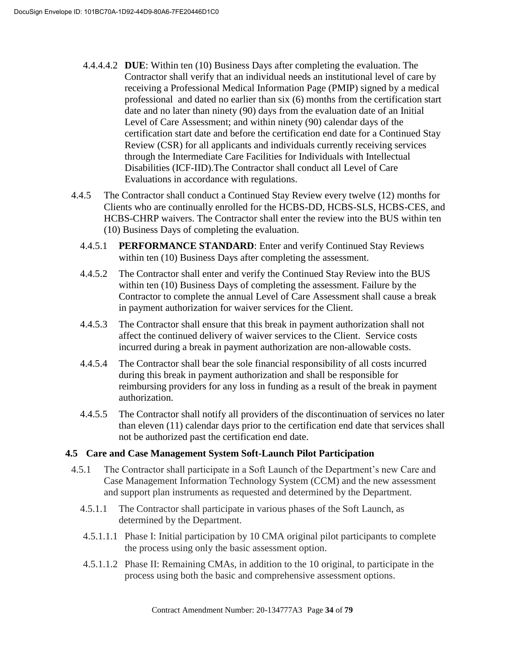- 4.4.4.4.2 **DUE**: Within ten (10) Business Days after completing the evaluation. The Contractor shall verify that an individual needs an institutional level of care by receiving a Professional Medical Information Page (PMIP) signed by a medical professional and dated no earlier than six (6) months from the certification start date and no later than ninety (90) days from the evaluation date of an Initial Level of Care Assessment; and within ninety (90) calendar days of the certification start date and before the certification end date for a Continued Stay Review (CSR) for all applicants and individuals currently receiving services through the Intermediate Care Facilities for Individuals with Intellectual Disabilities (ICF-IID).The Contractor shall conduct all Level of Care Evaluations in accordance with regulations.
- 4.4.5 The Contractor shall conduct a Continued Stay Review every twelve (12) months for Clients who are continually enrolled for the HCBS-DD, HCBS-SLS, HCBS-CES, and HCBS-CHRP waivers. The Contractor shall enter the review into the BUS within ten (10) Business Days of completing the evaluation.
	- 4.4.5.1 **PERFORMANCE STANDARD**: Enter and verify Continued Stay Reviews within ten (10) Business Days after completing the assessment.
	- 4.4.5.2 The Contractor shall enter and verify the Continued Stay Review into the BUS within ten (10) Business Days of completing the assessment. Failure by the Contractor to complete the annual Level of Care Assessment shall cause a break in payment authorization for waiver services for the Client.
	- 4.4.5.3 The Contractor shall ensure that this break in payment authorization shall not affect the continued delivery of waiver services to the Client. Service costs incurred during a break in payment authorization are non-allowable costs.
	- 4.4.5.4 The Contractor shall bear the sole financial responsibility of all costs incurred during this break in payment authorization and shall be responsible for reimbursing providers for any loss in funding as a result of the break in payment authorization.
	- 4.4.5.5 The Contractor shall notify all providers of the discontinuation of services no later than eleven (11) calendar days prior to the certification end date that services shall not be authorized past the certification end date.

# **4.5 Care and Case Management System Soft-Launch Pilot Participation**

- 4.5.1 The Contractor shall participate in a Soft Launch of the Department's new Care and Case Management Information Technology System (CCM) and the new assessment and support plan instruments as requested and determined by the Department.
	- 4.5.1.1 The Contractor shall participate in various phases of the Soft Launch, as determined by the Department.
	- 4.5.1.1.1 Phase I: Initial participation by 10 CMA original pilot participants to complete the process using only the basic assessment option.
	- 4.5.1.1.2 Phase II: Remaining CMAs, in addition to the 10 original, to participate in the process using both the basic and comprehensive assessment options.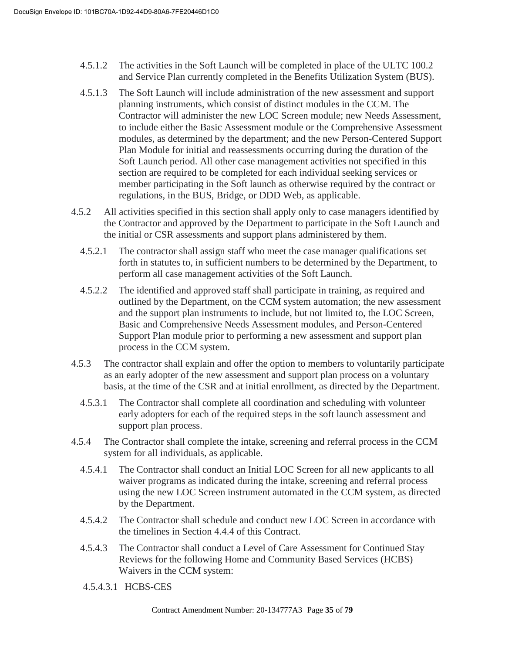- 4.5.1.2 The activities in the Soft Launch will be completed in place of the ULTC 100.2 and Service Plan currently completed in the Benefits Utilization System (BUS).
- 4.5.1.3 The Soft Launch will include administration of the new assessment and support planning instruments, which consist of distinct modules in the CCM. The Contractor will administer the new LOC Screen module; new Needs Assessment, to include either the Basic Assessment module or the Comprehensive Assessment modules, as determined by the department; and the new Person-Centered Support Plan Module for initial and reassessments occurring during the duration of the Soft Launch period. All other case management activities not specified in this section are required to be completed for each individual seeking services or member participating in the Soft launch as otherwise required by the contract or regulations, in the BUS, Bridge, or DDD Web, as applicable.
- 4.5.2 All activities specified in this section shall apply only to case managers identified by the Contractor and approved by the Department to participate in the Soft Launch and the initial or CSR assessments and support plans administered by them.
	- 4.5.2.1 The contractor shall assign staff who meet the case manager qualifications set forth in statutes to, in sufficient numbers to be determined by the Department, to perform all case management activities of the Soft Launch.
	- 4.5.2.2 The identified and approved staff shall participate in training, as required and outlined by the Department, on the CCM system automation; the new assessment and the support plan instruments to include, but not limited to, the LOC Screen, Basic and Comprehensive Needs Assessment modules, and Person-Centered Support Plan module prior to performing a new assessment and support plan process in the CCM system.
- 4.5.3 The contractor shall explain and offer the option to members to voluntarily participate as an early adopter of the new assessment and support plan process on a voluntary basis, at the time of the CSR and at initial enrollment, as directed by the Department.
	- 4.5.3.1 The Contractor shall complete all coordination and scheduling with volunteer early adopters for each of the required steps in the soft launch assessment and support plan process.
- 4.5.4 The Contractor shall complete the intake, screening and referral process in the CCM system for all individuals, as applicable.
	- 4.5.4.1 The Contractor shall conduct an Initial LOC Screen for all new applicants to all waiver programs as indicated during the intake, screening and referral process using the new LOC Screen instrument automated in the CCM system, as directed by the Department.
	- 4.5.4.2 The Contractor shall schedule and conduct new LOC Screen in accordance with the timelines in Section 4.4.4 of this Contract.
	- 4.5.4.3 The Contractor shall conduct a Level of Care Assessment for Continued Stay Reviews for the following Home and Community Based Services (HCBS) Waivers in the CCM system:
	- 4.5.4.3.1 HCBS-CES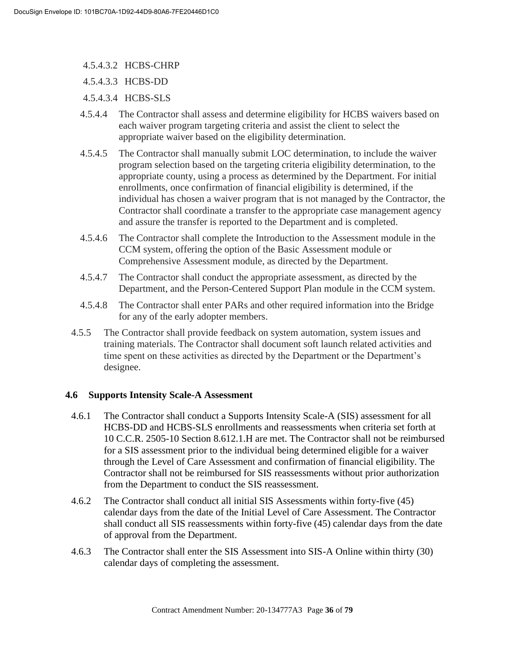- 4.5.4.3.2 HCBS-CHRP
- 4.5.4.3.3 HCBS-DD
- 4.5.4.3.4 HCBS-SLS
- 4.5.4.4 The Contractor shall assess and determine eligibility for HCBS waivers based on each waiver program targeting criteria and assist the client to select the appropriate waiver based on the eligibility determination.
- 4.5.4.5 The Contractor shall manually submit LOC determination, to include the waiver program selection based on the targeting criteria eligibility determination, to the appropriate county, using a process as determined by the Department. For initial enrollments, once confirmation of financial eligibility is determined, if the individual has chosen a waiver program that is not managed by the Contractor, the Contractor shall coordinate a transfer to the appropriate case management agency and assure the transfer is reported to the Department and is completed.
- 4.5.4.6 The Contractor shall complete the Introduction to the Assessment module in the CCM system, offering the option of the Basic Assessment module or Comprehensive Assessment module, as directed by the Department.
- 4.5.4.7 The Contractor shall conduct the appropriate assessment, as directed by the Department, and the Person-Centered Support Plan module in the CCM system.
- 4.5.4.8 The Contractor shall enter PARs and other required information into the Bridge for any of the early adopter members.
- 4.5.5 The Contractor shall provide feedback on system automation, system issues and training materials. The Contractor shall document soft launch related activities and time spent on these activities as directed by the Department or the Department's designee.

# **4.6 Supports Intensity Scale-A Assessment**

- 4.6.1 The Contractor shall conduct a Supports Intensity Scale-A (SIS) assessment for all HCBS-DD and HCBS-SLS enrollments and reassessments when criteria set forth at 10 C.C.R. 2505-10 Section 8.612.1.H are met. The Contractor shall not be reimbursed for a SIS assessment prior to the individual being determined eligible for a waiver through the Level of Care Assessment and confirmation of financial eligibility. The Contractor shall not be reimbursed for SIS reassessments without prior authorization from the Department to conduct the SIS reassessment.
- 4.6.2 The Contractor shall conduct all initial SIS Assessments within forty-five (45) calendar days from the date of the Initial Level of Care Assessment. The Contractor shall conduct all SIS reassessments within forty-five (45) calendar days from the date of approval from the Department.
- 4.6.3 The Contractor shall enter the SIS Assessment into SIS-A Online within thirty (30) calendar days of completing the assessment.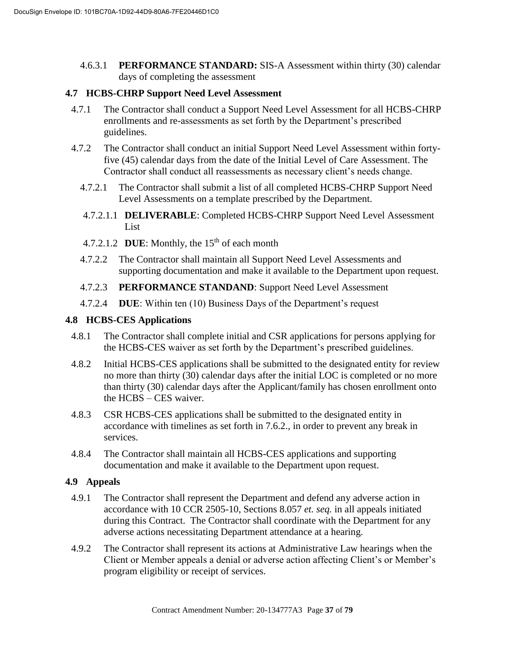4.6.3.1 **PERFORMANCE STANDARD:** SIS-A Assessment within thirty (30) calendar days of completing the assessment

#### **4.7 HCBS-CHRP Support Need Level Assessment**

- 4.7.1 The Contractor shall conduct a Support Need Level Assessment for all HCBS-CHRP enrollments and re-assessments as set forth by the Department's prescribed guidelines.
- 4.7.2 The Contractor shall conduct an initial Support Need Level Assessment within fortyfive (45) calendar days from the date of the Initial Level of Care Assessment. The Contractor shall conduct all reassessments as necessary client's needs change.
	- 4.7.2.1 The Contractor shall submit a list of all completed HCBS-CHRP Support Need Level Assessments on a template prescribed by the Department.
	- 4.7.2.1.1 **DELIVERABLE**: Completed HCBS-CHRP Support Need Level Assessment List
	- 4.7.2.1.2 **DUE**: Monthly, the 15<sup>th</sup> of each month
	- 4.7.2.2 The Contractor shall maintain all Support Need Level Assessments and supporting documentation and make it available to the Department upon request.
	- 4.7.2.3 **PERFORMANCE STANDAND**: Support Need Level Assessment
	- 4.7.2.4 **DUE**: Within ten (10) Business Days of the Department's request

#### **4.8 HCBS-CES Applications**

- 4.8.1 The Contractor shall complete initial and CSR applications for persons applying for the HCBS-CES waiver as set forth by the Department's prescribed guidelines.
- 4.8.2 Initial HCBS-CES applications shall be submitted to the designated entity for review no more than thirty (30) calendar days after the initial LOC is completed or no more than thirty (30) calendar days after the Applicant/family has chosen enrollment onto the HCBS – CES waiver.
- 4.8.3 CSR HCBS-CES applications shall be submitted to the designated entity in accordance with timelines as set forth in 7.6.2., in order to prevent any break in services.
- 4.8.4 The Contractor shall maintain all HCBS-CES applications and supporting documentation and make it available to the Department upon request.

#### **4.9 Appeals**

- 4.9.1 The Contractor shall represent the Department and defend any adverse action in accordance with 10 CCR 2505-10, Sections 8.057 *et. seq.* in all appeals initiated during this Contract. The Contractor shall coordinate with the Department for any adverse actions necessitating Department attendance at a hearing.
- 4.9.2 The Contractor shall represent its actions at Administrative Law hearings when the Client or Member appeals a denial or adverse action affecting Client's or Member's program eligibility or receipt of services.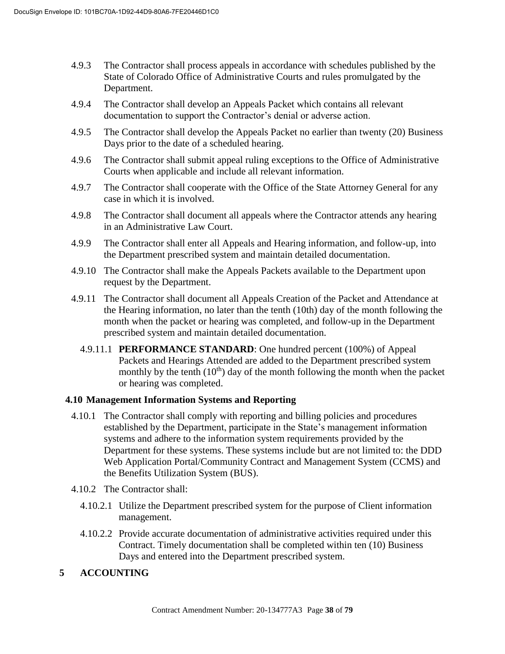- 4.9.3 The Contractor shall process appeals in accordance with schedules published by the State of Colorado Office of Administrative Courts and rules promulgated by the Department.
- 4.9.4 The Contractor shall develop an Appeals Packet which contains all relevant documentation to support the Contractor's denial or adverse action.
- 4.9.5 The Contractor shall develop the Appeals Packet no earlier than twenty (20) Business Days prior to the date of a scheduled hearing.
- 4.9.6 The Contractor shall submit appeal ruling exceptions to the Office of Administrative Courts when applicable and include all relevant information.
- 4.9.7 The Contractor shall cooperate with the Office of the State Attorney General for any case in which it is involved.
- 4.9.8 The Contractor shall document all appeals where the Contractor attends any hearing in an Administrative Law Court.
- 4.9.9 The Contractor shall enter all Appeals and Hearing information, and follow-up, into the Department prescribed system and maintain detailed documentation.
- 4.9.10 The Contractor shall make the Appeals Packets available to the Department upon request by the Department.
- 4.9.11 The Contractor shall document all Appeals Creation of the Packet and Attendance at the Hearing information, no later than the tenth (10th) day of the month following the month when the packet or hearing was completed, and follow-up in the Department prescribed system and maintain detailed documentation.
	- 4.9.11.1 **PERFORMANCE STANDARD**: One hundred percent (100%) of Appeal Packets and Hearings Attended are added to the Department prescribed system monthly by the tenth  $(10<sup>th</sup>)$  day of the month following the month when the packet or hearing was completed.

# **4.10 Management Information Systems and Reporting**

- 4.10.1 The Contractor shall comply with reporting and billing policies and procedures established by the Department, participate in the State's management information systems and adhere to the information system requirements provided by the Department for these systems. These systems include but are not limited to: the DDD Web Application Portal/Community Contract and Management System (CCMS) and the Benefits Utilization System (BUS).
- 4.10.2 The Contractor shall:
	- 4.10.2.1 Utilize the Department prescribed system for the purpose of Client information management.
	- 4.10.2.2 Provide accurate documentation of administrative activities required under this Contract. Timely documentation shall be completed within ten (10) Business Days and entered into the Department prescribed system.

# **5 ACCOUNTING**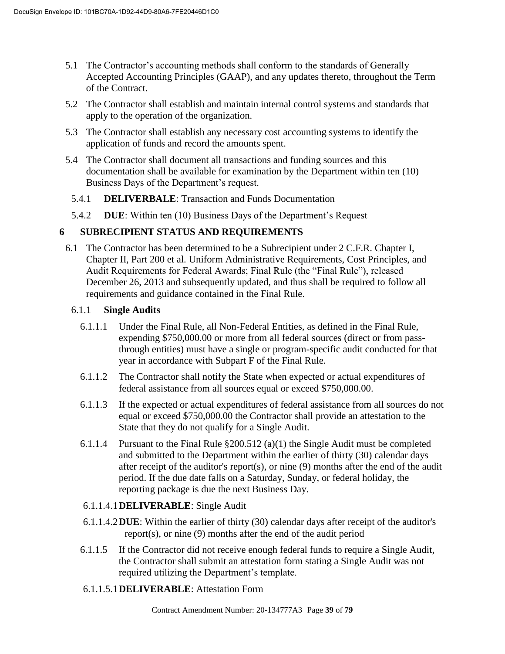- 5.1 The Contractor's accounting methods shall conform to the standards of Generally Accepted Accounting Principles (GAAP), and any updates thereto, throughout the Term of the Contract.
- 5.2 The Contractor shall establish and maintain internal control systems and standards that apply to the operation of the organization.
- 5.3 The Contractor shall establish any necessary cost accounting systems to identify the application of funds and record the amounts spent.
- 5.4 The Contractor shall document all transactions and funding sources and this documentation shall be available for examination by the Department within ten (10) Business Days of the Department's request.
	- 5.4.1 **DELIVERBALE**: Transaction and Funds Documentation
- 5.4.2 **DUE**: Within ten (10) Business Days of the Department's Request

# **6 SUBRECIPIENT STATUS AND REQUIREMENTS**

6.1 The Contractor has been determined to be a Subrecipient under 2 C.F.R. Chapter I, Chapter II, Part 200 et al. Uniform Administrative Requirements, Cost Principles, and Audit Requirements for Federal Awards; Final Rule (the "Final Rule"), released December 26, 2013 and subsequently updated, and thus shall be required to follow all requirements and guidance contained in the Final Rule.

#### 6.1.1 **Single Audits**

- 6.1.1.1 Under the Final Rule, all Non-Federal Entities, as defined in the Final Rule, expending \$750,000.00 or more from all federal sources (direct or from passthrough entities) must have a single or program-specific audit conducted for that year in accordance with Subpart F of the Final Rule.
- 6.1.1.2 The Contractor shall notify the State when expected or actual expenditures of federal assistance from all sources equal or exceed \$750,000.00.
- 6.1.1.3 If the expected or actual expenditures of federal assistance from all sources do not equal or exceed \$750,000.00 the Contractor shall provide an attestation to the State that they do not qualify for a Single Audit.
- 6.1.1.4 Pursuant to the Final Rule  $\S 200.512$  (a)(1) the Single Audit must be completed and submitted to the Department within the earlier of thirty (30) calendar days after receipt of the auditor's report(s), or nine (9) months after the end of the audit period. If the due date falls on a Saturday, Sunday, or federal holiday, the reporting package is due the next Business Day.

#### 6.1.1.4.1**DELIVERABLE**: Single Audit

- 6.1.1.4.2**DUE**: Within the earlier of thirty (30) calendar days after receipt of the auditor's report(s), or nine (9) months after the end of the audit period
- 6.1.1.5 If the Contractor did not receive enough federal funds to require a Single Audit, the Contractor shall submit an attestation form stating a Single Audit was not required utilizing the Department's template.
- 6.1.1.5.1**DELIVERABLE**: Attestation Form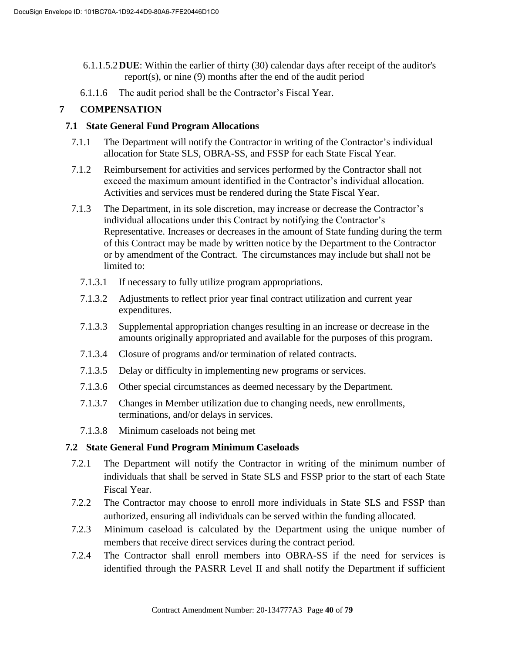- 6.1.1.5.2**DUE**: Within the earlier of thirty (30) calendar days after receipt of the auditor's report(s), or nine (9) months after the end of the audit period
- 6.1.1.6 The audit period shall be the Contractor's Fiscal Year.

# **7 COMPENSATION**

### **7.1 State General Fund Program Allocations**

- 7.1.1 The Department will notify the Contractor in writing of the Contractor's individual allocation for State SLS, OBRA-SS, and FSSP for each State Fiscal Year.
- 7.1.2 Reimbursement for activities and services performed by the Contractor shall not exceed the maximum amount identified in the Contractor's individual allocation. Activities and services must be rendered during the State Fiscal Year.
- 7.1.3 The Department, in its sole discretion, may increase or decrease the Contractor's individual allocations under this Contract by notifying the Contractor's Representative. Increases or decreases in the amount of State funding during the term of this Contract may be made by written notice by the Department to the Contractor or by amendment of the Contract. The circumstances may include but shall not be limited to:
	- 7.1.3.1 If necessary to fully utilize program appropriations.
	- 7.1.3.2 Adjustments to reflect prior year final contract utilization and current year expenditures.
	- 7.1.3.3 Supplemental appropriation changes resulting in an increase or decrease in the amounts originally appropriated and available for the purposes of this program.
	- 7.1.3.4 Closure of programs and/or termination of related contracts.
	- 7.1.3.5 Delay or difficulty in implementing new programs or services.
	- 7.1.3.6 Other special circumstances as deemed necessary by the Department.
	- 7.1.3.7 Changes in Member utilization due to changing needs, new enrollments, terminations, and/or delays in services.
	- 7.1.3.8 Minimum caseloads not being met

# **7.2 State General Fund Program Minimum Caseloads**

- 7.2.1 The Department will notify the Contractor in writing of the minimum number of individuals that shall be served in State SLS and FSSP prior to the start of each State Fiscal Year.
- 7.2.2 The Contractor may choose to enroll more individuals in State SLS and FSSP than authorized, ensuring all individuals can be served within the funding allocated.
- 7.2.3 Minimum caseload is calculated by the Department using the unique number of members that receive direct services during the contract period.
- 7.2.4 The Contractor shall enroll members into OBRA-SS if the need for services is identified through the PASRR Level II and shall notify the Department if sufficient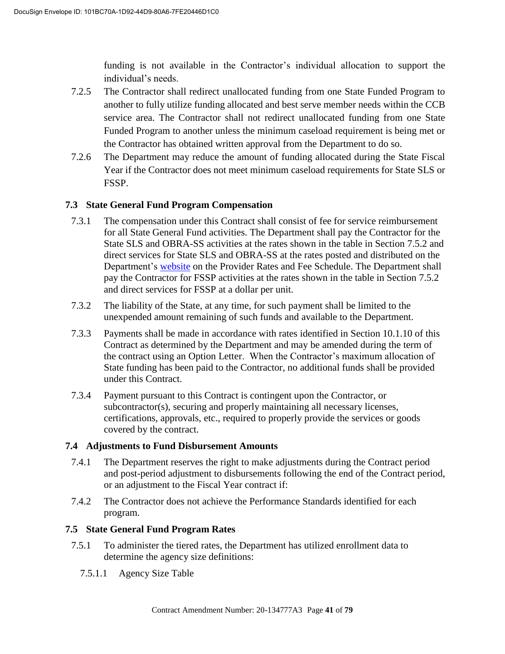funding is not available in the Contractor's individual allocation to support the individual's needs.

- 7.2.5 The Contractor shall redirect unallocated funding from one State Funded Program to another to fully utilize funding allocated and best serve member needs within the CCB service area. The Contractor shall not redirect unallocated funding from one State Funded Program to another unless the minimum caseload requirement is being met or the Contractor has obtained written approval from the Department to do so.
- 7.2.6 The Department may reduce the amount of funding allocated during the State Fiscal Year if the Contractor does not meet minimum caseload requirements for State SLS or FSSP.

### **7.3 State General Fund Program Compensation**

- 7.3.1 The compensation under this Contract shall consist of fee for service reimbursement for all State General Fund activities. The Department shall pay the Contractor for the State SLS and OBRA-SS activities at the rates shown in the table in Section 7.5.2 and direct services for State SLS and OBRA-SS at the rates posted and distributed on the Department's website on the Provider Rates and Fee Schedule. The Department shall pay the Contractor for FSSP activities at the rates shown in the table in Section 7.5.2 and direct services for FSSP at a dollar per unit.
- 7.3.2 The liability of the State, at any time, for such payment shall be limited to the unexpended amount remaining of such funds and available to the Department.
- 7.3.3 Payments shall be made in accordance with rates identified in Section 10.1.10 of this Contract as determined by the Department and may be amended during the term of the contract using an Option Letter. When the Contractor's maximum allocation of State funding has been paid to the Contractor, no additional funds shall be provided under this Contract.
- 7.3.4 Payment pursuant to this Contract is contingent upon the Contractor, or subcontractor(s), securing and properly maintaining all necessary licenses, certifications, approvals, etc., required to properly provide the services or goods covered by the contract.

#### **7.4 Adjustments to Fund Disbursement Amounts**

- 7.4.1 The Department reserves the right to make adjustments during the Contract period and post-period adjustment to disbursements following the end of the Contract period, or an adjustment to the Fiscal Year contract if:
- 7.4.2 The Contractor does not achieve the Performance Standards identified for each program.

# **7.5 State General Fund Program Rates**

- 7.5.1 To administer the tiered rates, the Department has utilized enrollment data to determine the agency size definitions:
	- 7.5.1.1 Agency Size Table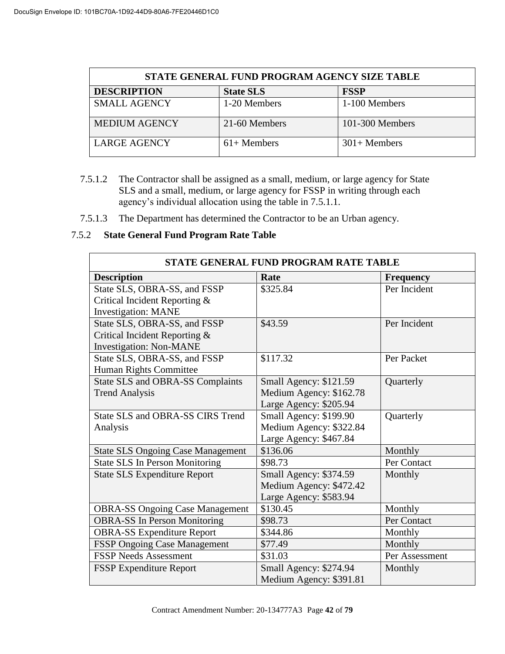| STATE GENERAL FUND PROGRAM AGENCY SIZE TABLE |                  |                 |  |
|----------------------------------------------|------------------|-----------------|--|
| <b>DESCRIPTION</b>                           | <b>State SLS</b> | <b>FSSP</b>     |  |
| <b>SMALL AGENCY</b>                          | 1-20 Members     | 1-100 Members   |  |
| <b>MEDIUM AGENCY</b>                         | 21-60 Members    | 101-300 Members |  |
| <b>LARGE AGENCY</b>                          | $61+$ Members    | $301 +$ Members |  |

- 7.5.1.2 The Contractor shall be assigned as a small, medium, or large agency for State SLS and a small, medium, or large agency for FSSP in writing through each agency's individual allocation using the table in 7.5.1.1.
- 7.5.1.3 The Department has determined the Contractor to be an Urban agency.

# 7.5.2 **State General Fund Program Rate Table**

| STATE GENERAL FUND PROGRAM RATE TABLE    |                         |                  |  |
|------------------------------------------|-------------------------|------------------|--|
| <b>Description</b>                       | Rate                    | <b>Frequency</b> |  |
| State SLS, OBRA-SS, and FSSP             | \$325.84                | Per Incident     |  |
| Critical Incident Reporting &            |                         |                  |  |
| <b>Investigation: MANE</b>               |                         |                  |  |
| State SLS, OBRA-SS, and FSSP             | \$43.59                 | Per Incident     |  |
| Critical Incident Reporting &            |                         |                  |  |
| <b>Investigation: Non-MANE</b>           |                         |                  |  |
| State SLS, OBRA-SS, and FSSP             | \$117.32                | Per Packet       |  |
| Human Rights Committee                   |                         |                  |  |
| <b>State SLS and OBRA-SS Complaints</b>  | Small Agency: \$121.59  | Quarterly        |  |
| <b>Trend Analysis</b>                    | Medium Agency: \$162.78 |                  |  |
|                                          | Large Agency: \$205.94  |                  |  |
| State SLS and OBRA-SS CIRS Trend         | Small Agency: \$199.90  | Quarterly        |  |
| Analysis                                 | Medium Agency: \$322.84 |                  |  |
|                                          | Large Agency: \$467.84  |                  |  |
| <b>State SLS Ongoing Case Management</b> | \$136.06                | Monthly          |  |
| <b>State SLS In Person Monitoring</b>    | \$98.73                 | Per Contact      |  |
| <b>State SLS Expenditure Report</b>      | Small Agency: \$374.59  | Monthly          |  |
|                                          | Medium Agency: \$472.42 |                  |  |
|                                          | Large Agency: \$583.94  |                  |  |
| <b>OBRA-SS Ongoing Case Management</b>   | \$130.45                | Monthly          |  |
| <b>OBRA-SS In Person Monitoring</b>      | \$98.73                 | Per Contact      |  |
| <b>OBRA-SS Expenditure Report</b>        | \$344.86                | Monthly          |  |
| FSSP Ongoing Case Management             | \$77.49                 | Monthly          |  |
| <b>FSSP Needs Assessment</b>             | \$31.03                 | Per Assessment   |  |
| <b>FSSP Expenditure Report</b>           | Small Agency: \$274.94  | Monthly          |  |
|                                          | Medium Agency: \$391.81 |                  |  |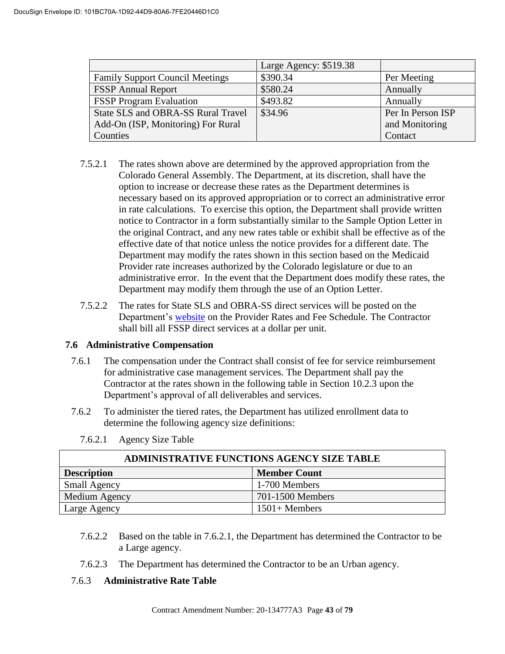|                                        | Large Agency: \$519.38 |                   |
|----------------------------------------|------------------------|-------------------|
| <b>Family Support Council Meetings</b> | \$390.34               | Per Meeting       |
| <b>FSSP</b> Annual Report              | \$580.24               | Annually          |
| <b>FSSP Program Evaluation</b>         | \$493.82               | Annually          |
| State SLS and OBRA-SS Rural Travel     | \$34.96                | Per In Person ISP |
| Add-On (ISP, Monitoring) For Rural     |                        | and Monitoring    |
| Counties                               |                        | Contact           |

- 7.5.2.1 The rates shown above are determined by the approved appropriation from the Colorado General Assembly. The Department, at its discretion, shall have the option to increase or decrease these rates as the Department determines is necessary based on its approved appropriation or to correct an administrative error in rate calculations. To exercise this option, the Department shall provide written notice to Contractor in a form substantially similar to the Sample Option Letter in the original Contract, and any new rates table or exhibit shall be effective as of the effective date of that notice unless the notice provides for a different date. The Department may modify the rates shown in this section based on the Medicaid Provider rate increases authorized by the Colorado legislature or due to an administrative error. In the event that the Department does modify these rates, the Department may modify them through the use of an Option Letter.
- 7.5.2.2 The rates for State SLS and OBRA-SS direct services will be posted on the Department's website on the Provider Rates and Fee Schedule. The Contractor shall bill all FSSP direct services at a dollar per unit.

# **7.6 Administrative Compensation**

- 7.6.1 The compensation under the Contract shall consist of fee for service reimbursement for administrative case management services. The Department shall pay the Contractor at the rates shown in the following table in Section 10.2.3 upon the Department's approval of all deliverables and services.
- 7.6.2 To administer the tiered rates, the Department has utilized enrollment data to determine the following agency size definitions:

| <b>ADMINISTRATIVE FUNCTIONS AGENCY SIZE TABLE</b> |                     |  |
|---------------------------------------------------|---------------------|--|
| <b>Description</b>                                | <b>Member Count</b> |  |
| <b>Small Agency</b>                               | 1-700 Members       |  |
| Medium Agency                                     | 701-1500 Members    |  |
| Large Agency                                      | $1501 +$ Members    |  |

7.6.2.1 Agency Size Table

- 7.6.2.2 Based on the table in 7.6.2.1, the Department has determined the Contractor to be a Large agency.
- 7.6.2.3 The Department has determined the Contractor to be an Urban agency.

#### 7.6.3 **Administrative Rate Table**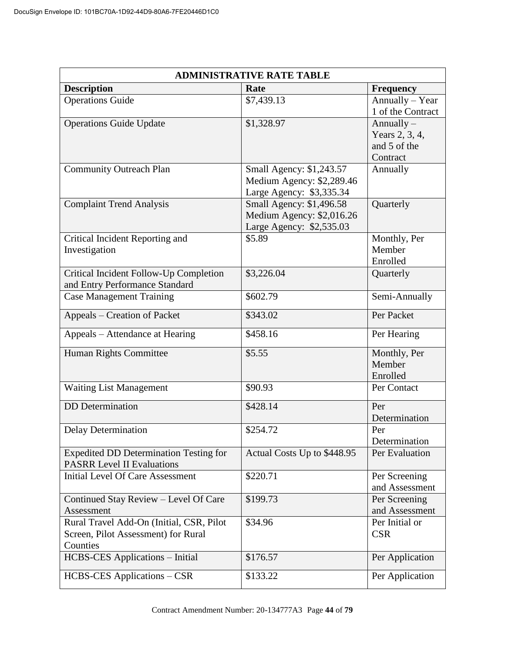| <b>ADMINISTRATIVE RATE TABLE</b>                                                            |                                                                                   |                                                            |  |
|---------------------------------------------------------------------------------------------|-----------------------------------------------------------------------------------|------------------------------------------------------------|--|
| <b>Description</b>                                                                          | Rate                                                                              | <b>Frequency</b>                                           |  |
| <b>Operations Guide</b>                                                                     | \$7,439.13                                                                        | Annually - Year<br>1 of the Contract                       |  |
| <b>Operations Guide Update</b>                                                              | \$1,328.97                                                                        | Annually $-$<br>Years 2, 3, 4,<br>and 5 of the<br>Contract |  |
| <b>Community Outreach Plan</b>                                                              | Small Agency: \$1,243.57<br>Medium Agency: \$2,289.46<br>Large Agency: \$3,335.34 | Annually                                                   |  |
| <b>Complaint Trend Analysis</b>                                                             | Small Agency: \$1,496.58<br>Medium Agency: \$2,016.26<br>Large Agency: \$2,535.03 | Quarterly                                                  |  |
| Critical Incident Reporting and<br>Investigation                                            | \$5.89                                                                            | Monthly, Per<br>Member<br>Enrolled                         |  |
| Critical Incident Follow-Up Completion<br>and Entry Performance Standard                    | \$3,226.04                                                                        | Quarterly                                                  |  |
| <b>Case Management Training</b>                                                             | \$602.79                                                                          | Semi-Annually                                              |  |
| Appeals - Creation of Packet                                                                | \$343.02                                                                          | Per Packet                                                 |  |
| Appeals – Attendance at Hearing                                                             | \$458.16                                                                          | Per Hearing                                                |  |
| Human Rights Committee                                                                      | \$5.55                                                                            | Monthly, Per<br>Member<br>Enrolled                         |  |
| <b>Waiting List Management</b>                                                              | \$90.93                                                                           | Per Contact                                                |  |
| <b>DD</b> Determination                                                                     | \$428.14                                                                          | Per<br>Determination                                       |  |
| <b>Delay Determination</b>                                                                  | \$254.72                                                                          | Per<br>Determination                                       |  |
| <b>Expedited DD Determination Testing for</b><br><b>PASRR Level II Evaluations</b>          | Actual Costs Up to \$448.95                                                       | Per Evaluation                                             |  |
| Initial Level Of Care Assessment                                                            | \$220.71                                                                          | Per Screening<br>and Assessment                            |  |
| Continued Stay Review - Level Of Care<br>Assessment                                         | \$199.73                                                                          | Per Screening<br>and Assessment                            |  |
| Rural Travel Add-On (Initial, CSR, Pilot<br>Screen, Pilot Assessment) for Rural<br>Counties | \$34.96                                                                           | Per Initial or<br><b>CSR</b>                               |  |
| <b>HCBS-CES</b> Applications - Initial                                                      | \$176.57                                                                          | Per Application                                            |  |
| HCBS-CES Applications – CSR                                                                 | \$133.22                                                                          | Per Application                                            |  |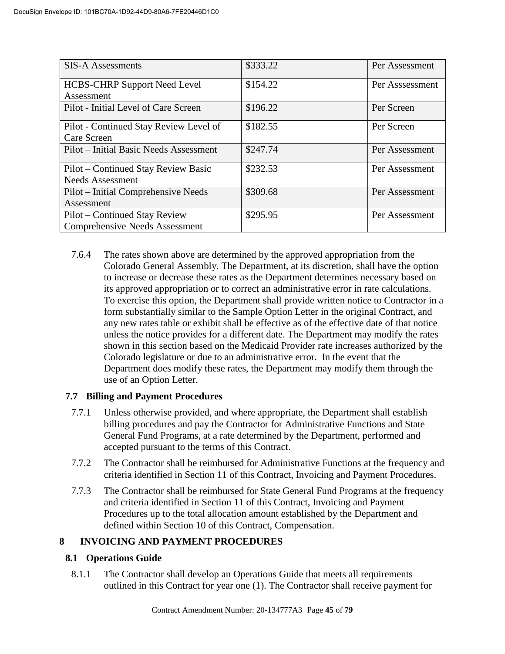| <b>SIS-A Assessments</b>               | \$333.22 | Per Assessment  |
|----------------------------------------|----------|-----------------|
| <b>HCBS-CHRP Support Need Level</b>    | \$154.22 | Per Asssessment |
| Assessment                             |          |                 |
| Pilot - Initial Level of Care Screen   | \$196.22 | Per Screen      |
| Pilot - Continued Stay Review Level of | \$182.55 | Per Screen      |
| Care Screen                            |          |                 |
| Pilot – Initial Basic Needs Assessment | \$247.74 | Per Assessment  |
| Pilot – Continued Stay Review Basic    | \$232.53 | Per Assessment  |
| <b>Needs Assessment</b>                |          |                 |
| Pilot - Initial Comprehensive Needs    | \$309.68 | Per Assessment  |
| Assessment                             |          |                 |
| Pilot – Continued Stay Review          | \$295.95 | Per Assessment  |
| <b>Comprehensive Needs Assessment</b>  |          |                 |

7.6.4 The rates shown above are determined by the approved appropriation from the Colorado General Assembly. The Department, at its discretion, shall have the option to increase or decrease these rates as the Department determines necessary based on its approved appropriation or to correct an administrative error in rate calculations. To exercise this option, the Department shall provide written notice to Contractor in a form substantially similar to the Sample Option Letter in the original Contract, and any new rates table or exhibit shall be effective as of the effective date of that notice unless the notice provides for a different date. The Department may modify the rates shown in this section based on the Medicaid Provider rate increases authorized by the Colorado legislature or due to an administrative error. In the event that the Department does modify these rates, the Department may modify them through the use of an Option Letter.

# **7.7 Billing and Payment Procedures**

- 7.7.1 Unless otherwise provided, and where appropriate, the Department shall establish billing procedures and pay the Contractor for Administrative Functions and State General Fund Programs, at a rate determined by the Department, performed and accepted pursuant to the terms of this Contract.
- 7.7.2 The Contractor shall be reimbursed for Administrative Functions at the frequency and criteria identified in Section 11 of this Contract, Invoicing and Payment Procedures.
- 7.7.3 The Contractor shall be reimbursed for State General Fund Programs at the frequency and criteria identified in Section 11 of this Contract, Invoicing and Payment Procedures up to the total allocation amount established by the Department and defined within Section 10 of this Contract, Compensation.

# **8 INVOICING AND PAYMENT PROCEDURES**

# **8.1 Operations Guide**

8.1.1 The Contractor shall develop an Operations Guide that meets all requirements outlined in this Contract for year one (1). The Contractor shall receive payment for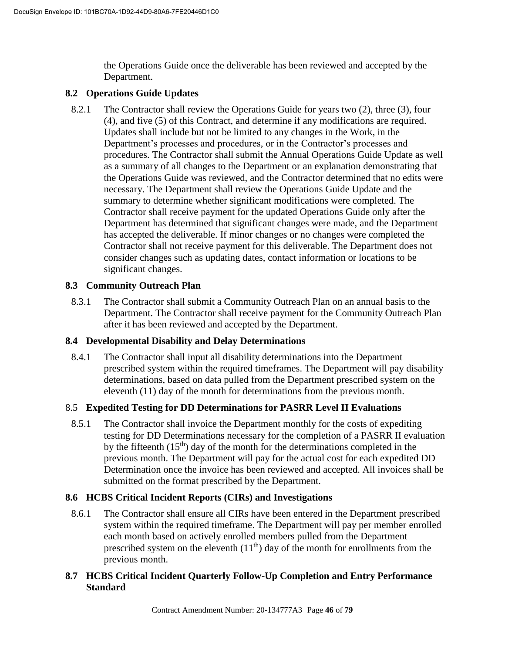the Operations Guide once the deliverable has been reviewed and accepted by the Department.

### **8.2 Operations Guide Updates**

8.2.1 The Contractor shall review the Operations Guide for years two (2), three (3), four (4), and five (5) of this Contract, and determine if any modifications are required. Updates shall include but not be limited to any changes in the Work, in the Department's processes and procedures, or in the Contractor's processes and procedures. The Contractor shall submit the Annual Operations Guide Update as well as a summary of all changes to the Department or an explanation demonstrating that the Operations Guide was reviewed, and the Contractor determined that no edits were necessary. The Department shall review the Operations Guide Update and the summary to determine whether significant modifications were completed. The Contractor shall receive payment for the updated Operations Guide only after the Department has determined that significant changes were made, and the Department has accepted the deliverable. If minor changes or no changes were completed the Contractor shall not receive payment for this deliverable. The Department does not consider changes such as updating dates, contact information or locations to be significant changes.

### **8.3 Community Outreach Plan**

8.3.1 The Contractor shall submit a Community Outreach Plan on an annual basis to the Department. The Contractor shall receive payment for the Community Outreach Plan after it has been reviewed and accepted by the Department.

# **8.4 Developmental Disability and Delay Determinations**

8.4.1 The Contractor shall input all disability determinations into the Department prescribed system within the required timeframes. The Department will pay disability determinations, based on data pulled from the Department prescribed system on the eleventh (11) day of the month for determinations from the previous month.

# 8.5 **Expedited Testing for DD Determinations for PASRR Level II Evaluations**

8.5.1 The Contractor shall invoice the Department monthly for the costs of expediting testing for DD Determinations necessary for the completion of a PASRR II evaluation by the fifteenth  $(15<sup>th</sup>)$  day of the month for the determinations completed in the previous month. The Department will pay for the actual cost for each expedited DD Determination once the invoice has been reviewed and accepted. All invoices shall be submitted on the format prescribed by the Department.

# **8.6 HCBS Critical Incident Reports (CIRs) and Investigations**

8.6.1 The Contractor shall ensure all CIRs have been entered in the Department prescribed system within the required timeframe. The Department will pay per member enrolled each month based on actively enrolled members pulled from the Department prescribed system on the eleventh  $(11<sup>th</sup>)$  day of the month for enrollments from the previous month.

# **8.7 HCBS Critical Incident Quarterly Follow-Up Completion and Entry Performance Standard**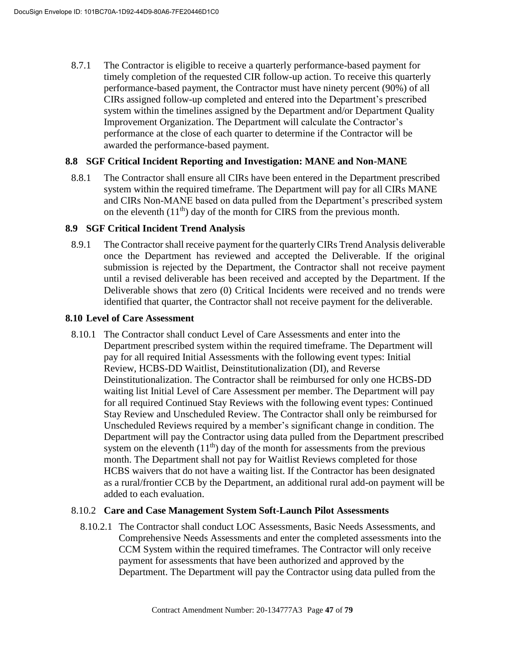8.7.1 The Contractor is eligible to receive a quarterly performance-based payment for timely completion of the requested CIR follow-up action. To receive this quarterly performance-based payment, the Contractor must have ninety percent (90%) of all CIRs assigned follow-up completed and entered into the Department's prescribed system within the timelines assigned by the Department and/or Department Quality Improvement Organization. The Department will calculate the Contractor's performance at the close of each quarter to determine if the Contractor will be awarded the performance-based payment.

#### **8.8 SGF Critical Incident Reporting and Investigation: MANE and Non-MANE**

8.8.1 The Contractor shall ensure all CIRs have been entered in the Department prescribed system within the required timeframe. The Department will pay for all CIRs MANE and CIRs Non-MANE based on data pulled from the Department's prescribed system on the eleventh  $(11<sup>th</sup>)$  day of the month for CIRS from the previous month.

#### **8.9 SGF Critical Incident Trend Analysis**

8.9.1 The Contractor shall receive payment for the quarterly CIRs Trend Analysis deliverable once the Department has reviewed and accepted the Deliverable. If the original submission is rejected by the Department, the Contractor shall not receive payment until a revised deliverable has been received and accepted by the Department. If the Deliverable shows that zero (0) Critical Incidents were received and no trends were identified that quarter, the Contractor shall not receive payment for the deliverable.

#### **8.10 Level of Care Assessment**

8.10.1 The Contractor shall conduct Level of Care Assessments and enter into the Department prescribed system within the required timeframe. The Department will pay for all required Initial Assessments with the following event types: Initial Review, HCBS-DD Waitlist, Deinstitutionalization (DI), and Reverse Deinstitutionalization. The Contractor shall be reimbursed for only one HCBS-DD waiting list Initial Level of Care Assessment per member. The Department will pay for all required Continued Stay Reviews with the following event types: Continued Stay Review and Unscheduled Review. The Contractor shall only be reimbursed for Unscheduled Reviews required by a member's significant change in condition. The Department will pay the Contractor using data pulled from the Department prescribed system on the eleventh  $(11<sup>th</sup>)$  day of the month for assessments from the previous month. The Department shall not pay for Waitlist Reviews completed for those HCBS waivers that do not have a waiting list. If the Contractor has been designated as a rural/frontier CCB by the Department, an additional rural add-on payment will be added to each evaluation.

#### 8.10.2 **Care and Case Management System Soft-Launch Pilot Assessments**

8.10.2.1 The Contractor shall conduct LOC Assessments, Basic Needs Assessments, and Comprehensive Needs Assessments and enter the completed assessments into the CCM System within the required timeframes. The Contractor will only receive payment for assessments that have been authorized and approved by the Department. The Department will pay the Contractor using data pulled from the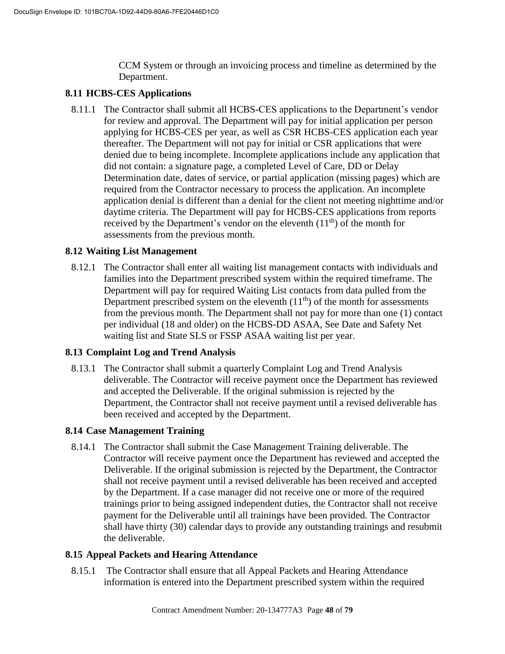CCM System or through an invoicing process and timeline as determined by the Department.

### **8.11 HCBS-CES Applications**

8.11.1 The Contractor shall submit all HCBS-CES applications to the Department's vendor for review and approval. The Department will pay for initial application per person applying for HCBS-CES per year, as well as CSR HCBS-CES application each year thereafter. The Department will not pay for initial or CSR applications that were denied due to being incomplete. Incomplete applications include any application that did not contain: a signature page, a completed Level of Care, DD or Delay Determination date, dates of service, or partial application (missing pages) which are required from the Contractor necessary to process the application. An incomplete application denial is different than a denial for the client not meeting nighttime and/or daytime criteria. The Department will pay for HCBS-CES applications from reports received by the Department's vendor on the eleventh  $(11<sup>th</sup>)$  of the month for assessments from the previous month.

### **8.12 Waiting List Management**

8.12.1 The Contractor shall enter all waiting list management contacts with individuals and families into the Department prescribed system within the required timeframe. The Department will pay for required Waiting List contacts from data pulled from the Department prescribed system on the eleventh  $(11<sup>th</sup>)$  of the month for assessments from the previous month. The Department shall not pay for more than one (1) contact per individual (18 and older) on the HCBS-DD ASAA, See Date and Safety Net waiting list and State SLS or FSSP ASAA waiting list per year.

#### **8.13 Complaint Log and Trend Analysis**

8.13.1 The Contractor shall submit a quarterly Complaint Log and Trend Analysis deliverable. The Contractor will receive payment once the Department has reviewed and accepted the Deliverable. If the original submission is rejected by the Department, the Contractor shall not receive payment until a revised deliverable has been received and accepted by the Department.

#### **8.14 Case Management Training**

8.14.1 The Contractor shall submit the Case Management Training deliverable. The Contractor will receive payment once the Department has reviewed and accepted the Deliverable. If the original submission is rejected by the Department, the Contractor shall not receive payment until a revised deliverable has been received and accepted by the Department. If a case manager did not receive one or more of the required trainings prior to being assigned independent duties, the Contractor shall not receive payment for the Deliverable until all trainings have been provided. The Contractor shall have thirty (30) calendar days to provide any outstanding trainings and resubmit the deliverable.

#### **8.15 Appeal Packets and Hearing Attendance**

8.15.1 The Contractor shall ensure that all Appeal Packets and Hearing Attendance information is entered into the Department prescribed system within the required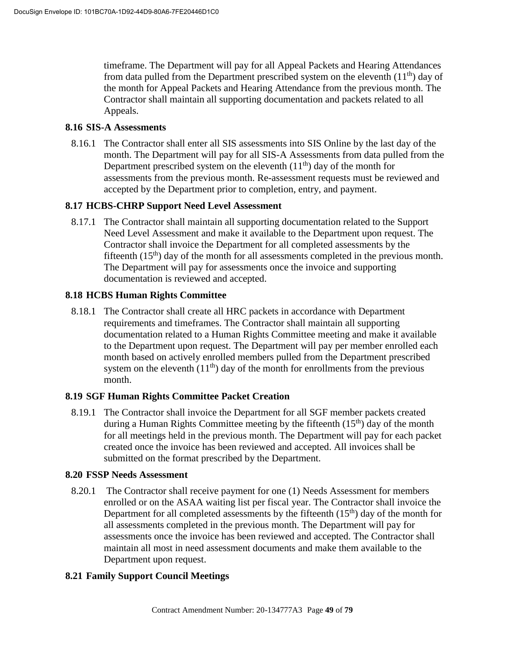timeframe. The Department will pay for all Appeal Packets and Hearing Attendances from data pulled from the Department prescribed system on the eleventh  $(11<sup>th</sup>)$  day of the month for Appeal Packets and Hearing Attendance from the previous month. The Contractor shall maintain all supporting documentation and packets related to all Appeals.

#### **8.16 SIS-A Assessments**

8.16.1 The Contractor shall enter all SIS assessments into SIS Online by the last day of the month. The Department will pay for all SIS-A Assessments from data pulled from the Department prescribed system on the eleventh  $(11<sup>th</sup>)$  day of the month for assessments from the previous month. Re-assessment requests must be reviewed and accepted by the Department prior to completion, entry, and payment.

# **8.17 HCBS-CHRP Support Need Level Assessment**

8.17.1 The Contractor shall maintain all supporting documentation related to the Support Need Level Assessment and make it available to the Department upon request. The Contractor shall invoice the Department for all completed assessments by the fifteenth  $(15<sup>th</sup>)$  day of the month for all assessments completed in the previous month. The Department will pay for assessments once the invoice and supporting documentation is reviewed and accepted.

### **8.18 HCBS Human Rights Committee**

8.18.1 The Contractor shall create all HRC packets in accordance with Department requirements and timeframes. The Contractor shall maintain all supporting documentation related to a Human Rights Committee meeting and make it available to the Department upon request. The Department will pay per member enrolled each month based on actively enrolled members pulled from the Department prescribed system on the eleventh  $(11<sup>th</sup>)$  day of the month for enrollments from the previous month.

#### **8.19 SGF Human Rights Committee Packet Creation**

8.19.1 The Contractor shall invoice the Department for all SGF member packets created during a Human Rights Committee meeting by the fifteenth  $(15<sup>th</sup>)$  day of the month for all meetings held in the previous month. The Department will pay for each packet created once the invoice has been reviewed and accepted. All invoices shall be submitted on the format prescribed by the Department.

#### **8.20 FSSP Needs Assessment**

8.20.1 The Contractor shall receive payment for one (1) Needs Assessment for members enrolled or on the ASAA waiting list per fiscal year. The Contractor shall invoice the Department for all completed assessments by the fifteenth  $(15<sup>th</sup>)$  day of the month for all assessments completed in the previous month. The Department will pay for assessments once the invoice has been reviewed and accepted. The Contractor shall maintain all most in need assessment documents and make them available to the Department upon request.

# **8.21 Family Support Council Meetings**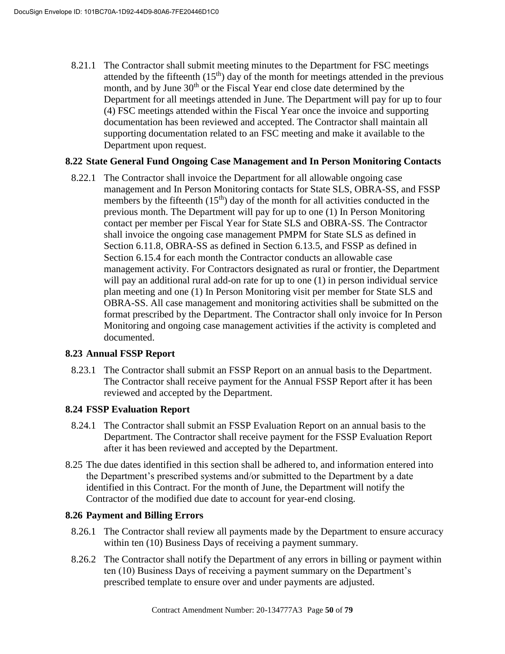8.21.1 The Contractor shall submit meeting minutes to the Department for FSC meetings attended by the fifteenth  $(15<sup>th</sup>)$  day of the month for meetings attended in the previous month, and by June 30<sup>th</sup> or the Fiscal Year end close date determined by the Department for all meetings attended in June. The Department will pay for up to four (4) FSC meetings attended within the Fiscal Year once the invoice and supporting documentation has been reviewed and accepted. The Contractor shall maintain all supporting documentation related to an FSC meeting and make it available to the Department upon request.

### **8.22 State General Fund Ongoing Case Management and In Person Monitoring Contacts**

8.22.1 The Contractor shall invoice the Department for all allowable ongoing case management and In Person Monitoring contacts for State SLS, OBRA-SS, and FSSP members by the fifteenth  $(15<sup>th</sup>)$  day of the month for all activities conducted in the previous month. The Department will pay for up to one (1) In Person Monitoring contact per member per Fiscal Year for State SLS and OBRA-SS. The Contractor shall invoice the ongoing case management PMPM for State SLS as defined in Section 6.11.8, OBRA-SS as defined in Section 6.13.5, and FSSP as defined in Section 6.15.4 for each month the Contractor conducts an allowable case management activity. For Contractors designated as rural or frontier, the Department will pay an additional rural add-on rate for up to one (1) in person individual service plan meeting and one (1) In Person Monitoring visit per member for State SLS and OBRA-SS. All case management and monitoring activities shall be submitted on the format prescribed by the Department. The Contractor shall only invoice for In Person Monitoring and ongoing case management activities if the activity is completed and documented.

#### **8.23 Annual FSSP Report**

8.23.1 The Contractor shall submit an FSSP Report on an annual basis to the Department. The Contractor shall receive payment for the Annual FSSP Report after it has been reviewed and accepted by the Department.

#### **8.24 FSSP Evaluation Report**

- 8.24.1 The Contractor shall submit an FSSP Evaluation Report on an annual basis to the Department. The Contractor shall receive payment for the FSSP Evaluation Report after it has been reviewed and accepted by the Department.
- 8.25 The due dates identified in this section shall be adhered to, and information entered into the Department's prescribed systems and/or submitted to the Department by a date identified in this Contract. For the month of June, the Department will notify the Contractor of the modified due date to account for year-end closing.

#### **8.26 Payment and Billing Errors**

- 8.26.1 The Contractor shall review all payments made by the Department to ensure accuracy within ten (10) Business Days of receiving a payment summary.
- 8.26.2 The Contractor shall notify the Department of any errors in billing or payment within ten (10) Business Days of receiving a payment summary on the Department's prescribed template to ensure over and under payments are adjusted.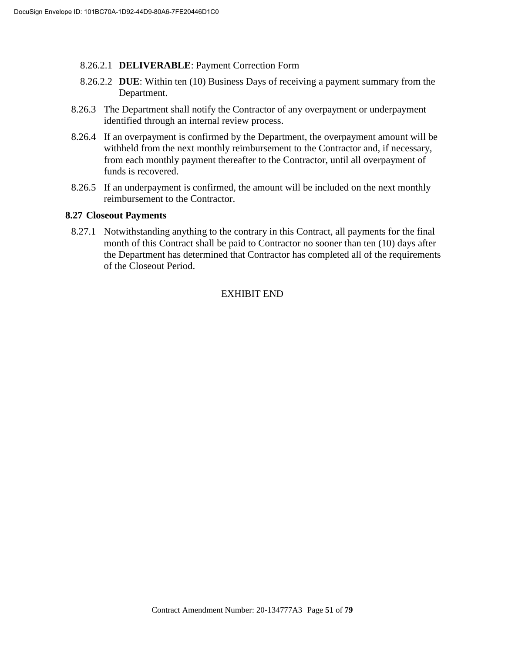- 8.26.2.1 **DELIVERABLE**: Payment Correction Form
- 8.26.2.2 **DUE**: Within ten (10) Business Days of receiving a payment summary from the Department.
- 8.26.3 The Department shall notify the Contractor of any overpayment or underpayment identified through an internal review process.
- 8.26.4 If an overpayment is confirmed by the Department, the overpayment amount will be withheld from the next monthly reimbursement to the Contractor and, if necessary, from each monthly payment thereafter to the Contractor, until all overpayment of funds is recovered.
- 8.26.5 If an underpayment is confirmed, the amount will be included on the next monthly reimbursement to the Contractor.

#### **8.27 Closeout Payments**

8.27.1 Notwithstanding anything to the contrary in this Contract, all payments for the final month of this Contract shall be paid to Contractor no sooner than ten (10) days after the Department has determined that Contractor has completed all of the requirements of the Closeout Period.

# EXHIBIT END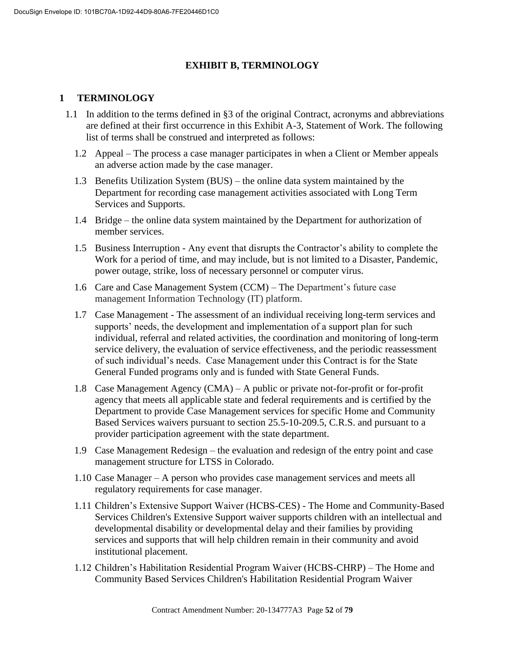# **EXHIBIT B, TERMINOLOGY**

### **1 TERMINOLOGY**

- 1.1 In addition to the terms defined in §3 of the original Contract, acronyms and abbreviations are defined at their first occurrence in this Exhibit A-3, Statement of Work. The following list of terms shall be construed and interpreted as follows:
	- 1.2 Appeal The process a case manager participates in when a Client or Member appeals an adverse action made by the case manager.
	- 1.3 Benefits Utilization System (BUS) the online data system maintained by the Department for recording case management activities associated with Long Term Services and Supports.
	- 1.4 Bridge the online data system maintained by the Department for authorization of member services.
	- 1.5 Business Interruption Any event that disrupts the Contractor's ability to complete the Work for a period of time, and may include, but is not limited to a Disaster, Pandemic, power outage, strike, loss of necessary personnel or computer virus.
	- 1.6 Care and Case Management System (CCM) The Department's future case management Information Technology (IT) platform.
	- 1.7 Case Management The assessment of an individual receiving long-term services and supports' needs, the development and implementation of a support plan for such individual, referral and related activities, the coordination and monitoring of long-term service delivery, the evaluation of service effectiveness, and the periodic reassessment of such individual's needs. Case Management under this Contract is for the State General Funded programs only and is funded with State General Funds.
	- 1.8 Case Management Agency (CMA) A public or private not-for-profit or for-profit agency that meets all applicable state and federal requirements and is certified by the Department to provide Case Management services for specific Home and Community Based Services waivers pursuant to section 25.5-10-209.5, C.R.S. and pursuant to a provider participation agreement with the state department.
	- 1.9 Case Management Redesign the evaluation and redesign of the entry point and case management structure for LTSS in Colorado.
	- 1.10 Case Manager A person who provides case management services and meets all regulatory requirements for case manager.
	- 1.11 Children's Extensive Support Waiver (HCBS-CES) The Home and Community-Based Services Children's Extensive Support waiver supports children with an intellectual and developmental disability or developmental delay and their families by providing services and supports that will help children remain in their community and avoid institutional placement.
	- 1.12 Children's Habilitation Residential Program Waiver (HCBS-CHRP) The Home and Community Based Services Children's Habilitation Residential Program Waiver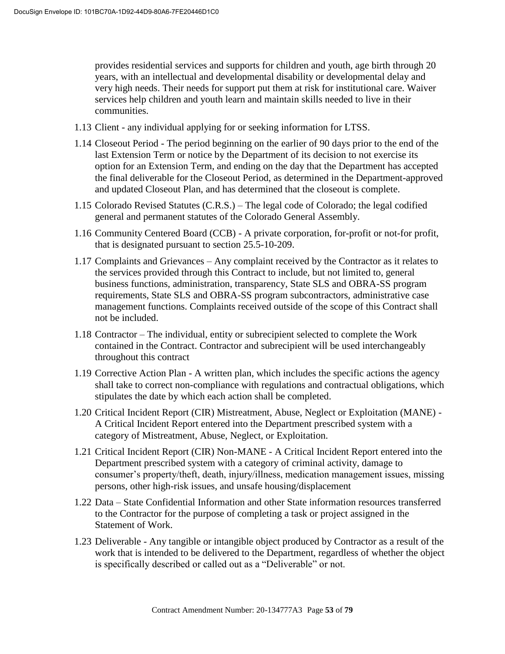provides residential services and supports for children and youth, age birth through 20 years, with an intellectual and developmental disability or developmental delay and very high needs. Their needs for support put them at risk for institutional care. Waiver services help children and youth learn and maintain skills needed to live in their communities.

- 1.13 Client any individual applying for or seeking information for LTSS.
- 1.14 Closeout Period The period beginning on the earlier of 90 days prior to the end of the last Extension Term or notice by the Department of its decision to not exercise its option for an Extension Term, and ending on the day that the Department has accepted the final deliverable for the Closeout Period, as determined in the Department-approved and updated Closeout Plan, and has determined that the closeout is complete.
- 1.15 Colorado Revised Statutes (C.R.S.) The legal code of Colorado; the legal codified general and permanent statutes of the Colorado General Assembly.
- 1.16 Community Centered Board (CCB) A private corporation, for-profit or not-for profit, that is designated pursuant to section 25.5-10-209.
- 1.17 Complaints and Grievances Any complaint received by the Contractor as it relates to the services provided through this Contract to include, but not limited to, general business functions, administration, transparency, State SLS and OBRA-SS program requirements, State SLS and OBRA-SS program subcontractors, administrative case management functions. Complaints received outside of the scope of this Contract shall not be included.
- 1.18 Contractor The individual, entity or subrecipient selected to complete the Work contained in the Contract. Contractor and subrecipient will be used interchangeably throughout this contract
- 1.19 Corrective Action Plan A written plan, which includes the specific actions the agency shall take to correct non-compliance with regulations and contractual obligations, which stipulates the date by which each action shall be completed.
- 1.20 Critical Incident Report (CIR) Mistreatment, Abuse, Neglect or Exploitation (MANE) A Critical Incident Report entered into the Department prescribed system with a category of Mistreatment, Abuse, Neglect, or Exploitation.
- 1.21 Critical Incident Report (CIR) Non-MANE A Critical Incident Report entered into the Department prescribed system with a category of criminal activity, damage to consumer's property/theft, death, injury/illness, medication management issues, missing persons, other high-risk issues, and unsafe housing/displacement
- 1.22 Data State Confidential Information and other State information resources transferred to the Contractor for the purpose of completing a task or project assigned in the Statement of Work.
- 1.23 Deliverable Any tangible or intangible object produced by Contractor as a result of the work that is intended to be delivered to the Department, regardless of whether the object is specifically described or called out as a "Deliverable" or not.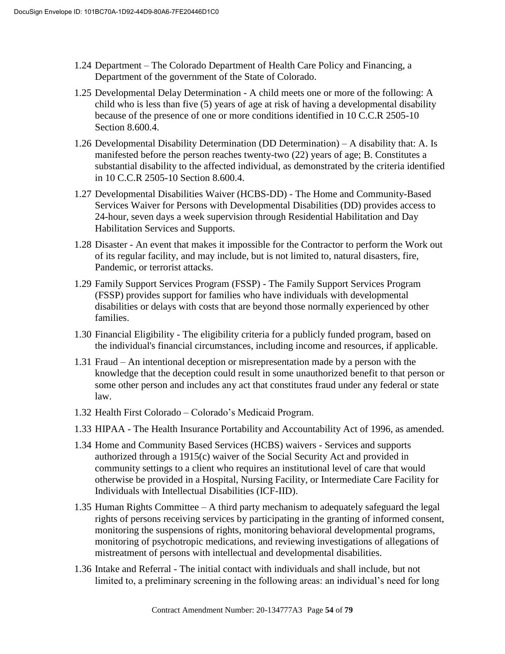- 1.24 Department The Colorado Department of Health Care Policy and Financing, a Department of the government of the State of Colorado.
- 1.25 Developmental Delay Determination A child meets one or more of the following: A child who is less than five (5) years of age at risk of having a developmental disability because of the presence of one or more conditions identified in 10 C.C.R 2505-10 Section 8.600.4.
- 1.26 Developmental Disability Determination (DD Determination) A disability that: A. Is manifested before the person reaches twenty-two (22) years of age; B. Constitutes a substantial disability to the affected individual, as demonstrated by the criteria identified in 10 C.C.R 2505-10 Section 8.600.4.
- 1.27 Developmental Disabilities Waiver (HCBS-DD) The Home and Community-Based Services Waiver for Persons with Developmental Disabilities (DD) provides access to 24-hour, seven days a week supervision through Residential Habilitation and Day Habilitation Services and Supports.
- 1.28 Disaster An event that makes it impossible for the Contractor to perform the Work out of its regular facility, and may include, but is not limited to, natural disasters, fire, Pandemic, or terrorist attacks.
- 1.29 Family Support Services Program (FSSP) The Family Support Services Program (FSSP) provides support for families who have individuals with developmental disabilities or delays with costs that are beyond those normally experienced by other families.
- 1.30 Financial Eligibility The eligibility criteria for a publicly funded program, based on the individual's financial circumstances, including income and resources, if applicable.
- 1.31 Fraud An intentional deception or misrepresentation made by a person with the knowledge that the deception could result in some unauthorized benefit to that person or some other person and includes any act that constitutes fraud under any federal or state law.
- 1.32 Health First Colorado Colorado's Medicaid Program.
- 1.33 HIPAA The Health Insurance Portability and Accountability Act of 1996, as amended.
- 1.34 Home and Community Based Services (HCBS) waivers Services and supports authorized through a 1915(c) waiver of the Social Security Act and provided in community settings to a client who requires an institutional level of care that would otherwise be provided in a Hospital, Nursing Facility, or Intermediate Care Facility for Individuals with Intellectual Disabilities (ICF-IID).
- 1.35 Human Rights Committee A third party mechanism to adequately safeguard the legal rights of persons receiving services by participating in the granting of informed consent, monitoring the suspensions of rights, monitoring behavioral developmental programs, monitoring of psychotropic medications, and reviewing investigations of allegations of mistreatment of persons with intellectual and developmental disabilities.
- 1.36 Intake and Referral The initial contact with individuals and shall include, but not limited to, a preliminary screening in the following areas: an individual's need for long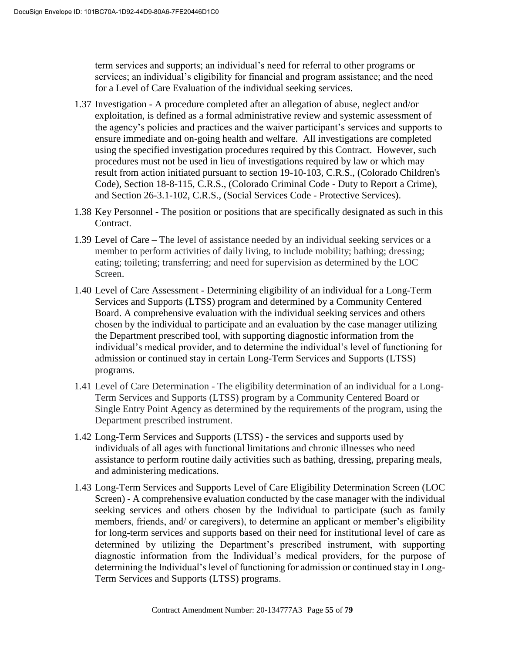term services and supports; an individual's need for referral to other programs or services; an individual's eligibility for financial and program assistance; and the need for a Level of Care Evaluation of the individual seeking services.

- 1.37 Investigation A procedure completed after an allegation of abuse, neglect and/or exploitation, is defined as a formal administrative review and systemic assessment of the agency's policies and practices and the waiver participant's services and supports to ensure immediate and on-going health and welfare. All investigations are completed using the specified investigation procedures required by this Contract. However, such procedures must not be used in lieu of investigations required by law or which may result from action initiated pursuant to section 19-10-103, C.R.S., (Colorado Children's Code), Section 18-8-115, C.R.S., (Colorado Criminal Code - Duty to Report a Crime), and Section 26-3.1-102, C.R.S., (Social Services Code - Protective Services).
- 1.38 Key Personnel The position or positions that are specifically designated as such in this Contract.
- 1.39 Level of Care The level of assistance needed by an individual seeking services or a member to perform activities of daily living, to include mobility; bathing; dressing; eating; toileting; transferring; and need for supervision as determined by the LOC Screen.
- 1.40 Level of Care Assessment Determining eligibility of an individual for a Long-Term Services and Supports (LTSS) program and determined by a Community Centered Board. A comprehensive evaluation with the individual seeking services and others chosen by the individual to participate and an evaluation by the case manager utilizing the Department prescribed tool, with supporting diagnostic information from the individual's medical provider, and to determine the individual's level of functioning for admission or continued stay in certain Long-Term Services and Supports (LTSS) programs.
- 1.41 Level of Care Determination The eligibility determination of an individual for a Long-Term Services and Supports (LTSS) program by a Community Centered Board or Single Entry Point Agency as determined by the requirements of the program, using the Department prescribed instrument.
- 1.42 Long-Term Services and Supports (LTSS) the services and supports used by individuals of all ages with functional limitations and chronic illnesses who need assistance to perform routine daily activities such as bathing, dressing, preparing meals, and administering medications.
- 1.43 Long-Term Services and Supports Level of Care Eligibility Determination Screen (LOC Screen) - A comprehensive evaluation conducted by the case manager with the individual seeking services and others chosen by the Individual to participate (such as family members, friends, and/ or caregivers), to determine an applicant or member's eligibility for long-term services and supports based on their need for institutional level of care as determined by utilizing the Department's prescribed instrument, with supporting diagnostic information from the Individual's medical providers, for the purpose of determining the Individual's level of functioning for admission or continued stay in Long-Term Services and Supports (LTSS) programs.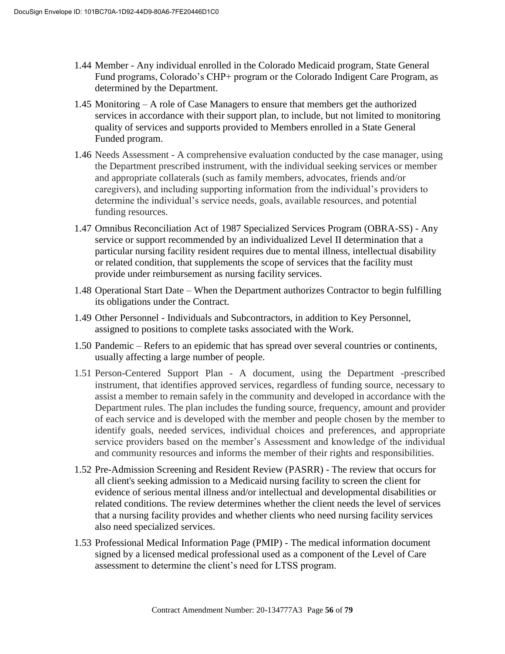- 1.44 Member Any individual enrolled in the Colorado Medicaid program, State General Fund programs, Colorado's CHP+ program or the Colorado Indigent Care Program, as determined by the Department.
- 1.45 Monitoring A role of Case Managers to ensure that members get the authorized services in accordance with their support plan, to include, but not limited to monitoring quality of services and supports provided to Members enrolled in a State General Funded program.
- 1.46 Needs Assessment A comprehensive evaluation conducted by the case manager, using the Department prescribed instrument, with the individual seeking services or member and appropriate collaterals (such as family members, advocates, friends and/or caregivers), and including supporting information from the individual's providers to determine the individual's service needs, goals, available resources, and potential funding resources.
- 1.47 Omnibus Reconciliation Act of 1987 Specialized Services Program (OBRA-SS) Any service or support recommended by an individualized Level II determination that a particular nursing facility resident requires due to mental illness, intellectual disability or related condition, that supplements the scope of services that the facility must provide under reimbursement as nursing facility services.
- 1.48 Operational Start Date When the Department authorizes Contractor to begin fulfilling its obligations under the Contract.
- 1.49 Other Personnel Individuals and Subcontractors, in addition to Key Personnel, assigned to positions to complete tasks associated with the Work.
- 1.50 Pandemic Refers to an epidemic that has spread over several countries or continents, usually affecting a large number of people.
- 1.51 Person-Centered Support Plan A document, using the Department -prescribed instrument, that identifies approved services, regardless of funding source, necessary to assist a member to remain safely in the community and developed in accordance with the Department rules. The plan includes the funding source, frequency, amount and provider of each service and is developed with the member and people chosen by the member to identify goals, needed services, individual choices and preferences, and appropriate service providers based on the member's Assessment and knowledge of the individual and community resources and informs the member of their rights and responsibilities.
- 1.52 Pre-Admission Screening and Resident Review (PASRR) The review that occurs for all client's seeking admission to a Medicaid nursing facility to screen the client for evidence of serious mental illness and/or intellectual and developmental disabilities or related conditions. The review determines whether the client needs the level of services that a nursing facility provides and whether clients who need nursing facility services also need specialized services.
- 1.53 Professional Medical Information Page (PMIP) The medical information document signed by a licensed medical professional used as a component of the Level of Care assessment to determine the client's need for LTSS program.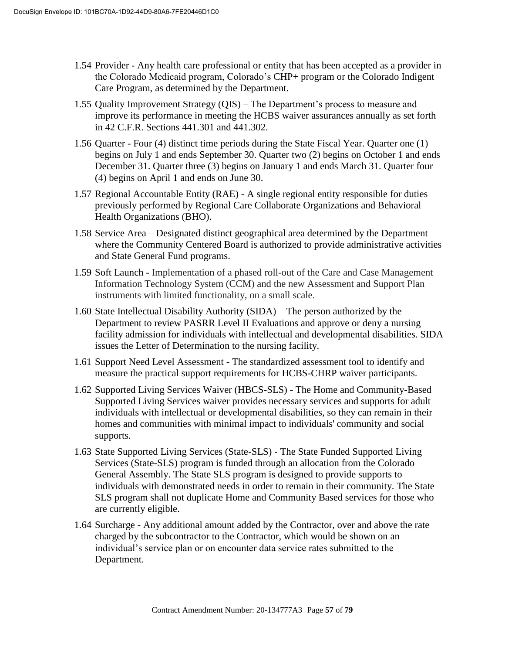- 1.54 Provider Any health care professional or entity that has been accepted as a provider in the Colorado Medicaid program, Colorado's CHP+ program or the Colorado Indigent Care Program, as determined by the Department.
- 1.55 Quality Improvement Strategy (QIS) The Department's process to measure and improve its performance in meeting the HCBS waiver assurances annually as set forth in 42 C.F.R. Sections 441.301 and 441.302.
- 1.56 Quarter Four (4) distinct time periods during the State Fiscal Year. Quarter one (1) begins on July 1 and ends September 30. Quarter two (2) begins on October 1 and ends December 31. Quarter three (3) begins on January 1 and ends March 31. Quarter four (4) begins on April 1 and ends on June 30.
- 1.57 Regional Accountable Entity (RAE) A single regional entity responsible for duties previously performed by Regional Care Collaborate Organizations and Behavioral Health Organizations (BHO).
- 1.58 Service Area Designated distinct geographical area determined by the Department where the Community Centered Board is authorized to provide administrative activities and State General Fund programs.
- 1.59 Soft Launch Implementation of a phased roll-out of the Care and Case Management Information Technology System (CCM) and the new Assessment and Support Plan instruments with limited functionality, on a small scale.
- 1.60 State Intellectual Disability Authority (SIDA) The person authorized by the Department to review PASRR Level II Evaluations and approve or deny a nursing facility admission for individuals with intellectual and developmental disabilities. SIDA issues the Letter of Determination to the nursing facility.
- 1.61 Support Need Level Assessment The standardized assessment tool to identify and measure the practical support requirements for HCBS-CHRP waiver participants.
- 1.62 Supported Living Services Waiver (HBCS-SLS) The Home and Community-Based Supported Living Services waiver provides necessary services and supports for adult individuals with intellectual or developmental disabilities, so they can remain in their homes and communities with minimal impact to individuals' community and social supports.
- 1.63 State Supported Living Services (State-SLS) The State Funded Supported Living Services (State-SLS) program is funded through an allocation from the Colorado General Assembly. The State SLS program is designed to provide supports to individuals with demonstrated needs in order to remain in their community. The State SLS program shall not duplicate Home and Community Based services for those who are currently eligible.
- 1.64 Surcharge Any additional amount added by the Contractor, over and above the rate charged by the subcontractor to the Contractor, which would be shown on an individual's service plan or on encounter data service rates submitted to the Department.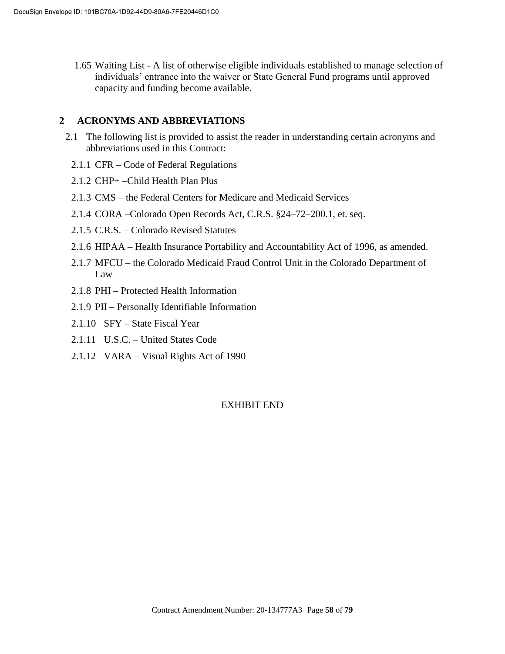1.65 Waiting List - A list of otherwise eligible individuals established to manage selection of individuals' entrance into the waiver or State General Fund programs until approved capacity and funding become available.

### **2 ACRONYMS AND ABBREVIATIONS**

- 2.1 The following list is provided to assist the reader in understanding certain acronyms and abbreviations used in this Contract:
	- 2.1.1 CFR Code of Federal Regulations
	- 2.1.2 CHP+ –Child Health Plan Plus
	- 2.1.3 CMS the Federal Centers for Medicare and Medicaid Services
	- 2.1.4 CORA –Colorado Open Records Act, C.R.S. §24–72–200.1, et. seq.
	- 2.1.5 C.R.S. Colorado Revised Statutes
	- 2.1.6 HIPAA Health Insurance Portability and Accountability Act of 1996, as amended.
	- 2.1.7 MFCU the Colorado Medicaid Fraud Control Unit in the Colorado Department of Law
	- 2.1.8 PHI Protected Health Information
	- 2.1.9 PII Personally Identifiable Information
	- 2.1.10 SFY State Fiscal Year
	- 2.1.11 U.S.C. United States Code
	- 2.1.12 VARA Visual Rights Act of 1990

# EXHIBIT END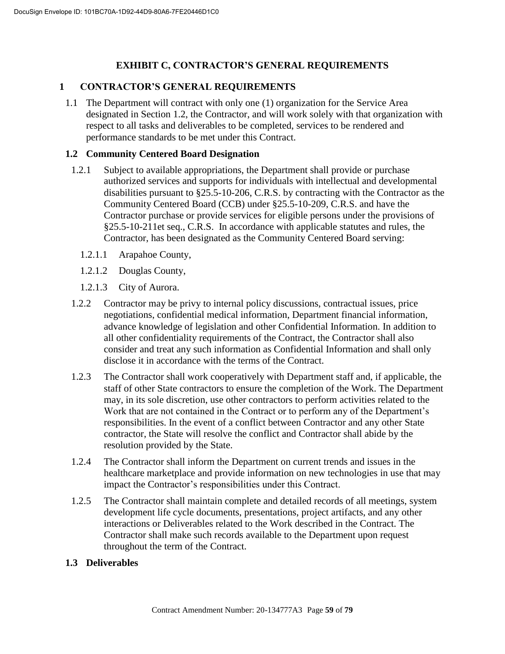# **EXHIBIT C, CONTRACTOR'S GENERAL REQUIREMENTS**

### **1 CONTRACTOR'S GENERAL REQUIREMENTS**

1.1 The Department will contract with only one (1) organization for the Service Area designated in Section 1.2, the Contractor, and will work solely with that organization with respect to all tasks and deliverables to be completed, services to be rendered and performance standards to be met under this Contract.

#### **1.2 Community Centered Board Designation**

- 1.2.1 Subject to available appropriations, the Department shall provide or purchase authorized services and supports for individuals with intellectual and developmental disabilities pursuant to §25.5-10-206, C.R.S. by contracting with the Contractor as the Community Centered Board (CCB) under §25.5-10-209, C.R.S. and have the Contractor purchase or provide services for eligible persons under the provisions of §25.5-10-211et seq., C.R.S. In accordance with applicable statutes and rules, the Contractor, has been designated as the Community Centered Board serving:
	- 1.2.1.1 Arapahoe County,
	- 1.2.1.2 Douglas County,
	- 1.2.1.3 City of Aurora.
- 1.2.2 Contractor may be privy to internal policy discussions, contractual issues, price negotiations, confidential medical information, Department financial information, advance knowledge of legislation and other Confidential Information. In addition to all other confidentiality requirements of the Contract, the Contractor shall also consider and treat any such information as Confidential Information and shall only disclose it in accordance with the terms of the Contract.
- 1.2.3 The Contractor shall work cooperatively with Department staff and, if applicable, the staff of other State contractors to ensure the completion of the Work. The Department may, in its sole discretion, use other contractors to perform activities related to the Work that are not contained in the Contract or to perform any of the Department's responsibilities. In the event of a conflict between Contractor and any other State contractor, the State will resolve the conflict and Contractor shall abide by the resolution provided by the State.
- 1.2.4 The Contractor shall inform the Department on current trends and issues in the healthcare marketplace and provide information on new technologies in use that may impact the Contractor's responsibilities under this Contract.
- 1.2.5 The Contractor shall maintain complete and detailed records of all meetings, system development life cycle documents, presentations, project artifacts, and any other interactions or Deliverables related to the Work described in the Contract. The Contractor shall make such records available to the Department upon request throughout the term of the Contract.

#### **1.3 Deliverables**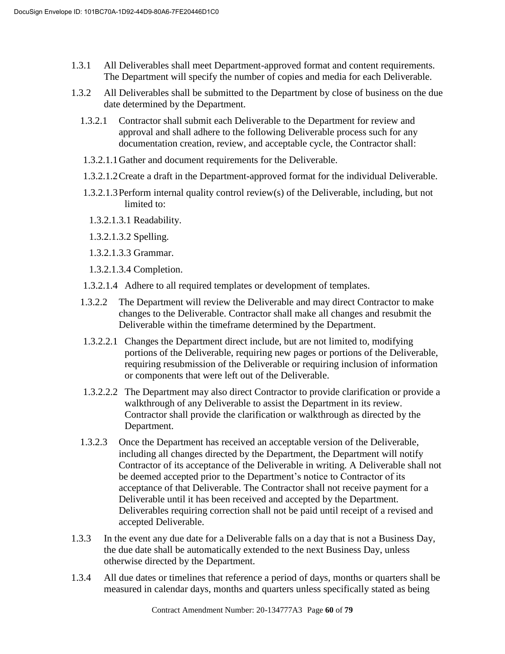- 1.3.1 All Deliverables shall meet Department-approved format and content requirements. The Department will specify the number of copies and media for each Deliverable.
- 1.3.2 All Deliverables shall be submitted to the Department by close of business on the due date determined by the Department.
	- 1.3.2.1 Contractor shall submit each Deliverable to the Department for review and approval and shall adhere to the following Deliverable process such for any documentation creation, review, and acceptable cycle, the Contractor shall:
	- 1.3.2.1.1Gather and document requirements for the Deliverable.
	- 1.3.2.1.2Create a draft in the Department-approved format for the individual Deliverable.
	- 1.3.2.1.3Perform internal quality control review(s) of the Deliverable, including, but not limited to:
		- 1.3.2.1.3.1 Readability.
		- 1.3.2.1.3.2 Spelling.
		- 1.3.2.1.3.3 Grammar.
		- 1.3.2.1.3.4 Completion.
	- 1.3.2.1.4 Adhere to all required templates or development of templates.
	- 1.3.2.2 The Department will review the Deliverable and may direct Contractor to make changes to the Deliverable. Contractor shall make all changes and resubmit the Deliverable within the timeframe determined by the Department.
	- 1.3.2.2.1 Changes the Department direct include, but are not limited to, modifying portions of the Deliverable, requiring new pages or portions of the Deliverable, requiring resubmission of the Deliverable or requiring inclusion of information or components that were left out of the Deliverable.
	- 1.3.2.2.2 The Department may also direct Contractor to provide clarification or provide a walkthrough of any Deliverable to assist the Department in its review. Contractor shall provide the clarification or walkthrough as directed by the Department.
	- 1.3.2.3 Once the Department has received an acceptable version of the Deliverable, including all changes directed by the Department, the Department will notify Contractor of its acceptance of the Deliverable in writing. A Deliverable shall not be deemed accepted prior to the Department's notice to Contractor of its acceptance of that Deliverable. The Contractor shall not receive payment for a Deliverable until it has been received and accepted by the Department. Deliverables requiring correction shall not be paid until receipt of a revised and accepted Deliverable.
- 1.3.3 In the event any due date for a Deliverable falls on a day that is not a Business Day, the due date shall be automatically extended to the next Business Day, unless otherwise directed by the Department.
- 1.3.4 All due dates or timelines that reference a period of days, months or quarters shall be measured in calendar days, months and quarters unless specifically stated as being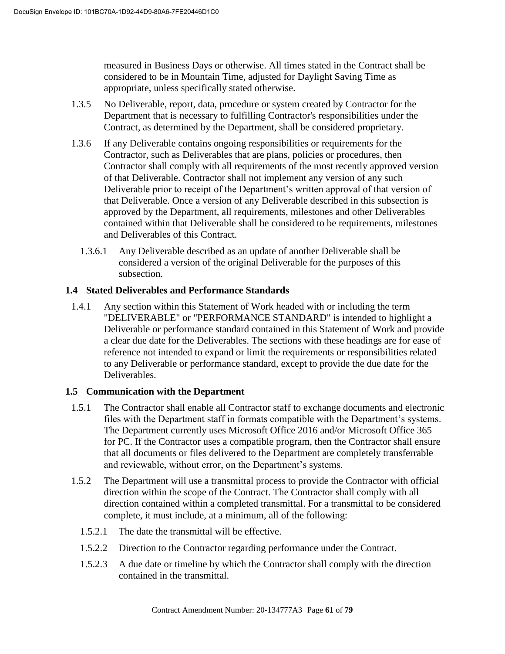measured in Business Days or otherwise. All times stated in the Contract shall be considered to be in Mountain Time, adjusted for Daylight Saving Time as appropriate, unless specifically stated otherwise.

- 1.3.5 No Deliverable, report, data, procedure or system created by Contractor for the Department that is necessary to fulfilling Contractor's responsibilities under the Contract, as determined by the Department, shall be considered proprietary.
- 1.3.6 If any Deliverable contains ongoing responsibilities or requirements for the Contractor, such as Deliverables that are plans, policies or procedures, then Contractor shall comply with all requirements of the most recently approved version of that Deliverable. Contractor shall not implement any version of any such Deliverable prior to receipt of the Department's written approval of that version of that Deliverable. Once a version of any Deliverable described in this subsection is approved by the Department, all requirements, milestones and other Deliverables contained within that Deliverable shall be considered to be requirements, milestones and Deliverables of this Contract.
	- 1.3.6.1 Any Deliverable described as an update of another Deliverable shall be considered a version of the original Deliverable for the purposes of this subsection.

### **1.4 Stated Deliverables and Performance Standards**

1.4.1 Any section within this Statement of Work headed with or including the term "DELIVERABLE" or "PERFORMANCE STANDARD" is intended to highlight a Deliverable or performance standard contained in this Statement of Work and provide a clear due date for the Deliverables. The sections with these headings are for ease of reference not intended to expand or limit the requirements or responsibilities related to any Deliverable or performance standard, except to provide the due date for the Deliverables.

# **1.5 Communication with the Department**

- 1.5.1 The Contractor shall enable all Contractor staff to exchange documents and electronic files with the Department staff in formats compatible with the Department's systems. The Department currently uses Microsoft Office 2016 and/or Microsoft Office 365 for PC. If the Contractor uses a compatible program, then the Contractor shall ensure that all documents or files delivered to the Department are completely transferrable and reviewable, without error, on the Department's systems.
- 1.5.2 The Department will use a transmittal process to provide the Contractor with official direction within the scope of the Contract. The Contractor shall comply with all direction contained within a completed transmittal. For a transmittal to be considered complete, it must include, at a minimum, all of the following:
	- 1.5.2.1 The date the transmittal will be effective.
	- 1.5.2.2 Direction to the Contractor regarding performance under the Contract.
	- 1.5.2.3 A due date or timeline by which the Contractor shall comply with the direction contained in the transmittal.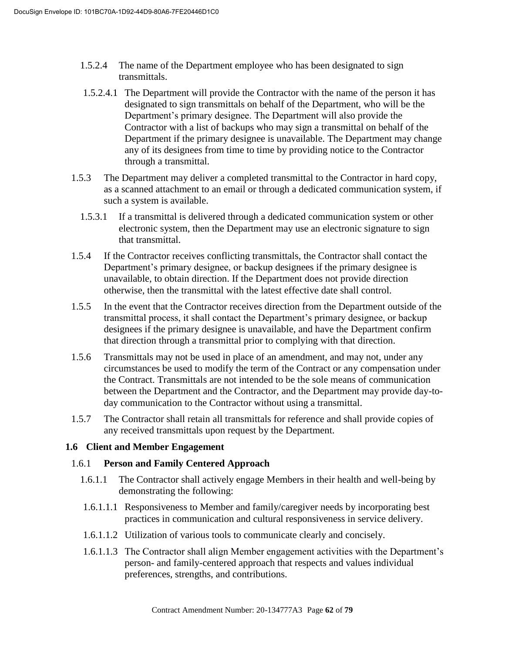- 1.5.2.4 The name of the Department employee who has been designated to sign transmittals.
- 1.5.2.4.1 The Department will provide the Contractor with the name of the person it has designated to sign transmittals on behalf of the Department, who will be the Department's primary designee. The Department will also provide the Contractor with a list of backups who may sign a transmittal on behalf of the Department if the primary designee is unavailable. The Department may change any of its designees from time to time by providing notice to the Contractor through a transmittal.
- 1.5.3 The Department may deliver a completed transmittal to the Contractor in hard copy, as a scanned attachment to an email or through a dedicated communication system, if such a system is available.
	- 1.5.3.1 If a transmittal is delivered through a dedicated communication system or other electronic system, then the Department may use an electronic signature to sign that transmittal.
- 1.5.4 If the Contractor receives conflicting transmittals, the Contractor shall contact the Department's primary designee, or backup designees if the primary designee is unavailable, to obtain direction. If the Department does not provide direction otherwise, then the transmittal with the latest effective date shall control.
- 1.5.5 In the event that the Contractor receives direction from the Department outside of the transmittal process, it shall contact the Department's primary designee, or backup designees if the primary designee is unavailable, and have the Department confirm that direction through a transmittal prior to complying with that direction.
- 1.5.6 Transmittals may not be used in place of an amendment, and may not, under any circumstances be used to modify the term of the Contract or any compensation under the Contract. Transmittals are not intended to be the sole means of communication between the Department and the Contractor, and the Department may provide day-today communication to the Contractor without using a transmittal.
- 1.5.7 The Contractor shall retain all transmittals for reference and shall provide copies of any received transmittals upon request by the Department.

# **1.6 Client and Member Engagement**

#### 1.6.1 **Person and Family Centered Approach**

- 1.6.1.1 The Contractor shall actively engage Members in their health and well-being by demonstrating the following:
- 1.6.1.1.1 Responsiveness to Member and family/caregiver needs by incorporating best practices in communication and cultural responsiveness in service delivery.
- 1.6.1.1.2 Utilization of various tools to communicate clearly and concisely.
- 1.6.1.1.3 The Contractor shall align Member engagement activities with the Department's person- and family-centered approach that respects and values individual preferences, strengths, and contributions.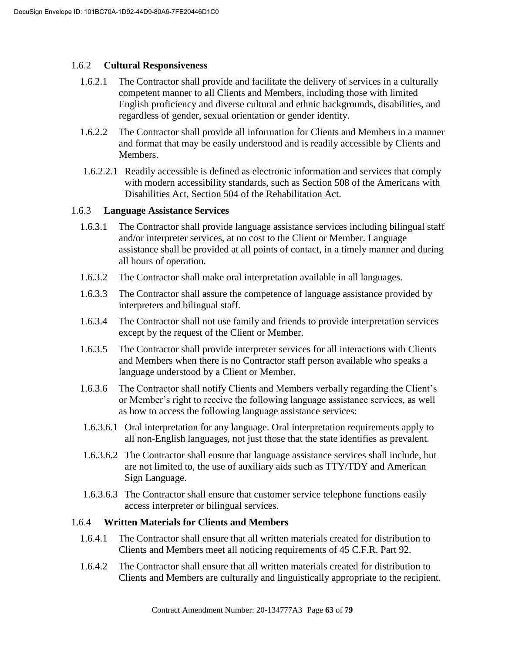#### 1.6.2 **Cultural Responsiveness**

- 1.6.2.1 The Contractor shall provide and facilitate the delivery of services in a culturally competent manner to all Clients and Members, including those with limited English proficiency and diverse cultural and ethnic backgrounds, disabilities, and regardless of gender, sexual orientation or gender identity.
- 1.6.2.2 The Contractor shall provide all information for Clients and Members in a manner and format that may be easily understood and is readily accessible by Clients and Members.
- 1.6.2.2.1 Readily accessible is defined as electronic information and services that comply with modern accessibility standards, such as Section 508 of the Americans with Disabilities Act, Section 504 of the Rehabilitation Act.

#### 1.6.3 **Language Assistance Services**

- 1.6.3.1 The Contractor shall provide language assistance services including bilingual staff and/or interpreter services, at no cost to the Client or Member. Language assistance shall be provided at all points of contact, in a timely manner and during all hours of operation.
- 1.6.3.2 The Contractor shall make oral interpretation available in all languages.
- 1.6.3.3 The Contractor shall assure the competence of language assistance provided by interpreters and bilingual staff.
- 1.6.3.4 The Contractor shall not use family and friends to provide interpretation services except by the request of the Client or Member.
- 1.6.3.5 The Contractor shall provide interpreter services for all interactions with Clients and Members when there is no Contractor staff person available who speaks a language understood by a Client or Member.
- 1.6.3.6 The Contractor shall notify Clients and Members verbally regarding the Client's or Member's right to receive the following language assistance services, as well as how to access the following language assistance services:
- 1.6.3.6.1 Oral interpretation for any language. Oral interpretation requirements apply to all non-English languages, not just those that the state identifies as prevalent.
- 1.6.3.6.2 The Contractor shall ensure that language assistance services shall include, but are not limited to, the use of auxiliary aids such as TTY/TDY and American Sign Language.
- 1.6.3.6.3 The Contractor shall ensure that customer service telephone functions easily access interpreter or bilingual services.

### 1.6.4 **Written Materials for Clients and Members**

- 1.6.4.1 The Contractor shall ensure that all written materials created for distribution to Clients and Members meet all noticing requirements of 45 C.F.R. Part 92.
- 1.6.4.2 The Contractor shall ensure that all written materials created for distribution to Clients and Members are culturally and linguistically appropriate to the recipient.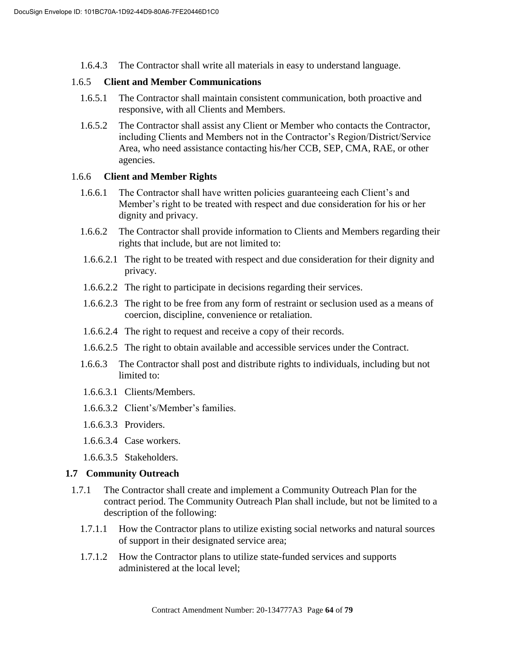1.6.4.3 The Contractor shall write all materials in easy to understand language.

#### 1.6.5 **Client and Member Communications**

- 1.6.5.1 The Contractor shall maintain consistent communication, both proactive and responsive, with all Clients and Members.
- 1.6.5.2 The Contractor shall assist any Client or Member who contacts the Contractor, including Clients and Members not in the Contractor's Region/District/Service Area, who need assistance contacting his/her CCB, SEP, CMA, RAE, or other agencies.

#### 1.6.6 **Client and Member Rights**

- 1.6.6.1 The Contractor shall have written policies guaranteeing each Client's and Member's right to be treated with respect and due consideration for his or her dignity and privacy.
- 1.6.6.2 The Contractor shall provide information to Clients and Members regarding their rights that include, but are not limited to:
- 1.6.6.2.1 The right to be treated with respect and due consideration for their dignity and privacy.
- 1.6.6.2.2 The right to participate in decisions regarding their services.
- 1.6.6.2.3 The right to be free from any form of restraint or seclusion used as a means of coercion, discipline, convenience or retaliation.
- 1.6.6.2.4 The right to request and receive a copy of their records.
- 1.6.6.2.5 The right to obtain available and accessible services under the Contract.
- 1.6.6.3 The Contractor shall post and distribute rights to individuals, including but not limited to:
- 1.6.6.3.1 Clients/Members.
- 1.6.6.3.2 Client's/Member's families.
- 1.6.6.3.3 Providers.
- 1.6.6.3.4 Case workers.
- 1.6.6.3.5 Stakeholders.

#### **1.7 Community Outreach**

- 1.7.1 The Contractor shall create and implement a Community Outreach Plan for the contract period. The Community Outreach Plan shall include, but not be limited to a description of the following:
	- 1.7.1.1 How the Contractor plans to utilize existing social networks and natural sources of support in their designated service area;
	- 1.7.1.2 How the Contractor plans to utilize state-funded services and supports administered at the local level;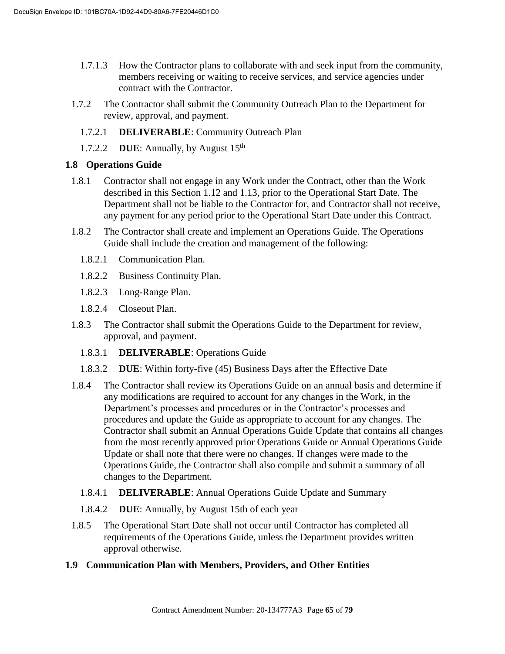- 1.7.1.3 How the Contractor plans to collaborate with and seek input from the community, members receiving or waiting to receive services, and service agencies under contract with the Contractor.
- 1.7.2 The Contractor shall submit the Community Outreach Plan to the Department for review, approval, and payment.
	- 1.7.2.1 **DELIVERABLE**: Community Outreach Plan
	- 1.7.2.2 **DUE**: Annually, by August 15th

#### **1.8 Operations Guide**

- 1.8.1 Contractor shall not engage in any Work under the Contract, other than the Work described in this Section 1.12 and 1.13, prior to the Operational Start Date. The Department shall not be liable to the Contractor for, and Contractor shall not receive, any payment for any period prior to the Operational Start Date under this Contract.
- 1.8.2 The Contractor shall create and implement an Operations Guide. The Operations Guide shall include the creation and management of the following:
	- 1.8.2.1 Communication Plan.
	- 1.8.2.2 Business Continuity Plan.
	- 1.8.2.3 Long-Range Plan.
	- 1.8.2.4 Closeout Plan.
- 1.8.3 The Contractor shall submit the Operations Guide to the Department for review, approval, and payment.
	- 1.8.3.1 **DELIVERABLE**: Operations Guide
	- 1.8.3.2 **DUE**: Within forty-five (45) Business Days after the Effective Date
- 1.8.4 The Contractor shall review its Operations Guide on an annual basis and determine if any modifications are required to account for any changes in the Work, in the Department's processes and procedures or in the Contractor's processes and procedures and update the Guide as appropriate to account for any changes. The Contractor shall submit an Annual Operations Guide Update that contains all changes from the most recently approved prior Operations Guide or Annual Operations Guide Update or shall note that there were no changes. If changes were made to the Operations Guide, the Contractor shall also compile and submit a summary of all changes to the Department.
	- 1.8.4.1 **DELIVERABLE**: Annual Operations Guide Update and Summary
	- 1.8.4.2 **DUE**: Annually, by August 15th of each year
- 1.8.5 The Operational Start Date shall not occur until Contractor has completed all requirements of the Operations Guide, unless the Department provides written approval otherwise.

#### **1.9 Communication Plan with Members, Providers, and Other Entities**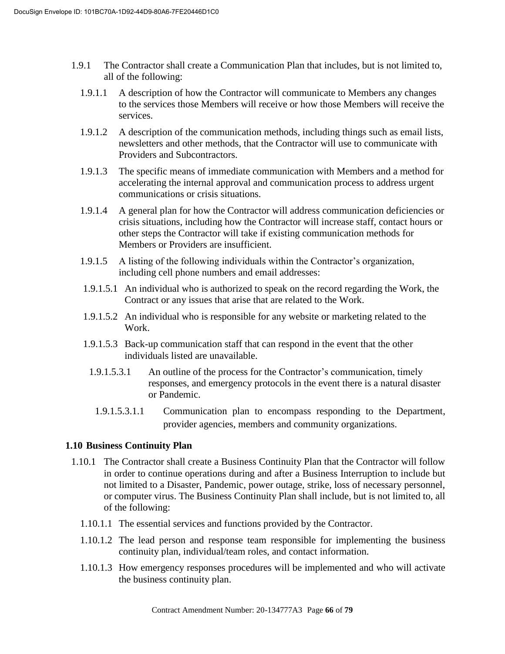- 1.9.1 The Contractor shall create a Communication Plan that includes, but is not limited to, all of the following:
	- 1.9.1.1 A description of how the Contractor will communicate to Members any changes to the services those Members will receive or how those Members will receive the services.
	- 1.9.1.2 A description of the communication methods, including things such as email lists, newsletters and other methods, that the Contractor will use to communicate with Providers and Subcontractors.
	- 1.9.1.3 The specific means of immediate communication with Members and a method for accelerating the internal approval and communication process to address urgent communications or crisis situations.
	- 1.9.1.4 A general plan for how the Contractor will address communication deficiencies or crisis situations, including how the Contractor will increase staff, contact hours or other steps the Contractor will take if existing communication methods for Members or Providers are insufficient.
	- 1.9.1.5 A listing of the following individuals within the Contractor's organization, including cell phone numbers and email addresses:
	- 1.9.1.5.1 An individual who is authorized to speak on the record regarding the Work, the Contract or any issues that arise that are related to the Work.
	- 1.9.1.5.2 An individual who is responsible for any website or marketing related to the Work.
	- 1.9.1.5.3 Back-up communication staff that can respond in the event that the other individuals listed are unavailable.
	- 1.9.1.5.3.1 An outline of the process for the Contractor's communication, timely responses, and emergency protocols in the event there is a natural disaster or Pandemic.
		- 1.9.1.5.3.1.1 Communication plan to encompass responding to the Department, provider agencies, members and community organizations.

# **1.10 Business Continuity Plan**

- 1.10.1 The Contractor shall create a Business Continuity Plan that the Contractor will follow in order to continue operations during and after a Business Interruption to include but not limited to a Disaster, Pandemic, power outage, strike, loss of necessary personnel, or computer virus. The Business Continuity Plan shall include, but is not limited to, all of the following:
	- 1.10.1.1 The essential services and functions provided by the Contractor.
	- 1.10.1.2 The lead person and response team responsible for implementing the business continuity plan, individual/team roles, and contact information.
	- 1.10.1.3 How emergency responses procedures will be implemented and who will activate the business continuity plan.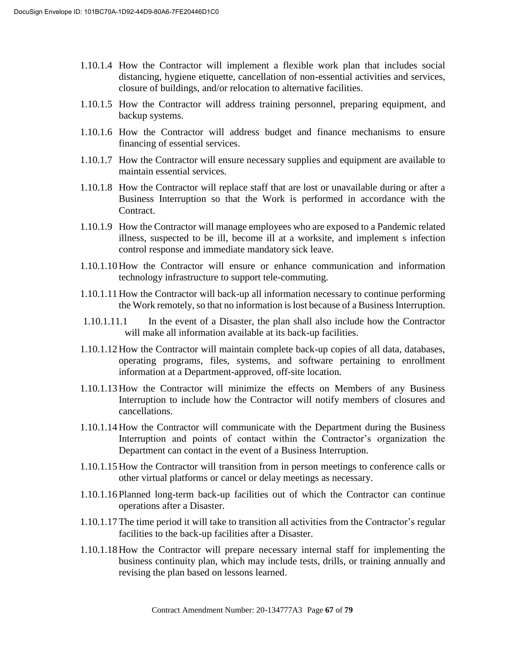- 1.10.1.4 How the Contractor will implement a flexible work plan that includes social distancing, hygiene etiquette, cancellation of non-essential activities and services, closure of buildings, and/or relocation to alternative facilities.
- 1.10.1.5 How the Contractor will address training personnel, preparing equipment, and backup systems.
- 1.10.1.6 How the Contractor will address budget and finance mechanisms to ensure financing of essential services.
- 1.10.1.7 How the Contractor will ensure necessary supplies and equipment are available to maintain essential services.
- 1.10.1.8 How the Contractor will replace staff that are lost or unavailable during or after a Business Interruption so that the Work is performed in accordance with the Contract.
- 1.10.1.9 How the Contractor will manage employees who are exposed to a Pandemic related illness, suspected to be ill, become ill at a worksite, and implement s infection control response and immediate mandatory sick leave.
- 1.10.1.10 How the Contractor will ensure or enhance communication and information technology infrastructure to support tele-commuting.
- 1.10.1.11 How the Contractor will back-up all information necessary to continue performing the Work remotely, so that no information is lost because of a Business Interruption.
- 1.10.1.11.1 In the event of a Disaster, the plan shall also include how the Contractor will make all information available at its back-up facilities.
- 1.10.1.12 How the Contractor will maintain complete back-up copies of all data, databases, operating programs, files, systems, and software pertaining to enrollment information at a Department-approved, off-site location.
- 1.10.1.13 How the Contractor will minimize the effects on Members of any Business Interruption to include how the Contractor will notify members of closures and cancellations.
- 1.10.1.14 How the Contractor will communicate with the Department during the Business Interruption and points of contact within the Contractor's organization the Department can contact in the event of a Business Interruption.
- 1.10.1.15 How the Contractor will transition from in person meetings to conference calls or other virtual platforms or cancel or delay meetings as necessary.
- 1.10.1.16 Planned long-term back-up facilities out of which the Contractor can continue operations after a Disaster.
- 1.10.1.17The time period it will take to transition all activities from the Contractor's regular facilities to the back-up facilities after a Disaster.
- 1.10.1.18 How the Contractor will prepare necessary internal staff for implementing the business continuity plan, which may include tests, drills, or training annually and revising the plan based on lessons learned.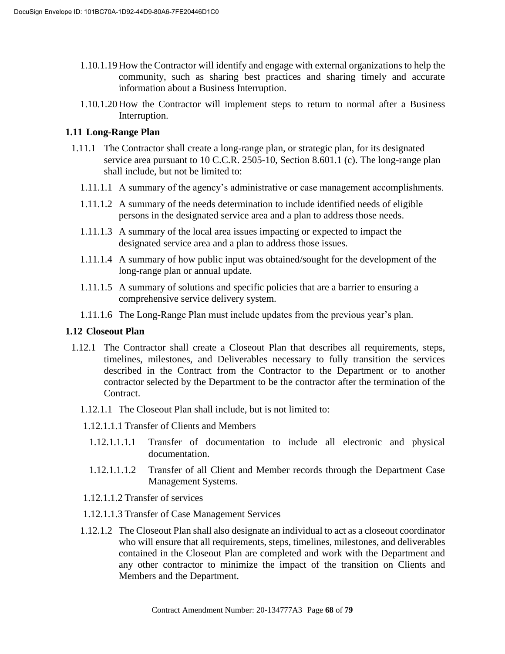- 1.10.1.19 How the Contractor will identify and engage with external organizations to help the community, such as sharing best practices and sharing timely and accurate information about a Business Interruption.
- 1.10.1.20 How the Contractor will implement steps to return to normal after a Business Interruption.

#### **1.11 Long-Range Plan**

- 1.11.1 The Contractor shall create a long-range plan, or strategic plan, for its designated service area pursuant to 10 C.C.R. 2505-10, Section 8.601.1 (c). The long-range plan shall include, but not be limited to:
	- 1.11.1.1 A summary of the agency's administrative or case management accomplishments.
	- 1.11.1.2 A summary of the needs determination to include identified needs of eligible persons in the designated service area and a plan to address those needs.
	- 1.11.1.3 A summary of the local area issues impacting or expected to impact the designated service area and a plan to address those issues.
	- 1.11.1.4 A summary of how public input was obtained/sought for the development of the long-range plan or annual update.
	- 1.11.1.5 A summary of solutions and specific policies that are a barrier to ensuring a comprehensive service delivery system.
	- 1.11.1.6 The Long-Range Plan must include updates from the previous year's plan.

#### **1.12 Closeout Plan**

- 1.12.1 The Contractor shall create a Closeout Plan that describes all requirements, steps, timelines, milestones, and Deliverables necessary to fully transition the services described in the Contract from the Contractor to the Department or to another contractor selected by the Department to be the contractor after the termination of the Contract.
	- 1.12.1.1 The Closeout Plan shall include, but is not limited to:
	- 1.12.1.1.1 Transfer of Clients and Members
		- 1.12.1.1.1.1 Transfer of documentation to include all electronic and physical documentation.
		- 1.12.1.1.1.2 Transfer of all Client and Member records through the Department Case Management Systems.
	- 1.12.1.1.2 Transfer of services
	- 1.12.1.1.3 Transfer of Case Management Services
	- 1.12.1.2 The Closeout Plan shall also designate an individual to act as a closeout coordinator who will ensure that all requirements, steps, timelines, milestones, and deliverables contained in the Closeout Plan are completed and work with the Department and any other contractor to minimize the impact of the transition on Clients and Members and the Department.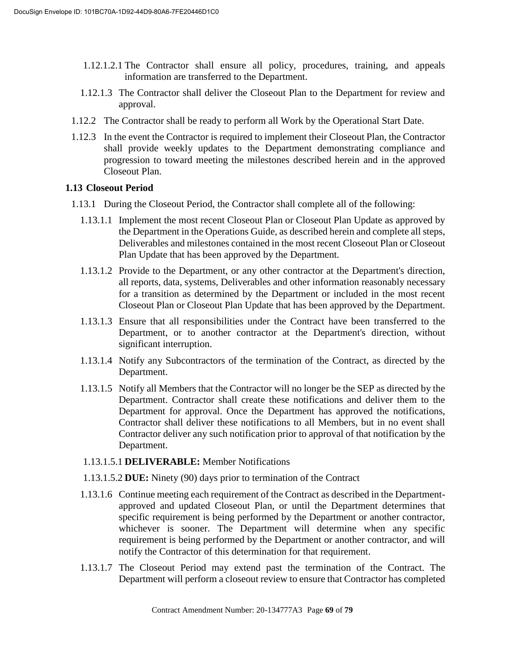- 1.12.1.2.1 The Contractor shall ensure all policy, procedures, training, and appeals information are transferred to the Department.
- 1.12.1.3 The Contractor shall deliver the Closeout Plan to the Department for review and approval.
- 1.12.2 The Contractor shall be ready to perform all Work by the Operational Start Date.
- 1.12.3 In the event the Contractor is required to implement their Closeout Plan, the Contractor shall provide weekly updates to the Department demonstrating compliance and progression to toward meeting the milestones described herein and in the approved Closeout Plan.

#### **1.13 Closeout Period**

- 1.13.1 During the Closeout Period, the Contractor shall complete all of the following:
	- 1.13.1.1 Implement the most recent Closeout Plan or Closeout Plan Update as approved by the Department in the Operations Guide, as described herein and complete all steps, Deliverables and milestones contained in the most recent Closeout Plan or Closeout Plan Update that has been approved by the Department.
	- 1.13.1.2 Provide to the Department, or any other contractor at the Department's direction, all reports, data, systems, Deliverables and other information reasonably necessary for a transition as determined by the Department or included in the most recent Closeout Plan or Closeout Plan Update that has been approved by the Department.
	- 1.13.1.3 Ensure that all responsibilities under the Contract have been transferred to the Department, or to another contractor at the Department's direction, without significant interruption.
	- 1.13.1.4 Notify any Subcontractors of the termination of the Contract, as directed by the Department.
	- 1.13.1.5 Notify all Members that the Contractor will no longer be the SEP as directed by the Department. Contractor shall create these notifications and deliver them to the Department for approval. Once the Department has approved the notifications, Contractor shall deliver these notifications to all Members, but in no event shall Contractor deliver any such notification prior to approval of that notification by the Department.
	- 1.13.1.5.1 **DELIVERABLE:** Member Notifications
	- 1.13.1.5.2 **DUE:** Ninety (90) days prior to termination of the Contract
	- 1.13.1.6 Continue meeting each requirement of the Contract as described in the Departmentapproved and updated Closeout Plan, or until the Department determines that specific requirement is being performed by the Department or another contractor, whichever is sooner. The Department will determine when any specific requirement is being performed by the Department or another contractor, and will notify the Contractor of this determination for that requirement.
	- 1.13.1.7 The Closeout Period may extend past the termination of the Contract. The Department will perform a closeout review to ensure that Contractor has completed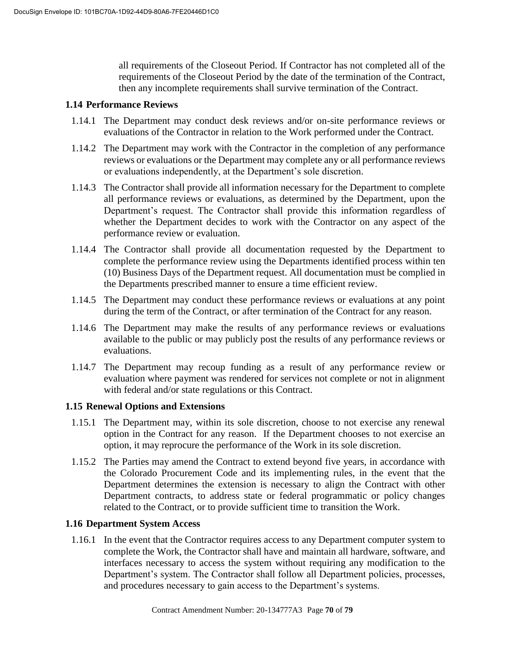all requirements of the Closeout Period. If Contractor has not completed all of the requirements of the Closeout Period by the date of the termination of the Contract, then any incomplete requirements shall survive termination of the Contract.

### **1.14 Performance Reviews**

- 1.14.1 The Department may conduct desk reviews and/or on-site performance reviews or evaluations of the Contractor in relation to the Work performed under the Contract.
- 1.14.2 The Department may work with the Contractor in the completion of any performance reviews or evaluations or the Department may complete any or all performance reviews or evaluations independently, at the Department's sole discretion.
- 1.14.3 The Contractor shall provide all information necessary for the Department to complete all performance reviews or evaluations, as determined by the Department, upon the Department's request. The Contractor shall provide this information regardless of whether the Department decides to work with the Contractor on any aspect of the performance review or evaluation.
- 1.14.4 The Contractor shall provide all documentation requested by the Department to complete the performance review using the Departments identified process within ten (10) Business Days of the Department request. All documentation must be complied in the Departments prescribed manner to ensure a time efficient review.
- 1.14.5 The Department may conduct these performance reviews or evaluations at any point during the term of the Contract, or after termination of the Contract for any reason.
- 1.14.6 The Department may make the results of any performance reviews or evaluations available to the public or may publicly post the results of any performance reviews or evaluations.
- 1.14.7 The Department may recoup funding as a result of any performance review or evaluation where payment was rendered for services not complete or not in alignment with federal and/or state regulations or this Contract.

#### **1.15 Renewal Options and Extensions**

- 1.15.1 The Department may, within its sole discretion, choose to not exercise any renewal option in the Contract for any reason. If the Department chooses to not exercise an option, it may reprocure the performance of the Work in its sole discretion.
- 1.15.2 The Parties may amend the Contract to extend beyond five years, in accordance with the Colorado Procurement Code and its implementing rules, in the event that the Department determines the extension is necessary to align the Contract with other Department contracts, to address state or federal programmatic or policy changes related to the Contract, or to provide sufficient time to transition the Work.

#### **1.16 Department System Access**

1.16.1 In the event that the Contractor requires access to any Department computer system to complete the Work, the Contractor shall have and maintain all hardware, software, and interfaces necessary to access the system without requiring any modification to the Department's system. The Contractor shall follow all Department policies, processes, and procedures necessary to gain access to the Department's systems.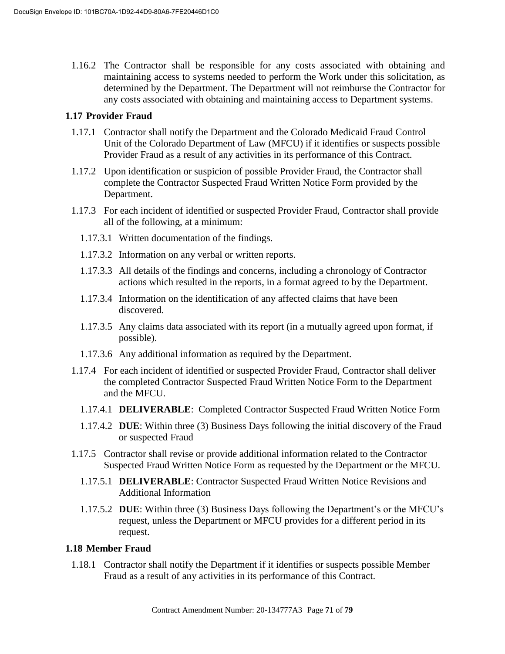1.16.2 The Contractor shall be responsible for any costs associated with obtaining and maintaining access to systems needed to perform the Work under this solicitation, as determined by the Department. The Department will not reimburse the Contractor for any costs associated with obtaining and maintaining access to Department systems.

#### **1.17 Provider Fraud**

- 1.17.1 Contractor shall notify the Department and the Colorado Medicaid Fraud Control Unit of the Colorado Department of Law (MFCU) if it identifies or suspects possible Provider Fraud as a result of any activities in its performance of this Contract.
- 1.17.2 Upon identification or suspicion of possible Provider Fraud, the Contractor shall complete the Contractor Suspected Fraud Written Notice Form provided by the Department.
- 1.17.3 For each incident of identified or suspected Provider Fraud, Contractor shall provide all of the following, at a minimum:
	- 1.17.3.1 Written documentation of the findings.
	- 1.17.3.2 Information on any verbal or written reports.
	- 1.17.3.3 All details of the findings and concerns, including a chronology of Contractor actions which resulted in the reports, in a format agreed to by the Department.
	- 1.17.3.4 Information on the identification of any affected claims that have been discovered.
	- 1.17.3.5 Any claims data associated with its report (in a mutually agreed upon format, if possible).
	- 1.17.3.6 Any additional information as required by the Department.
- 1.17.4 For each incident of identified or suspected Provider Fraud, Contractor shall deliver the completed Contractor Suspected Fraud Written Notice Form to the Department and the MFCU.
	- 1.17.4.1 **DELIVERABLE**: Completed Contractor Suspected Fraud Written Notice Form
	- 1.17.4.2 **DUE**: Within three (3) Business Days following the initial discovery of the Fraud or suspected Fraud
- 1.17.5 Contractor shall revise or provide additional information related to the Contractor Suspected Fraud Written Notice Form as requested by the Department or the MFCU.
	- 1.17.5.1 **DELIVERABLE**: Contractor Suspected Fraud Written Notice Revisions and Additional Information
	- 1.17.5.2 **DUE**: Within three (3) Business Days following the Department's or the MFCU's request, unless the Department or MFCU provides for a different period in its request.

#### **1.18 Member Fraud**

1.18.1 Contractor shall notify the Department if it identifies or suspects possible Member Fraud as a result of any activities in its performance of this Contract.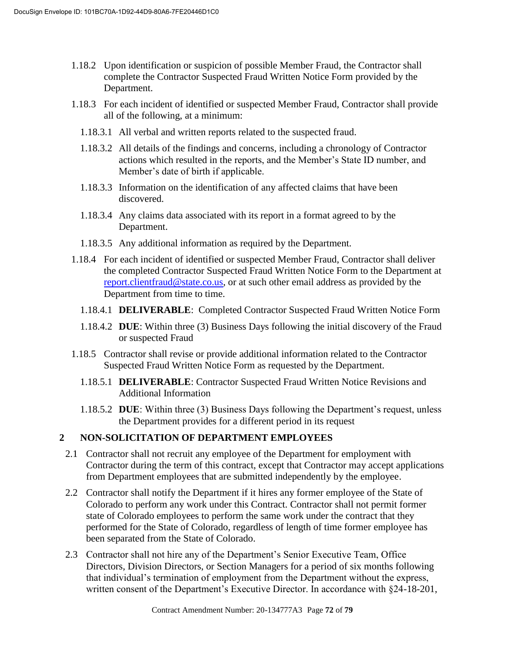- 1.18.2 Upon identification or suspicion of possible Member Fraud, the Contractor shall complete the Contractor Suspected Fraud Written Notice Form provided by the Department.
- 1.18.3 For each incident of identified or suspected Member Fraud, Contractor shall provide all of the following, at a minimum:
	- 1.18.3.1 All verbal and written reports related to the suspected fraud.
	- 1.18.3.2 All details of the findings and concerns, including a chronology of Contractor actions which resulted in the reports, and the Member's State ID number, and Member's date of birth if applicable.
	- 1.18.3.3 Information on the identification of any affected claims that have been discovered.
	- 1.18.3.4 Any claims data associated with its report in a format agreed to by the Department.
	- 1.18.3.5 Any additional information as required by the Department.
- 1.18.4 For each incident of identified or suspected Member Fraud, Contractor shall deliver the completed Contractor Suspected Fraud Written Notice Form to the Department at report.clientfraud@state.co.us, or at such other email address as provided by the Department from time to time.
	- 1.18.4.1 **DELIVERABLE**: Completed Contractor Suspected Fraud Written Notice Form
	- 1.18.4.2 **DUE**: Within three (3) Business Days following the initial discovery of the Fraud or suspected Fraud
- 1.18.5 Contractor shall revise or provide additional information related to the Contractor Suspected Fraud Written Notice Form as requested by the Department.
	- 1.18.5.1 **DELIVERABLE**: Contractor Suspected Fraud Written Notice Revisions and Additional Information
	- 1.18.5.2 **DUE**: Within three (3) Business Days following the Department's request, unless the Department provides for a different period in its request

# **2 NON-SOLICITATION OF DEPARTMENT EMPLOYEES**

- 2.1 Contractor shall not recruit any employee of the Department for employment with Contractor during the term of this contract, except that Contractor may accept applications from Department employees that are submitted independently by the employee.
- 2.2 Contractor shall notify the Department if it hires any former employee of the State of Colorado to perform any work under this Contract. Contractor shall not permit former state of Colorado employees to perform the same work under the contract that they performed for the State of Colorado, regardless of length of time former employee has been separated from the State of Colorado.
- 2.3 Contractor shall not hire any of the Department's Senior Executive Team, Office Directors, Division Directors, or Section Managers for a period of six months following that individual's termination of employment from the Department without the express, written consent of the Department's Executive Director. In accordance with §24-18-201,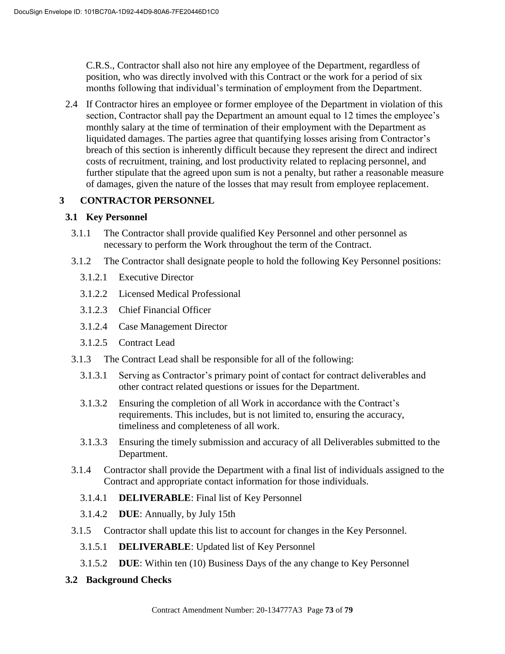C.R.S., Contractor shall also not hire any employee of the Department, regardless of position, who was directly involved with this Contract or the work for a period of six months following that individual's termination of employment from the Department.

2.4 If Contractor hires an employee or former employee of the Department in violation of this section, Contractor shall pay the Department an amount equal to 12 times the employee's monthly salary at the time of termination of their employment with the Department as liquidated damages. The parties agree that quantifying losses arising from Contractor's breach of this section is inherently difficult because they represent the direct and indirect costs of recruitment, training, and lost productivity related to replacing personnel, and further stipulate that the agreed upon sum is not a penalty, but rather a reasonable measure of damages, given the nature of the losses that may result from employee replacement.

## **3 CONTRACTOR PERSONNEL**

## **3.1 Key Personnel**

- 3.1.1 The Contractor shall provide qualified Key Personnel and other personnel as necessary to perform the Work throughout the term of the Contract.
- 3.1.2 The Contractor shall designate people to hold the following Key Personnel positions:
	- 3.1.2.1 Executive Director
	- 3.1.2.2 Licensed Medical Professional
	- 3.1.2.3 Chief Financial Officer
	- 3.1.2.4 Case Management Director
	- 3.1.2.5 Contract Lead
- 3.1.3 The Contract Lead shall be responsible for all of the following:
	- 3.1.3.1 Serving as Contractor's primary point of contact for contract deliverables and other contract related questions or issues for the Department.
	- 3.1.3.2 Ensuring the completion of all Work in accordance with the Contract's requirements. This includes, but is not limited to, ensuring the accuracy, timeliness and completeness of all work.
	- 3.1.3.3 Ensuring the timely submission and accuracy of all Deliverables submitted to the Department.
- 3.1.4 Contractor shall provide the Department with a final list of individuals assigned to the Contract and appropriate contact information for those individuals.
	- 3.1.4.1 **DELIVERABLE**: Final list of Key Personnel
	- 3.1.4.2 **DUE**: Annually, by July 15th
- 3.1.5 Contractor shall update this list to account for changes in the Key Personnel.
	- 3.1.5.1 **DELIVERABLE**: Updated list of Key Personnel
	- 3.1.5.2 **DUE**: Within ten (10) Business Days of the any change to Key Personnel
- **3.2 Background Checks**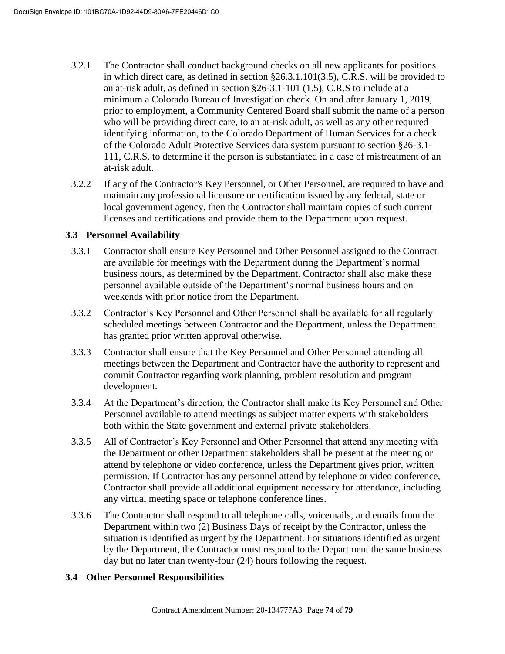- 3.2.1 The Contractor shall conduct background checks on all new applicants for positions in which direct care, as defined in section §26.3.1.101(3.5), C.R.S. will be provided to an at-risk adult, as defined in section §26-3.1-101 (1.5), C.R.S to include at a minimum a Colorado Bureau of Investigation check. On and after January 1, 2019, prior to employment, a Community Centered Board shall submit the name of a person who will be providing direct care, to an at-risk adult, as well as any other required identifying information, to the Colorado Department of Human Services for a check of the Colorado Adult Protective Services data system pursuant to section §26-3.1- 111, C.R.S. to determine if the person is substantiated in a case of mistreatment of an at-risk adult.
- 3.2.2 If any of the Contractor's Key Personnel, or Other Personnel, are required to have and maintain any professional licensure or certification issued by any federal, state or local government agency, then the Contractor shall maintain copies of such current licenses and certifications and provide them to the Department upon request.

#### **3.3 Personnel Availability**

- 3.3.1 Contractor shall ensure Key Personnel and Other Personnel assigned to the Contract are available for meetings with the Department during the Department's normal business hours, as determined by the Department. Contractor shall also make these personnel available outside of the Department's normal business hours and on weekends with prior notice from the Department.
- 3.3.2 Contractor's Key Personnel and Other Personnel shall be available for all regularly scheduled meetings between Contractor and the Department, unless the Department has granted prior written approval otherwise.
- 3.3.3 Contractor shall ensure that the Key Personnel and Other Personnel attending all meetings between the Department and Contractor have the authority to represent and commit Contractor regarding work planning, problem resolution and program development.
- 3.3.4 At the Department's direction, the Contractor shall make its Key Personnel and Other Personnel available to attend meetings as subject matter experts with stakeholders both within the State government and external private stakeholders.
- 3.3.5 All of Contractor's Key Personnel and Other Personnel that attend any meeting with the Department or other Department stakeholders shall be present at the meeting or attend by telephone or video conference, unless the Department gives prior, written permission. If Contractor has any personnel attend by telephone or video conference, Contractor shall provide all additional equipment necessary for attendance, including any virtual meeting space or telephone conference lines.
- 3.3.6 The Contractor shall respond to all telephone calls, voicemails, and emails from the Department within two (2) Business Days of receipt by the Contractor, unless the situation is identified as urgent by the Department. For situations identified as urgent by the Department, the Contractor must respond to the Department the same business day but no later than twenty-four (24) hours following the request.

## **3.4 Other Personnel Responsibilities**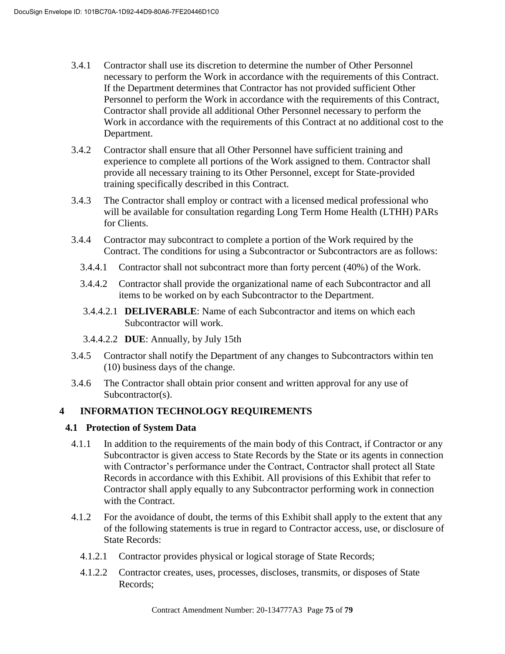- 3.4.1 Contractor shall use its discretion to determine the number of Other Personnel necessary to perform the Work in accordance with the requirements of this Contract. If the Department determines that Contractor has not provided sufficient Other Personnel to perform the Work in accordance with the requirements of this Contract, Contractor shall provide all additional Other Personnel necessary to perform the Work in accordance with the requirements of this Contract at no additional cost to the Department.
- 3.4.2 Contractor shall ensure that all Other Personnel have sufficient training and experience to complete all portions of the Work assigned to them. Contractor shall provide all necessary training to its Other Personnel, except for State-provided training specifically described in this Contract.
- 3.4.3 The Contractor shall employ or contract with a licensed medical professional who will be available for consultation regarding Long Term Home Health (LTHH) PARs for Clients.
- 3.4.4 Contractor may subcontract to complete a portion of the Work required by the Contract. The conditions for using a Subcontractor or Subcontractors are as follows:
	- 3.4.4.1 Contractor shall not subcontract more than forty percent (40%) of the Work.
	- 3.4.4.2 Contractor shall provide the organizational name of each Subcontractor and all items to be worked on by each Subcontractor to the Department.
	- 3.4.4.2.1 **DELIVERABLE**: Name of each Subcontractor and items on which each Subcontractor will work.
	- 3.4.4.2.2 **DUE**: Annually, by July 15th
- 3.4.5 Contractor shall notify the Department of any changes to Subcontractors within ten (10) business days of the change.
- 3.4.6 The Contractor shall obtain prior consent and written approval for any use of Subcontractor(s).

#### **4 INFORMATION TECHNOLOGY REQUIREMENTS**

#### **4.1 Protection of System Data**

- 4.1.1 In addition to the requirements of the main body of this Contract, if Contractor or any Subcontractor is given access to State Records by the State or its agents in connection with Contractor's performance under the Contract, Contractor shall protect all State Records in accordance with this Exhibit. All provisions of this Exhibit that refer to Contractor shall apply equally to any Subcontractor performing work in connection with the Contract.
- 4.1.2 For the avoidance of doubt, the terms of this Exhibit shall apply to the extent that any of the following statements is true in regard to Contractor access, use, or disclosure of State Records:
	- 4.1.2.1 Contractor provides physical or logical storage of State Records;
	- 4.1.2.2 Contractor creates, uses, processes, discloses, transmits, or disposes of State Records;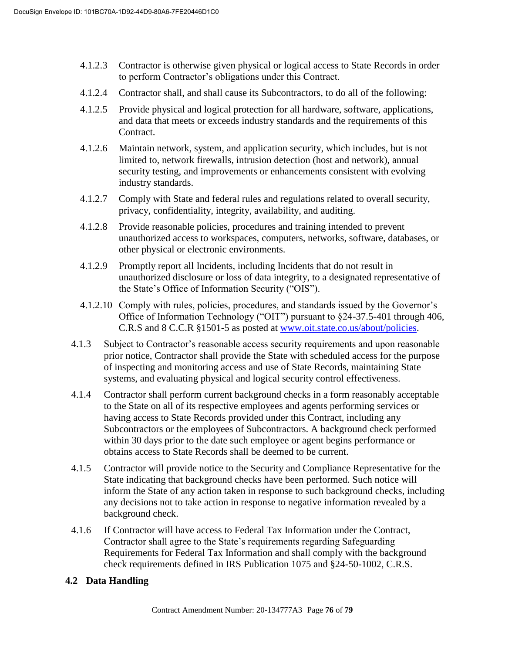- 4.1.2.3 Contractor is otherwise given physical or logical access to State Records in order to perform Contractor's obligations under this Contract.
- 4.1.2.4 Contractor shall, and shall cause its Subcontractors, to do all of the following:
- 4.1.2.5 Provide physical and logical protection for all hardware, software, applications, and data that meets or exceeds industry standards and the requirements of this Contract.
- 4.1.2.6 Maintain network, system, and application security, which includes, but is not limited to, network firewalls, intrusion detection (host and network), annual security testing, and improvements or enhancements consistent with evolving industry standards.
- 4.1.2.7 Comply with State and federal rules and regulations related to overall security, privacy, confidentiality, integrity, availability, and auditing.
- 4.1.2.8 Provide reasonable policies, procedures and training intended to prevent unauthorized access to workspaces, computers, networks, software, databases, or other physical or electronic environments.
- 4.1.2.9 Promptly report all Incidents, including Incidents that do not result in unauthorized disclosure or loss of data integrity, to a designated representative of the State's Office of Information Security ("OIS").
- 4.1.2.10 Comply with rules, policies, procedures, and standards issued by the Governor's Office of Information Technology ("OIT") pursuant to §24-37.5-401 through 406, C.R.S and 8 C.C.R §1501-5 as posted at www.oit.state.co.us/about/policies.
- 4.1.3 Subject to Contractor's reasonable access security requirements and upon reasonable prior notice, Contractor shall provide the State with scheduled access for the purpose of inspecting and monitoring access and use of State Records, maintaining State systems, and evaluating physical and logical security control effectiveness.
- 4.1.4 Contractor shall perform current background checks in a form reasonably acceptable to the State on all of its respective employees and agents performing services or having access to State Records provided under this Contract, including any Subcontractors or the employees of Subcontractors. A background check performed within 30 days prior to the date such employee or agent begins performance or obtains access to State Records shall be deemed to be current.
- 4.1.5 Contractor will provide notice to the Security and Compliance Representative for the State indicating that background checks have been performed. Such notice will inform the State of any action taken in response to such background checks, including any decisions not to take action in response to negative information revealed by a background check.
- 4.1.6 If Contractor will have access to Federal Tax Information under the Contract, Contractor shall agree to the State's requirements regarding Safeguarding Requirements for Federal Tax Information and shall comply with the background check requirements defined in IRS Publication 1075 and §24-50-1002, C.R.S.

## **4.2 Data Handling**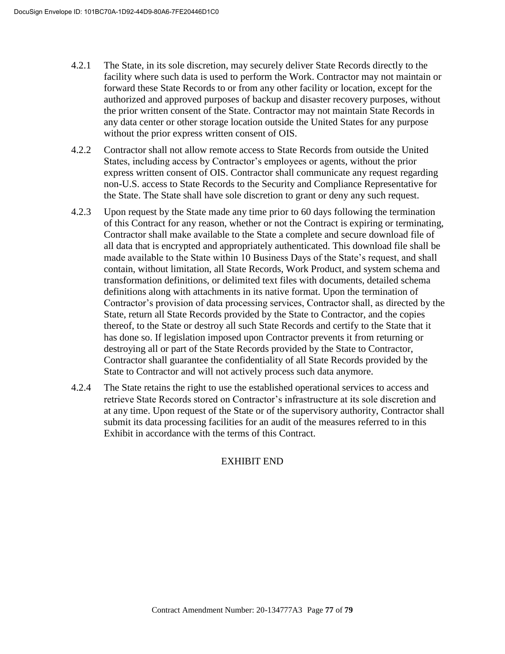- 4.2.1 The State, in its sole discretion, may securely deliver State Records directly to the facility where such data is used to perform the Work. Contractor may not maintain or forward these State Records to or from any other facility or location, except for the authorized and approved purposes of backup and disaster recovery purposes, without the prior written consent of the State. Contractor may not maintain State Records in any data center or other storage location outside the United States for any purpose without the prior express written consent of OIS.
- 4.2.2 Contractor shall not allow remote access to State Records from outside the United States, including access by Contractor's employees or agents, without the prior express written consent of OIS. Contractor shall communicate any request regarding non-U.S. access to State Records to the Security and Compliance Representative for the State. The State shall have sole discretion to grant or deny any such request.
- 4.2.3 Upon request by the State made any time prior to 60 days following the termination of this Contract for any reason, whether or not the Contract is expiring or terminating, Contractor shall make available to the State a complete and secure download file of all data that is encrypted and appropriately authenticated. This download file shall be made available to the State within 10 Business Days of the State's request, and shall contain, without limitation, all State Records, Work Product, and system schema and transformation definitions, or delimited text files with documents, detailed schema definitions along with attachments in its native format. Upon the termination of Contractor's provision of data processing services, Contractor shall, as directed by the State, return all State Records provided by the State to Contractor, and the copies thereof, to the State or destroy all such State Records and certify to the State that it has done so. If legislation imposed upon Contractor prevents it from returning or destroying all or part of the State Records provided by the State to Contractor, Contractor shall guarantee the confidentiality of all State Records provided by the State to Contractor and will not actively process such data anymore.
- 4.2.4 The State retains the right to use the established operational services to access and retrieve State Records stored on Contractor's infrastructure at its sole discretion and at any time. Upon request of the State or of the supervisory authority, Contractor shall submit its data processing facilities for an audit of the measures referred to in this Exhibit in accordance with the terms of this Contract.

# EXHIBIT END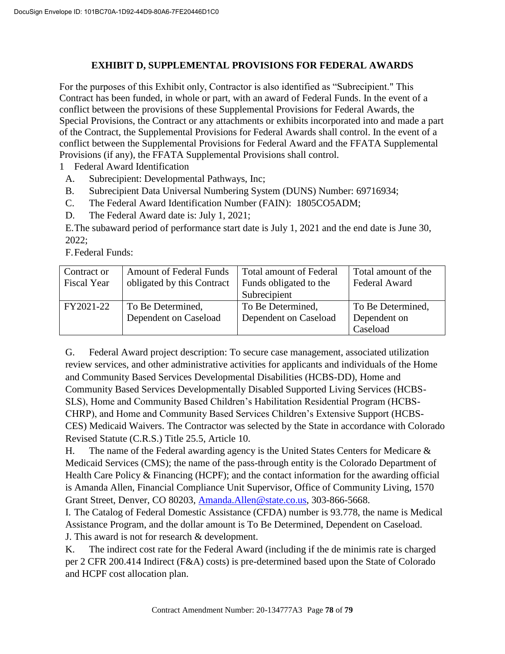### **EXHIBIT D, SUPPLEMENTAL PROVISIONS FOR FEDERAL AWARDS**

For the purposes of this Exhibit only, Contractor is also identified as "Subrecipient." This Contract has been funded, in whole or part, with an award of Federal Funds. In the event of a conflict between the provisions of these Supplemental Provisions for Federal Awards, the Special Provisions, the Contract or any attachments or exhibits incorporated into and made a part of the Contract, the Supplemental Provisions for Federal Awards shall control. In the event of a conflict between the Supplemental Provisions for Federal Award and the FFATA Supplemental Provisions (if any), the FFATA Supplemental Provisions shall control.

- 1 Federal Award Identification
- A. Subrecipient: Developmental Pathways, Inc;
- B. Subrecipient Data Universal Numbering System (DUNS) Number: 69716934;
- C. The Federal Award Identification Number (FAIN): 1805CO5ADM;
- D. The Federal Award date is: July 1, 2021;

E.The subaward period of performance start date is July 1, 2021 and the end date is June 30, 2022;

F.Federal Funds:

| Contract or<br><b>Fiscal Year</b> | <b>Amount of Federal Funds</b><br>obligated by this Contract | Total amount of Federal<br>Funds obligated to the<br>Subrecipient | Total amount of the<br>Federal Award          |
|-----------------------------------|--------------------------------------------------------------|-------------------------------------------------------------------|-----------------------------------------------|
| FY2021-22                         | To Be Determined,<br>Dependent on Caseload                   | To Be Determined,<br>Dependent on Caseload                        | To Be Determined,<br>Dependent on<br>Caseload |

G. Federal Award project description: To secure case management, associated utilization review services, and other administrative activities for applicants and individuals of the Home and Community Based Services Developmental Disabilities (HCBS-DD), Home and Community Based Services Developmentally Disabled Supported Living Services (HCBS-SLS), Home and Community Based Children's Habilitation Residential Program (HCBS-CHRP), and Home and Community Based Services Children's Extensive Support (HCBS-CES) Medicaid Waivers. The Contractor was selected by the State in accordance with Colorado Revised Statute (C.R.S.) Title 25.5, Article 10.

H. The name of the Federal awarding agency is the United States Centers for Medicare  $\&$ Medicaid Services (CMS); the name of the pass-through entity is the Colorado Department of Health Care Policy & Financing (HCPF); and the contact information for the awarding official is Amanda Allen, Financial Compliance Unit Supervisor, Office of Community Living, 1570 Grant Street, Denver, CO 80203, Amanda.Allen@state.co.us, 303-866-5668.

I. The Catalog of Federal Domestic Assistance (CFDA) number is 93.778, the name is Medical Assistance Program, and the dollar amount is To Be Determined, Dependent on Caseload. J. This award is not for research & development.

K. The indirect cost rate for the Federal Award (including if the de minimis rate is charged per 2 CFR 200.414 Indirect (F&A) costs) is pre-determined based upon the State of Colorado and HCPF cost allocation plan.